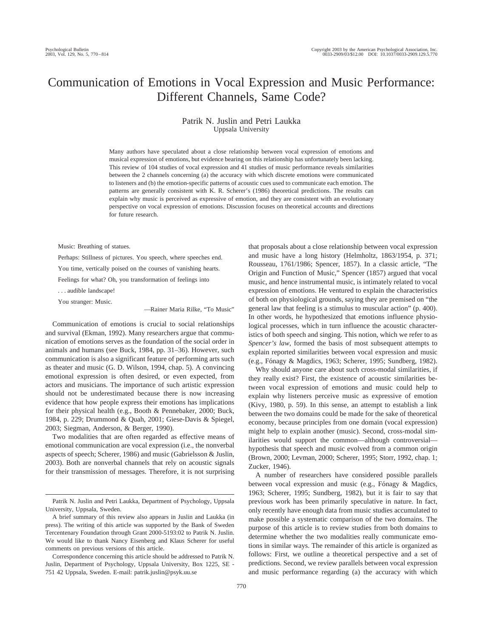# Communication of Emotions in Vocal Expression and Music Performance: Different Channels, Same Code?

### Patrik N. Juslin and Petri Laukka Uppsala University

Many authors have speculated about a close relationship between vocal expression of emotions and musical expression of emotions, but evidence bearing on this relationship has unfortunately been lacking. This review of 104 studies of vocal expression and 41 studies of music performance reveals similarities between the 2 channels concerning (a) the accuracy with which discrete emotions were communicated to listeners and (b) the emotion-specific patterns of acoustic cues used to communicate each emotion. The patterns are generally consistent with K. R. Scherer's (1986) theoretical predictions. The results can explain why music is perceived as expressive of emotion, and they are consistent with an evolutionary perspective on vocal expression of emotions. Discussion focuses on theoretical accounts and directions for future research.

Music: Breathing of statues.

Perhaps: Stillness of pictures. You speech, where speeches end. You time, vertically poised on the courses of vanishing hearts. Feelings for what? Oh, you transformation of feelings into

. . . audible landscape!

You stranger: Music.

—Rainer Maria Rilke, "To Music"

Communication of emotions is crucial to social relationships and survival (Ekman, 1992). Many researchers argue that communication of emotions serves as the foundation of the social order in animals and humans (see Buck, 1984, pp. 31–36). However, such communication is also a significant feature of performing arts such as theater and music (G. D. Wilson, 1994, chap. 5). A convincing emotional expression is often desired, or even expected, from actors and musicians. The importance of such artistic expression should not be underestimated because there is now increasing evidence that how people express their emotions has implications for their physical health (e.g., Booth & Pennebaker, 2000; Buck, 1984, p. 229; Drummond & Quah, 2001; Giese-Davis & Spiegel, 2003; Siegman, Anderson, & Berger, 1990).

Two modalities that are often regarded as effective means of emotional communication are vocal expression (i.e., the nonverbal aspects of speech; Scherer, 1986) and music (Gabrielsson & Juslin, 2003). Both are nonverbal channels that rely on acoustic signals for their transmission of messages. Therefore, it is not surprising

that proposals about a close relationship between vocal expression and music have a long history (Helmholtz, 1863/1954, p. 371; Rousseau, 1761/1986; Spencer, 1857). In a classic article, "The Origin and Function of Music," Spencer (1857) argued that vocal music, and hence instrumental music, is intimately related to vocal expression of emotions. He ventured to explain the characteristics of both on physiological grounds, saying they are premised on "the general law that feeling is a stimulus to muscular action" (p. 400). In other words, he hypothesized that emotions influence physiological processes, which in turn influence the acoustic characteristics of both speech and singing. This notion, which we refer to as *Spencer's law*, formed the basis of most subsequent attempts to explain reported similarities between vocal expression and music (e.g., Fónagy & Magdics, 1963; Scherer, 1995; Sundberg, 1982).

Why should anyone care about such cross-modal similarities, if they really exist? First, the existence of acoustic similarities between vocal expression of emotions and music could help to explain why listeners perceive music as expressive of emotion (Kivy, 1980, p. 59). In this sense, an attempt to establish a link between the two domains could be made for the sake of theoretical economy, because principles from one domain (vocal expression) might help to explain another (music). Second, cross-modal similarities would support the common—although controversial hypothesis that speech and music evolved from a common origin (Brown, 2000; Levman, 2000; Scherer, 1995; Storr, 1992, chap. 1; Zucker, 1946).

A number of researchers have considered possible parallels between vocal expression and music (e.g., Fónagy & Magdics, 1963; Scherer, 1995; Sundberg, 1982), but it is fair to say that previous work has been primarily speculative in nature. In fact, only recently have enough data from music studies accumulated to make possible a systematic comparison of the two domains. The purpose of this article is to review studies from both domains to determine whether the two modalities really communicate emotions in similar ways. The remainder of this article is organized as follows: First, we outline a theoretical perspective and a set of predictions. Second, we review parallels between vocal expression and music performance regarding (a) the accuracy with which

Patrik N. Juslin and Petri Laukka, Department of Psychology, Uppsala University, Uppsala, Sweden.

A brief summary of this review also appears in Juslin and Laukka (in press). The writing of this article was supported by the Bank of Sweden Tercentenary Foundation through Grant 2000-5193:02 to Patrik N. Juslin. We would like to thank Nancy Eisenberg and Klaus Scherer for useful comments on previous versions of this article.

Correspondence concerning this article should be addressed to Patrik N. Juslin, Department of Psychology, Uppsala University, Box 1225, SE - 751 42 Uppsala, Sweden. E-mail: patrik.juslin@psyk.uu.se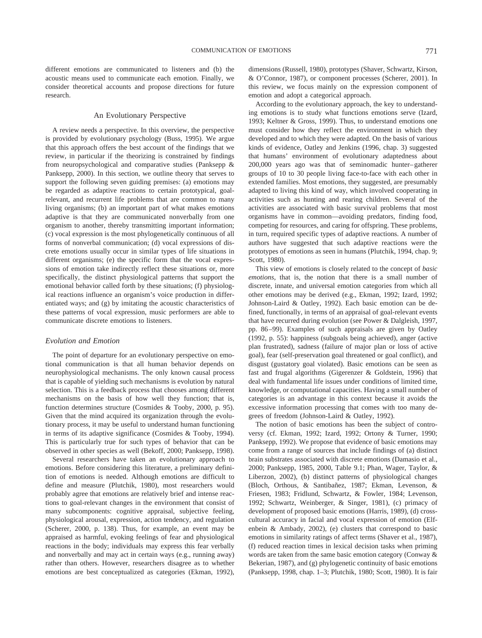different emotions are communicated to listeners and (b) the acoustic means used to communicate each emotion. Finally, we consider theoretical accounts and propose directions for future research.

## An Evolutionary Perspective

A review needs a perspective. In this overview, the perspective is provided by evolutionary psychology (Buss, 1995). We argue that this approach offers the best account of the findings that we review, in particular if the theorizing is constrained by findings from neuropsychological and comparative studies (Panksepp & Panksepp, 2000). In this section, we outline theory that serves to support the following seven guiding premises: (a) emotions may be regarded as adaptive reactions to certain prototypical, goalrelevant, and recurrent life problems that are common to many living organisms; (b) an important part of what makes emotions adaptive is that they are communicated nonverbally from one organism to another, thereby transmitting important information; (c) vocal expression is the most phylogenetically continuous of all forms of nonverbal communication; (d) vocal expressions of discrete emotions usually occur in similar types of life situations in different organisms; (e) the specific form that the vocal expressions of emotion take indirectly reflect these situations or, more specifically, the distinct physiological patterns that support the emotional behavior called forth by these situations; (f) physiological reactions influence an organism's voice production in differentiated ways; and (g) by imitating the acoustic characteristics of these patterns of vocal expression, music performers are able to communicate discrete emotions to listeners.

## *Evolution and Emotion*

The point of departure for an evolutionary perspective on emotional communication is that all human behavior depends on neurophysiological mechanisms. The only known causal process that is capable of yielding such mechanisms is evolution by natural selection. This is a feedback process that chooses among different mechanisms on the basis of how well they function; that is, function determines structure (Cosmides & Tooby, 2000, p. 95). Given that the mind acquired its organization through the evolutionary process, it may be useful to understand human functioning in terms of its adaptive significance (Cosmides & Tooby, 1994). This is particularly true for such types of behavior that can be observed in other species as well (Bekoff, 2000; Panksepp, 1998).

Several researchers have taken an evolutionary approach to emotions. Before considering this literature, a preliminary definition of emotions is needed. Although emotions are difficult to define and measure (Plutchik, 1980), most researchers would probably agree that emotions are relatively brief and intense reactions to goal-relevant changes in the environment that consist of many subcomponents: cognitive appraisal, subjective feeling, physiological arousal, expression, action tendency, and regulation (Scherer, 2000, p. 138). Thus, for example, an event may be appraised as harmful, evoking feelings of fear and physiological reactions in the body; individuals may express this fear verbally and nonverbally and may act in certain ways (e.g., running away) rather than others. However, researchers disagree as to whether emotions are best conceptualized as categories (Ekman, 1992), dimensions (Russell, 1980), prototypes (Shaver, Schwartz, Kirson, & O'Connor, 1987), or component processes (Scherer, 2001). In this review, we focus mainly on the expression component of emotion and adopt a categorical approach.

According to the evolutionary approach, the key to understanding emotions is to study what functions emotions serve (Izard, 1993; Keltner & Gross, 1999). Thus, to understand emotions one must consider how they reflect the environment in which they developed and to which they were adapted. On the basis of various kinds of evidence, Oatley and Jenkins (1996, chap. 3) suggested that humans' environment of evolutionary adaptedness about 200,000 years ago was that of seminomadic hunter–gatherer groups of 10 to 30 people living face-to-face with each other in extended families. Most emotions, they suggested, are presumably adapted to living this kind of way, which involved cooperating in activities such as hunting and rearing children. Several of the activities are associated with basic survival problems that most organisms have in common—avoiding predators, finding food, competing for resources, and caring for offspring. These problems, in turn, required specific types of adaptive reactions. A number of authors have suggested that such adaptive reactions were the prototypes of emotions as seen in humans (Plutchik, 1994, chap. 9; Scott, 1980).

This view of emotions is closely related to the concept of *basic emotions*, that is, the notion that there is a small number of discrete, innate, and universal emotion categories from which all other emotions may be derived (e.g., Ekman, 1992; Izard, 1992; Johnson-Laird & Oatley, 1992). Each basic emotion can be defined, functionally, in terms of an appraisal of goal-relevant events that have recurred during evolution (see Power & Dalgleish, 1997, pp. 86–99). Examples of such appraisals are given by Oatley (1992, p. 55): happiness (subgoals being achieved), anger (active plan frustrated), sadness (failure of major plan or loss of active goal), fear (self-preservation goal threatened or goal conflict), and disgust (gustatory goal violated). Basic emotions can be seen as fast and frugal algorithms (Gigerenzer & Goldstein, 1996) that deal with fundamental life issues under conditions of limited time, knowledge, or computational capacities. Having a small number of categories is an advantage in this context because it avoids the excessive information processing that comes with too many degrees of freedom (Johnson-Laird & Oatley, 1992).

The notion of basic emotions has been the subject of controversy (cf. Ekman, 1992; Izard, 1992; Ortony & Turner, 1990; Panksepp, 1992). We propose that evidence of basic emotions may come from a range of sources that include findings of (a) distinct brain substrates associated with discrete emotions (Damasio et al., 2000; Panksepp, 1985, 2000, Table 9.1; Phan, Wager, Taylor, & Liberzon, 2002), (b) distinct patterns of physiological changes (Bloch, Orthous, & Santibañez, 1987; Ekman, Levenson, & Friesen, 1983; Fridlund, Schwartz, & Fowler, 1984; Levenson, 1992; Schwartz, Weinberger, & Singer, 1981), (c) primacy of development of proposed basic emotions (Harris, 1989), (d) crosscultural accuracy in facial and vocal expression of emotion (Elfenbein & Ambady, 2002), (e) clusters that correspond to basic emotions in similarity ratings of affect terms (Shaver et al., 1987), (f) reduced reaction times in lexical decision tasks when priming words are taken from the same basic emotion category (Conway & Bekerian, 1987), and (g) phylogenetic continuity of basic emotions (Panksepp, 1998, chap. 1–3; Plutchik, 1980; Scott, 1980). It is fair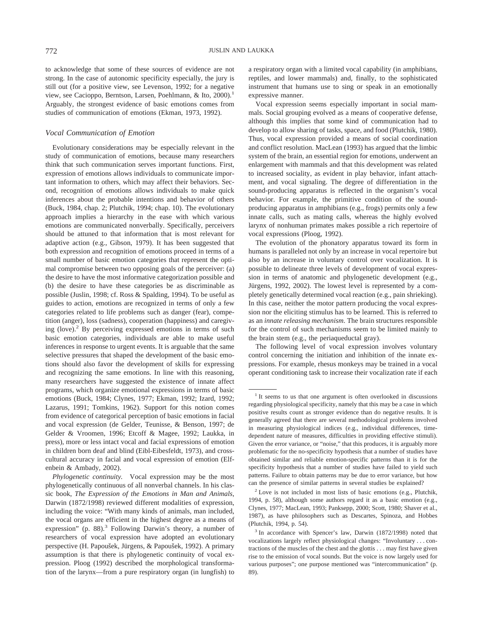to acknowledge that some of these sources of evidence are not strong. In the case of autonomic specificity especially, the jury is still out (for a positive view, see Levenson, 1992; for a negative view, see Cacioppo, Berntson, Larsen, Poehlmann, & Ito, 2000).<sup>1</sup> Arguably, the strongest evidence of basic emotions comes from studies of communication of emotions (Ekman, 1973, 1992).

## *Vocal Communication of Emotion*

Evolutionary considerations may be especially relevant in the study of communication of emotions, because many researchers think that such communication serves important functions. First, expression of emotions allows individuals to communicate important information to others, which may affect their behaviors. Second, recognition of emotions allows individuals to make quick inferences about the probable intentions and behavior of others (Buck, 1984, chap. 2; Plutchik, 1994; chap. 10). The evolutionary approach implies a hierarchy in the ease with which various emotions are communicated nonverbally. Specifically, perceivers should be attuned to that information that is most relevant for adaptive action (e.g., Gibson, 1979). It has been suggested that both expression and recognition of emotions proceed in terms of a small number of basic emotion categories that represent the optimal compromise between two opposing goals of the perceiver: (a) the desire to have the most informative categorization possible and (b) the desire to have these categories be as discriminable as possible (Juslin, 1998; cf. Ross & Spalding, 1994). To be useful as guides to action, emotions are recognized in terms of only a few categories related to life problems such as danger (fear), competition (anger), loss (sadness), cooperation (happiness) and caregiving  $(love)^2$  By perceiving expressed emotions in terms of such basic emotion categories, individuals are able to make useful inferences in response to urgent events. It is arguable that the same selective pressures that shaped the development of the basic emotions should also favor the development of skills for expressing and recognizing the same emotions. In line with this reasoning, many researchers have suggested the existence of innate affect programs, which organize emotional expressions in terms of basic emotions (Buck, 1984; Clynes, 1977; Ekman, 1992; Izard, 1992; Lazarus, 1991; Tomkins, 1962). Support for this notion comes from evidence of categorical perception of basic emotions in facial and vocal expression (de Gelder, Teunisse, & Benson, 1997; de Gelder & Vroomen, 1996; Etcoff & Magee, 1992; Laukka, in press), more or less intact vocal and facial expressions of emotion in children born deaf and blind (Eibl-Eibesfeldt, 1973), and crosscultural accuracy in facial and vocal expression of emotion (Elfenbein & Ambady, 2002).

*Phylogenetic continuity.* Vocal expression may be the most phylogenetically continuous of all nonverbal channels. In his classic book, *The Expression of the Emotions in Man and Animals*, Darwin (1872/1998) reviewed different modalities of expression, including the voice: "With many kinds of animals, man included, the vocal organs are efficient in the highest degree as a means of expression" (p. 88).<sup>3</sup> Following Darwin's theory, a number of researchers of vocal expression have adopted an evolutionary perspective (H. Papoušek, Jürgens, & Papoušek, 1992). A primary assumption is that there is phylogenetic continuity of vocal expression. Ploog (1992) described the morphological transformation of the larynx—from a pure respiratory organ (in lungfish) to a respiratory organ with a limited vocal capability (in amphibians, reptiles, and lower mammals) and, finally, to the sophisticated instrument that humans use to sing or speak in an emotionally expressive manner.

Vocal expression seems especially important in social mammals. Social grouping evolved as a means of cooperative defense, although this implies that some kind of communication had to develop to allow sharing of tasks, space, and food (Plutchik, 1980). Thus, vocal expression provided a means of social coordination and conflict resolution. MacLean (1993) has argued that the limbic system of the brain, an essential region for emotions, underwent an enlargement with mammals and that this development was related to increased sociality, as evident in play behavior, infant attachment, and vocal signaling. The degree of differentiation in the sound-producing apparatus is reflected in the organism's vocal behavior. For example, the primitive condition of the soundproducing apparatus in amphibians (e.g., frogs) permits only a few innate calls, such as mating calls, whereas the highly evolved larynx of nonhuman primates makes possible a rich repertoire of vocal expressions (Ploog, 1992).

The evolution of the phonatory apparatus toward its form in humans is paralleled not only by an increase in vocal repertoire but also by an increase in voluntary control over vocalization. It is possible to delineate three levels of development of vocal expression in terms of anatomic and phylogenetic development (e.g., Jürgens, 1992, 2002). The lowest level is represented by a completely genetically determined vocal reaction (e.g., pain shrieking). In this case, neither the motor pattern producing the vocal expression nor the eliciting stimulus has to be learned. This is referred to as an *innate releasing mechanism*. The brain structures responsible for the control of such mechanisms seem to be limited mainly to the brain stem (e.g., the periaqueductal gray).

The following level of vocal expression involves voluntary control concerning the initiation and inhibition of the innate expressions. For example, rhesus monkeys may be trained in a vocal operant conditioning task to increase their vocalization rate if each

<sup>&</sup>lt;sup>1</sup> It seems to us that one argument is often overlooked in discussions regarding physiological specificity, namely that this may be a case in which positive results count as stronger evidence than do negative results. It is generally agreed that there are several methodological problems involved in measuring physiological indices (e.g., individual differences, timedependent nature of measures, difficulties in providing effective stimuli). Given the error variance, or "noise," that this produces, it is arguably more problematic for the no-specificity hypothesis that a number of studies have obtained similar and reliable emotion-specific patterns than it is for the specificity hypothesis that a number of studies have failed to yield such patterns. Failure to obtain patterns may be due to error variance, but how can the presence of similar patterns in several studies be explained?

<sup>2</sup> Love is not included in most lists of basic emotions (e.g., Plutchik, 1994, p. 58), although some authors regard it as a basic emotion (e.g., Clynes, 1977; MacLean, 1993; Panksepp, 2000; Scott, 1980; Shaver et al., 1987), as have philosophers such as Descartes, Spinoza, and Hobbes (Plutchik, 1994, p. 54).

<sup>&</sup>lt;sup>3</sup> In accordance with Spencer's law, Darwin (1872/1998) noted that vocalizations largely reflect physiological changes: "Involuntary... contractions of the muscles of the chest and the glottis . . . may first have given rise to the emission of vocal sounds. But the voice is now largely used for various purposes"; one purpose mentioned was "intercommunication" (p. 89).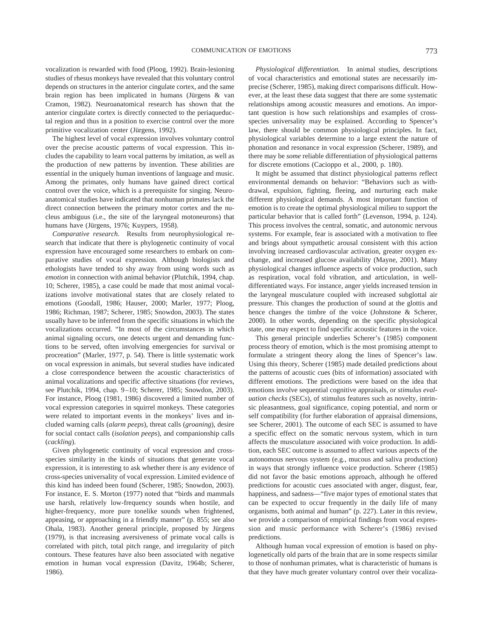vocalization is rewarded with food (Ploog, 1992). Brain-lesioning studies of rhesus monkeys have revealed that this voluntary control depends on structures in the anterior cingulate cortex, and the same brain region has been implicated in humans (Jürgens  $&$  van Cramon, 1982). Neuroanatomical research has shown that the anterior cingulate cortex is directly connected to the periaqueductal region and thus in a position to exercise control over the more primitive vocalization center (Jürgens, 1992).

The highest level of vocal expression involves voluntary control over the precise acoustic patterns of vocal expression. This includes the capability to learn vocal patterns by imitation, as well as the production of new patterns by invention. These abilities are essential in the uniquely human inventions of language and music. Among the primates, only humans have gained direct cortical control over the voice, which is a prerequisite for singing. Neuroanatomical studies have indicated that nonhuman primates lack the direct connection between the primary motor cortex and the nucleus ambiguus (i.e., the site of the laryngeal motoneurons) that humans have (Jürgens, 1976; Kuypers, 1958).

*Comparative research.* Results from neurophysiological research that indicate that there is phylogenetic continuity of vocal expression have encouraged some researchers to embark on comparative studies of vocal expression. Although biologists and ethologists have tended to shy away from using words such as *emotion* in connection with animal behavior (Plutchik, 1994, chap. 10; Scherer, 1985), a case could be made that most animal vocalizations involve motivational states that are closely related to emotions (Goodall, 1986; Hauser, 2000; Marler, 1977; Ploog, 1986; Richman, 1987; Scherer, 1985; Snowdon, 2003). The states usually have to be inferred from the specific situations in which the vocalizations occurred. "In most of the circumstances in which animal signaling occurs, one detects urgent and demanding functions to be served, often involving emergencies for survival or procreation" (Marler, 1977, p. 54). There is little systematic work on vocal expression in animals, but several studies have indicated a close correspondence between the acoustic characteristics of animal vocalizations and specific affective situations (for reviews, see Plutchik, 1994, chap. 9–10; Scherer, 1985; Snowdon, 2003). For instance, Ploog (1981, 1986) discovered a limited number of vocal expression categories in squirrel monkeys. These categories were related to important events in the monkeys' lives and included warning calls (*alarm peeps*), threat calls (*groaning*), desire for social contact calls (*isolation peeps*), and companionship calls (*cackling*).

Given phylogenetic continuity of vocal expression and crossspecies similarity in the kinds of situations that generate vocal expression, it is interesting to ask whether there is any evidence of cross-species universality of vocal expression. Limited evidence of this kind has indeed been found (Scherer, 1985; Snowdon, 2003). For instance, E. S. Morton (1977) noted that "birds and mammals use harsh, relatively low-frequency sounds when hostile, and higher-frequency, more pure tonelike sounds when frightened, appeasing, or approaching in a friendly manner" (p. 855; see also Ohala, 1983). Another general principle, proposed by Jürgens (1979), is that increasing aversiveness of primate vocal calls is correlated with pitch, total pitch range, and irregularity of pitch contours. These features have also been associated with negative emotion in human vocal expression (Davitz, 1964b; Scherer, 1986).

*Physiological differentiation.* In animal studies, descriptions of vocal characteristics and emotional states are necessarily imprecise (Scherer, 1985), making direct comparisons difficult. However, at the least these data suggest that there are some systematic relationships among acoustic measures and emotions. An important question is how such relationships and examples of crossspecies universality may be explained. According to Spencer's law, there should be common physiological principles. In fact, physiological variables determine to a large extent the nature of phonation and resonance in vocal expression (Scherer, 1989), and there may be *some* reliable differentiation of physiological patterns for discrete emotions (Cacioppo et al., 2000, p. 180).

It might be assumed that distinct physiological patterns reflect environmental demands on behavior: "Behaviors such as withdrawal, expulsion, fighting, fleeing, and nurturing each make different physiological demands. A most important function of emotion is to create the optimal physiological milieu to support the particular behavior that is called forth" (Levenson, 1994, p. 124). This process involves the central, somatic, and autonomic nervous systems. For example, fear is associated with a motivation to flee and brings about sympathetic arousal consistent with this action involving increased cardiovascular activation, greater oxygen exchange, and increased glucose availability (Mayne, 2001). Many physiological changes influence aspects of voice production, such as respiration, vocal fold vibration, and articulation, in welldifferentiated ways. For instance, anger yields increased tension in the laryngeal musculature coupled with increased subglottal air pressure. This changes the production of sound at the glottis and hence changes the timbre of the voice (Johnstone & Scherer, 2000). In other words, depending on the specific physiological state, one may expect to find specific acoustic features in the voice.

This general principle underlies Scherer's (1985) component process theory of emotion, which is the most promising attempt to formulate a stringent theory along the lines of Spencer's law. Using this theory, Scherer (1985) made detailed predictions about the patterns of acoustic cues (bits of information) associated with different emotions. The predictions were based on the idea that emotions involve sequential cognitive appraisals, or *stimulus evaluation checks* (SECs), of stimulus features such as novelty, intrinsic pleasantness, goal significance, coping potential, and norm or self compatibility (for further elaboration of appraisal dimensions, see Scherer, 2001). The outcome of each SEC is assumed to have a specific effect on the somatic nervous system, which in turn affects the musculature associated with voice production. In addition, each SEC outcome is assumed to affect various aspects of the autonomous nervous system (e.g., mucous and saliva production) in ways that strongly influence voice production. Scherer (1985) did not favor the basic emotions approach, although he offered predictions for acoustic cues associated with anger, disgust, fear, happiness, and sadness—"five major types of emotional states that can be expected to occur frequently in the daily life of many organisms, both animal and human" (p. 227). Later in this review, we provide a comparison of empirical findings from vocal expression and music performance with Scherer's (1986) revised predictions.

Although human vocal expression of emotion is based on phylogenetically old parts of the brain that are in some respects similar to those of nonhuman primates, what is characteristic of humans is that they have much greater voluntary control over their vocaliza-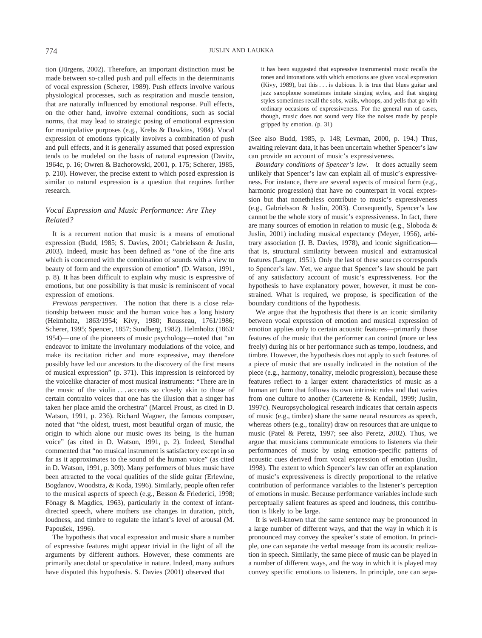tion (Jürgens, 2002). Therefore, an important distinction must be made between so-called push and pull effects in the determinants of vocal expression (Scherer, 1989). Push effects involve various physiological processes, such as respiration and muscle tension, that are naturally influenced by emotional response. Pull effects, on the other hand, involve external conditions, such as social norms, that may lead to strategic posing of emotional expression for manipulative purposes (e.g., Krebs & Dawkins, 1984). Vocal expression of emotions typically involves a combination of push and pull effects, and it is generally assumed that posed expression tends to be modeled on the basis of natural expression (Davitz, 1964c, p. 16; Owren & Bachorowski, 2001, p. 175; Scherer, 1985, p. 210). However, the precise extent to which posed expression is similar to natural expression is a question that requires further research.

## *Vocal Expression and Music Performance: Are They Related?*

It is a recurrent notion that music is a means of emotional expression (Budd, 1985; S. Davies, 2001; Gabrielsson & Juslin, 2003). Indeed, music has been defined as "one of the fine arts which is concerned with the combination of sounds with a view to beauty of form and the expression of emotion" (D. Watson, 1991, p. 8). It has been difficult to explain why music is expressive of emotions, but one possibility is that music is reminiscent of vocal expression of emotions.

*Previous perspectives.* The notion that there is a close relationship between music and the human voice has a long history (Helmholtz, 1863/1954; Kivy, 1980; Rousseau, 1761/1986; Scherer, 1995; Spencer, 1857; Sundberg, 1982). Helmholtz (1863/ 1954)—one of the pioneers of music psychology—noted that "an endeavor to imitate the involuntary modulations of the voice, and make its recitation richer and more expressive, may therefore possibly have led our ancestors to the discovery of the first means of musical expression" (p. 371). This impression is reinforced by the voicelike character of most musical instruments: "There are in the music of the violin... accents so closely akin to those of certain contralto voices that one has the illusion that a singer has taken her place amid the orchestra" (Marcel Proust, as cited in D. Watson, 1991, p. 236). Richard Wagner, the famous composer, noted that "the oldest, truest, most beautiful organ of music, the origin to which alone our music owes its being, is the human voice" (as cited in D. Watson, 1991, p. 2). Indeed, Stendhal commented that "no musical instrument is satisfactory except in so far as it approximates to the sound of the human voice" (as cited in D. Watson, 1991, p. 309). Many performers of blues music have been attracted to the vocal qualities of the slide guitar (Erlewine, Bogdanov, Woodstra, & Koda, 1996). Similarly, people often refer to the musical aspects of speech (e.g., Besson & Friederici, 1998; Fónagy & Magdics, 1963), particularly in the context of infantdirected speech, where mothers use changes in duration, pitch, loudness, and timbre to regulate the infant's level of arousal (M. Papoušek, 1996).

The hypothesis that vocal expression and music share a number of expressive features might appear trivial in the light of all the arguments by different authors. However, these comments are primarily anecdotal or speculative in nature. Indeed, many authors have disputed this hypothesis. S. Davies (2001) observed that

it has been suggested that expressive instrumental music recalls the tones and intonations with which emotions are given vocal expression (Kivy, 1989), but this . . . is dubious. It is true that blues guitar and jazz saxophone sometimes imitate singing styles, and that singing styles sometimes recall the sobs, wails, whoops, and yells that go with ordinary occasions of expressiveness. For the general run of cases, though, music does not sound very like the noises made by people gripped by emotion. (p. 31)

(See also Budd, 1985, p. 148; Levman, 2000, p. 194.) Thus, awaiting relevant data, it has been uncertain whether Spencer's law can provide an account of music's expressiveness.

*Boundary conditions of Spencer's law.* It does actually seem unlikely that Spencer's law can explain all of music's expressiveness. For instance, there are several aspects of musical form (e.g., harmonic progression) that have no counterpart in vocal expression but that nonetheless contribute to music's expressiveness (e.g., Gabrielsson & Juslin, 2003). Consequently, Spencer's law cannot be the whole story of music's expressiveness. In fact, there are many sources of emotion in relation to music (e.g., Sloboda & Juslin, 2001) including musical expectancy (Meyer, 1956), arbitrary association (J. B. Davies, 1978), and iconic signification that is, structural similarity between musical and extramusical features (Langer, 1951). Only the last of these sources corresponds to Spencer's law. Yet, we argue that Spencer's law should be part of any satisfactory account of music's expressiveness. For the hypothesis to have explanatory power, however, it must be constrained. What is required, we propose, is specification of the boundary conditions of the hypothesis.

We argue that the hypothesis that there is an iconic similarity between vocal expression of emotion and musical expression of emotion applies only to certain acoustic features—primarily those features of the music that the performer can control (more or less freely) during his or her performance such as tempo, loudness, and timbre. However, the hypothesis does not apply to such features of a piece of music that are usually indicated in the notation of the piece (e.g., harmony, tonality, melodic progression), because these features reflect to a larger extent characteristics of music as a human art form that follows its own intrinsic rules and that varies from one culture to another (Carterette & Kendall, 1999; Juslin, 1997c). Neuropsychological research indicates that certain aspects of music (e.g., timbre) share the same neural resources as speech, whereas others (e.g., tonality) draw on resources that are unique to music (Patel & Peretz, 1997; see also Peretz, 2002). Thus, we argue that musicians communicate emotions to listeners via their performances of music by using emotion-specific patterns of acoustic cues derived from vocal expression of emotion (Juslin, 1998). The extent to which Spencer's law can offer an explanation of music's expressiveness is directly proportional to the relative contribution of performance variables to the listener's perception of emotions in music. Because performance variables include such perceptually salient features as speed and loudness, this contribution is likely to be large.

It is well-known that the same sentence may be pronounced in a large number of different ways, and that the way in which it is pronounced may convey the speaker's state of emotion. In principle, one can separate the verbal message from its acoustic realization in speech. Similarly, the same piece of music can be played in a number of different ways, and the way in which it is played may convey specific emotions to listeners. In principle, one can sepa-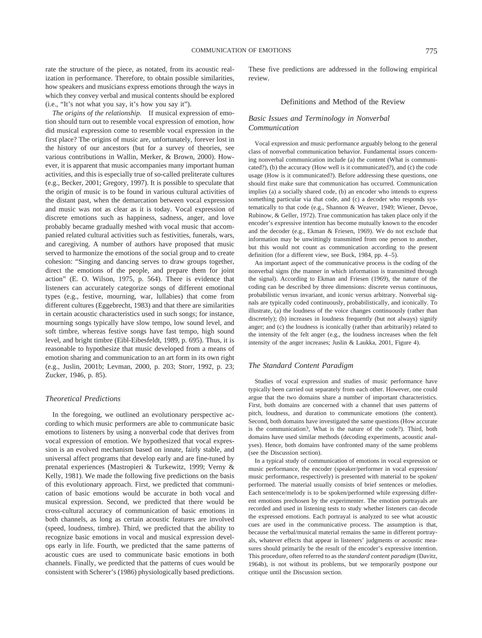rate the structure of the piece, as notated, from its acoustic realization in performance. Therefore, to obtain possible similarities, how speakers and musicians express emotions through the ways in which they convey verbal and musical contents should be explored (i.e., "It's not what you say, it's how you say it").

*The origins of the relationship.* If musical expression of emotion should turn out to resemble vocal expression of emotion, how did musical expression come to resemble vocal expression in the first place? The origins of music are, unfortunately, forever lost in the history of our ancestors (but for a survey of theories, see various contributions in Wallin, Merker, & Brown, 2000). However, it is apparent that music accompanies many important human activities, and this is especially true of so-called preliterate cultures (e.g., Becker, 2001; Gregory, 1997). It is possible to speculate that the origin of music is to be found in various cultural activities of the distant past, when the demarcation between vocal expression and music was not as clear as it is today. Vocal expression of discrete emotions such as happiness, sadness, anger, and love probably became gradually meshed with vocal music that accompanied related cultural activities such as festivities, funerals, wars, and caregiving. A number of authors have proposed that music served to harmonize the emotions of the social group and to create cohesion: "Singing and dancing serves to draw groups together, direct the emotions of the people, and prepare them for joint action" (E. O. Wilson, 1975, p. 564). There is evidence that listeners can accurately categorize songs of different emotional types (e.g., festive, mourning, war, lullabies) that come from different cultures (Eggebrecht, 1983) and that there are similarities in certain acoustic characteristics used in such songs; for instance, mourning songs typically have slow tempo, low sound level, and soft timbre, whereas festive songs have fast tempo, high sound level, and bright timbre (Eibl-Eibesfeldt, 1989, p. 695). Thus, it is reasonable to hypothesize that music developed from a means of emotion sharing and communication to an art form in its own right (e.g., Juslin, 2001b; Levman, 2000, p. 203; Storr, 1992, p. 23; Zucker, 1946, p. 85).

#### *Theoretical Predictions*

In the foregoing, we outlined an evolutionary perspective according to which music performers are able to communicate basic emotions to listeners by using a nonverbal code that derives from vocal expression of emotion. We hypothesized that vocal expression is an evolved mechanism based on innate, fairly stable, and universal affect programs that develop early and are fine-tuned by prenatal experiences (Mastropieri & Turkewitz, 1999; Verny & Kelly, 1981). We made the following five predictions on the basis of this evolutionary approach. First, we predicted that communication of basic emotions would be accurate in both vocal and musical expression. Second, we predicted that there would be cross-cultural accuracy of communication of basic emotions in both channels, as long as certain acoustic features are involved (speed, loudness, timbre). Third, we predicted that the ability to recognize basic emotions in vocal and musical expression develops early in life. Fourth, we predicted that the same patterns of acoustic cues are used to communicate basic emotions in both channels. Finally, we predicted that the patterns of cues would be consistent with Scherer's (1986) physiologically based predictions.

These five predictions are addressed in the following empirical review.

## Definitions and Method of the Review

## *Basic Issues and Terminology in Nonverbal Communication*

Vocal expression and music performance arguably belong to the general class of nonverbal communication behavior. Fundamental issues concerning nonverbal communication include (a) the content (What is communicated?), (b) the accuracy (How well is it communicated?), and (c) the code usage (How is it communicated?). Before addressing these questions, one should first make sure that communication has occurred. Communication implies (a) a socially shared code, (b) an encoder who intends to express something particular via that code, and (c) a decoder who responds systematically to that code (e.g., Shannon & Weaver, 1949; Wiener, Devoe, Rubinow, & Geller, 1972). True communication has taken place only if the encoder's expressive intention has become mutually known to the encoder and the decoder (e.g., Ekman & Friesen, 1969). We do not exclude that information may be unwittingly transmitted from one person to another, but this would not count as communication according to the present definition (for a different view, see Buck, 1984, pp. 4–5).

An important aspect of the communicative process is the coding of the nonverbal signs (the manner in which information is transmitted through the signal). According to Ekman and Friesen (1969), the nature of the coding can be described by three dimensions: discrete versus continuous, probabilistic versus invariant, and iconic versus arbitrary. Nonverbal signals are typically coded continuously, probabilistically, and iconically. To illustrate, (a) the loudness of the voice changes continuously (rather than discretely); (b) increases in loudness frequently (but not always) signify anger; and (c) the loudness is iconically (rather than arbitrarily) related to the intensity of the felt anger (e.g., the loudness increases when the felt intensity of the anger increases; Juslin & Laukka, 2001, Figure 4).

## *The Standard Content Paradigm*

Studies of vocal expression and studies of music performance have typically been carried out separately from each other. However, one could argue that the two domains share a number of important characteristics. First, both domains are concerned with a channel that uses patterns of pitch, loudness, and duration to communicate emotions (the content). Second, both domains have investigated the same questions (How accurate is the communication?, What is the nature of the code?). Third, both domains have used similar methods (decoding experiments, acoustic analyses). Hence, both domains have confronted many of the same problems (see the Discussion section).

In a typical study of communication of emotions in vocal expression or music performance, the encoder (speaker/performer in vocal expression/ music performance, respectively) is presented with material to be spoken/ performed. The material usually consists of brief sentences or melodies. Each sentence/melody is to be spoken/performed while expressing different emotions prechosen by the experimenter. The emotion portrayals are recorded and used in listening tests to study whether listeners can decode the expressed emotions. Each portrayal is analyzed to see what acoustic cues are used in the communicative process. The assumption is that, because the verbal/musical material remains the same in different portrayals, whatever effects that appear in listeners' judgments or acoustic measures should primarily be the result of the encoder's expressive intention. This procedure, often referred to as *the standard content paradigm* (Davitz, 1964b), is not without its problems, but we temporarily postpone our critique until the Discussion section.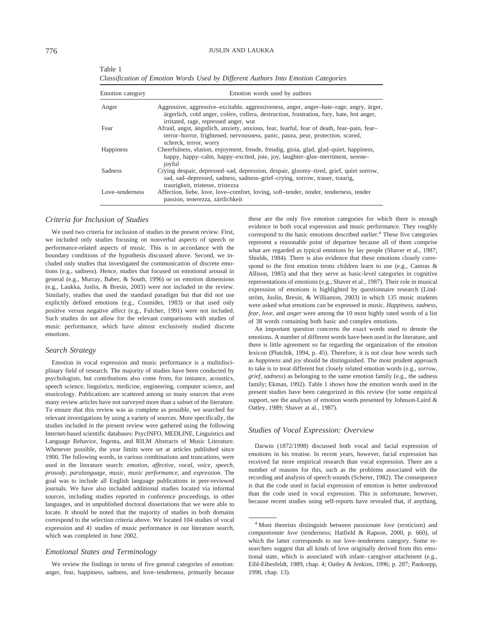#### JUSLIN AND LAUKKA

|  | ł<br>٧<br>× |
|--|-------------|

| Emotion category | Emotion words used by authors                                                                                                                                                                                                |
|------------------|------------------------------------------------------------------------------------------------------------------------------------------------------------------------------------------------------------------------------|
| Anger            | Aggressive, aggressive-excitable, aggressiveness, anger, anger-hate-rage, angry, ärger,<br>ärgerlich, cold anger, colère, collera, destruction, frustration, fury, hate, hot anger,<br>irritated, rage, repressed anger, wut |
| Fear             | Afraid, angst, ängstlich, anxiety, anxious, fear, fearful, fear of death, fear-pain, fear-<br>terror-horror, frightened, nervousness, panic, paura, peur, protection, scared,<br>schreck, terror, worry                      |
| Happiness        | Cheerfulness, elation, enjoyment, freude, freudig, gioia, glad, glad-quiet, happiness,<br>happy, happy-calm, happy-excited, joie, joy, laughter-glee-merriment, serene-<br>joyful                                            |
| <b>Sadness</b>   | Crying despair, depressed–sad, depression, despair, gloomy–tired, grief, quiet sorrow,<br>sad, sad-depressed, sadness, sadness-grief-crying, sorrow, trauer, traurig,<br>traurigkeit, tristesse, tristezza                   |
| Love–tenderness  | Affection, liebe, love, love–comfort, loving, soft–tender, tender, tenderness, tender<br>passion, tenerezza, zärtlichkeit                                                                                                    |

Table 1

*Classification of Emotion Words Used by Different Authors Into Emotion Categories*

## *Criteria for Inclusion of Studies*

We used two criteria for inclusion of studies in the present review. First, we included only studies focusing on nonverbal aspects of speech or performance-related aspects of music. This is in accordance with the boundary conditions of the hypothesis discussed above. Second, we included only studies that investigated the communication of discrete emotions (e.g., sadness). Hence, studies that focused on emotional arousal in general (e.g., Murray, Baber, & South, 1996) or on emotion dimensions (e.g., Laukka, Juslin, & Bresin, 2003) were not included in the review. Similarly, studies that used the standard paradigm but that did not use explicitly defined emotions (e.g., Cosmides, 1983) or that used only positive versus negative affect (e.g., Fulcher, 1991) were not included. Such studies do not allow for the relevant comparisons with studies of music performance, which have almost exclusively studied discrete emotions.

## *Search Strategy*

Emotion in vocal expression and music performance is a multidisciplinary field of research. The majority of studies have been conducted by psychologists, but contributions also come from, for instance, acoustics, speech science, linguistics, medicine, engineering, computer science, and musicology. Publications are scattered among so many sources that even many review articles have not surveyed more than a subset of the literature. To ensure that this review was as complete as possible, we searched for relevant investigations by using a variety of sources. More specifically, the studies included in the present review were gathered using the following Internet-based scientific databases: PsycINFO, MEDLINE, Linguistics and Language Behavior, Ingenta, and RILM Abstracts of Music Literature. Whenever possible, the year limits were set at articles published since 1900. The following words, in various combinations and truncations, were used in the literature search: *emotion*, *affective*, *vocal*, *voice*, *speech*, *prosody*, *paralanguage*, *music*, *music performance*, and *expression*. The goal was to include all English language publications in peer-reviewed journals. We have also included additional studies located via informal sources, including studies reported in conference proceedings, in other languages, and in unpublished doctoral dissertations that we were able to locate. It should be noted that the majority of studies in both domains correspond to the selection criteria above. We located 104 studies of vocal expression and 41 studies of music performance in our literature search, which was completed in June 2002.

## *Emotional States and Terminology*

We review the findings in terms of five general categories of emotion: anger, fear, happiness, sadness, and love–tenderness, primarily because

these are the only five emotion categories for which there is enough evidence in both vocal expression and music performance. They roughly correspond to the basic emotions described earlier.<sup>4</sup> These five categories represent a reasonable point of departure because all of them comprise what are regarded as typical emotions by lay people (Shaver et al., 1987; Shields, 1984). There is also evidence that these emotions closely correspond to the first emotion terms children learn to use (e.g., Camras & Allison, 1985) and that they serve as basic-level categories in cognitive representations of emotions (e.g., Shaver et al., 1987). Their role in musical expression of emotions is highlighted by questionnaire research (Lindström, Juslin, Bresin, & Williamon, 2003) in which 135 music students were asked what emotions can be expressed in music. *Happiness*, *sadness*, *fear*, *love*, and *anger* were among the 10 most highly rated words of a list of 38 words containing both basic and complex emotions.

An important question concerns the exact words used to denote the emotions. A number of different words have been used in the literature, and there is little agreement so far regarding the organization of the emotion lexicon (Plutchik, 1994, p. 45). Therefore, it is not clear how words such as *happiness* and *joy* should be distinguished. The most prudent approach to take is to treat different but closely related emotion words (e.g., *sorrow*, *grief*, *sadness*) as belonging to the same emotion family (e.g., the sadness family; Ekman, 1992). Table 1 shows how the emotion words used in the present studies have been categorized in this review (for some empirical support, see the analyses of emotion words presented by Johnson-Laird & Oatley, 1989; Shaver at al., 1987).

#### *Studies of Vocal Expression: Overview*

Darwin (1872/1998) discussed both vocal and facial expression of emotions in his treatise. In recent years, however, facial expression has received far more empirical research than vocal expression. There are a number of reasons for this, such as the problems associated with the recording and analysis of speech sounds (Scherer, 1982). The consequence is that the code used in facial expression of emotion is better understood than the code used in vocal expression. This is unfortunate, however, because recent studies using self-reports have revealed that, if anything,

<sup>4</sup> Most theorists distinguish between *passionate love* (eroticism) and *companionate love* (tenderness; Hatfield & Rapson, 2000, p. 660), of which the latter corresponds to our love–tenderness category. Some researchers suggest that all kinds of love originally derived from this emotional state, which is associated with infant–caregiver attachment (e.g., Eibl-Eibesfeldt, 1989, chap. 4; Oatley & Jenkins, 1996; p. 287; Panksepp, 1998, chap. 13).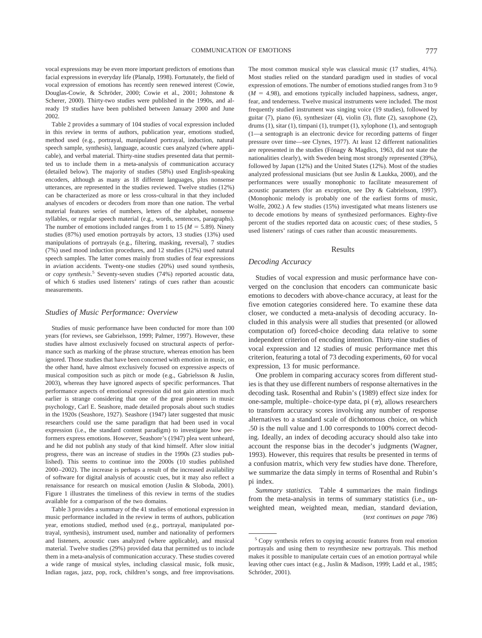vocal expressions may be even more important predictors of emotions than facial expressions in everyday life (Planalp, 1998). Fortunately, the field of vocal expression of emotions has recently seen renewed interest (Cowie, Douglas-Cowie, & Schröder, 2000; Cowie et al., 2001; Johnstone & Scherer, 2000). Thirty-two studies were published in the 1990s, and already 19 studies have been published between January 2000 and June 2002.

Table 2 provides a summary of 104 studies of vocal expression included in this review in terms of authors, publication year, emotions studied, method used (e.g., portrayal, manipulated portrayal, induction, natural speech sample, synthesis), language, acoustic cues analyzed (where applicable), and verbal material. Thirty-nine studies presented data that permitted us to include them in a meta-analysis of communication accuracy (detailed below). The majority of studies (58%) used English-speaking encoders, although as many as 18 different languages, plus nonsense utterances, are represented in the studies reviewed. Twelve studies (12%) can be characterized as more or less cross-cultural in that they included analyses of encoders or decoders from more than one nation. The verbal material features series of numbers, letters of the alphabet, nonsense syllables, or regular speech material (e.g., words, sentences, paragraphs). The number of emotions included ranges from 1 to 15 ( $M = 5.89$ ). Ninety studies (87%) used emotion portrayals by actors, 13 studies (13%) used manipulations of portrayals (e.g., filtering, masking, reversal), 7 studies (7%) used mood induction procedures, and 12 studies (12%) used natural speech samples. The latter comes mainly from studies of fear expressions in aviation accidents. Twenty-one studies (20%) used sound synthesis, or *copy synthesis*. <sup>5</sup> Seventy-seven studies (74%) reported acoustic data, of which 6 studies used listeners' ratings of cues rather than acoustic measurements.

### *Studies of Music Performance: Overview*

Studies of music performance have been conducted for more than 100 years (for reviews, see Gabrielsson, 1999; Palmer, 1997). However, these studies have almost exclusively focused on structural aspects of performance such as marking of the phrase structure, whereas emotion has been ignored. Those studies that have been concerned with emotion in music, on the other hand, have almost exclusively focused on expressive aspects of musical composition such as pitch or mode (e.g., Gabrielsson & Juslin, 2003), whereas they have ignored aspects of specific performances. That performance aspects of emotional expression did not gain attention much earlier is strange considering that one of the great pioneers in music psychology, Carl E. Seashore, made detailed proposals about such studies in the 1920s (Seashore, 1927). Seashore (1947) later suggested that music researchers could use the same paradigm that had been used in vocal expression (i.e., the standard content paradigm) to investigate how performers express emotions. However, Seashore's (1947) plea went unheard, and he did not publish any study of that kind himself. After slow initial progress, there was an increase of studies in the 1990s (23 studies published). This seems to continue into the 2000s (10 studies published 2000–2002). The increase is perhaps a result of the increased availability of software for digital analysis of acoustic cues, but it may also reflect a renaissance for research on musical emotion (Juslin & Sloboda, 2001). Figure 1 illustrates the timeliness of this review in terms of the studies available for a comparison of the two domains.

Table 3 provides a summary of the 41 studies of emotional expression in music performance included in the review in terms of authors, publication year, emotions studied, method used (e.g., portrayal, manipulated portrayal, synthesis), instrument used, number and nationality of performers and listeners, acoustic cues analyzed (where applicable), and musical material. Twelve studies (29%) provided data that permitted us to include them in a meta-analysis of communication accuracy. These studies covered a wide range of musical styles, including classical music, folk music, Indian ragas, jazz, pop, rock, children's songs, and free improvisations. The most common musical style was classical music (17 studies, 41%). Most studies relied on the standard paradigm used in studies of vocal expression of emotions. The number of emotions studied ranges from 3 to 9  $(M = 4.98)$ , and emotions typically included happiness, sadness, anger, fear, and tenderness. Twelve musical instruments were included. The most frequently studied instrument was singing voice (19 studies), followed by guitar (7), piano (6), synthesizer (4), violin (3), flute (2), saxophone (2), drums (1), sitar (1), timpani (1), trumpet (1), xylophone (1), and sentograph (1—a sentograph is an electronic device for recording patterns of finger pressure over time—see Clynes, 1977). At least 12 different nationalities are represented in the studies (Fónagy & Magdics, 1963, did not state the nationalities clearly), with Sweden being most strongly represented (39%), followed by Japan (12%) and the United States (12%). Most of the studies analyzed professional musicians (but see Juslin & Laukka, 2000), and the performances were usually monophonic to facilitate measurement of acoustic parameters (for an exception, see Dry & Gabrielsson, 1997). (Monophonic melody is probably one of the earliest forms of music, Wolfe, 2002.) A few studies (15%) investigated what means listeners use to decode emotions by means of synthesized performances. Eighty-five percent of the studies reported data on acoustic cues; of these studies, 5 used listeners' ratings of cues rather than acoustic measurements.

### Results

## *Decoding Accuracy*

Studies of vocal expression and music performance have converged on the conclusion that encoders can communicate basic emotions to decoders with above-chance accuracy, at least for the five emotion categories considered here. To examine these data closer, we conducted a meta-analysis of decoding accuracy. Included in this analysis were all studies that presented (or allowed computation of) forced-choice decoding data relative to some independent criterion of encoding intention. Thirty-nine studies of vocal expression and 12 studies of music performance met this criterion, featuring a total of 73 decoding experiments, 60 for vocal expression, 13 for music performance.

One problem in comparing accuracy scores from different studies is that they use different numbers of response alternatives in the decoding task. Rosenthal and Rubin's (1989) effect size index for one-sample, multiple–choice-type data, pi  $(\pi)$ , allows researchers to transform accuracy scores involving any number of response alternatives to a standard scale of dichotomous choice, on which .50 is the null value and 1.00 corresponds to 100% correct decoding. Ideally, an index of decoding accuracy should also take into account the response bias in the decoder's judgments (Wagner, 1993). However, this requires that results be presented in terms of a confusion matrix, which very few studies have done. Therefore, we summarize the data simply in terms of Rosenthal and Rubin's pi index.

*Summary statistics.* Table 4 summarizes the main findings from the meta-analysis in terms of summary statistics (i.e., unweighted mean, weighted mean, median, standard deviation, (*text continues on page 786*)

<sup>5</sup> Copy synthesis refers to copying acoustic features from real emotion portrayals and using them to resynthesize new portrayals. This method makes it possible to manipulate certain cues of an emotion portrayal while leaving other cues intact (e.g., Juslin & Madison, 1999; Ladd et al., 1985; Schröder, 2001).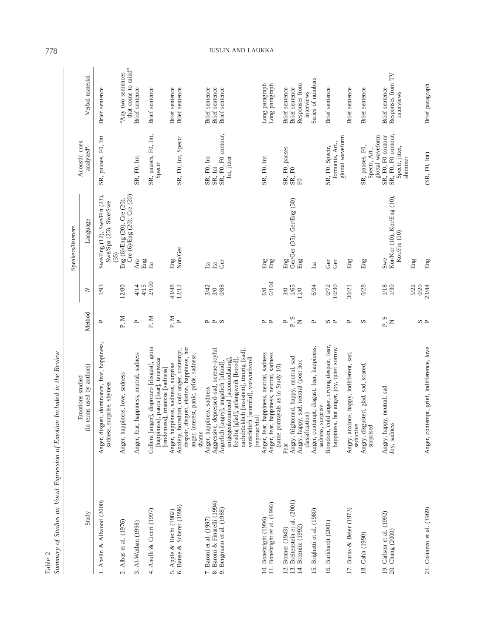| Summary of Studies on Vocal Expression of Emotion<br>Table 2 | Included in the Review                                                                                                                                                                                                                                                |                           |                           |                                                                                                               |                                                                                             |                                                   |
|--------------------------------------------------------------|-----------------------------------------------------------------------------------------------------------------------------------------------------------------------------------------------------------------------------------------------------------------------|---------------------------|---------------------------|---------------------------------------------------------------------------------------------------------------|---------------------------------------------------------------------------------------------|---------------------------------------------------|
|                                                              |                                                                                                                                                                                                                                                                       |                           |                           | Speakers/listeners                                                                                            |                                                                                             |                                                   |
| Study                                                        | (in terms used by authors)<br>Emotions studied                                                                                                                                                                                                                        | Method                    | z                         | Language                                                                                                      | Acoustic cues<br>analyzed <sup>a</sup>                                                      | Verbal material                                   |
| 1. Abelin & Allwood (2000)                                   | Anger, disgust, dominance, fear, happiness,<br>sadness, surprise, shyness                                                                                                                                                                                             | $\sim$                    | 1/93                      | $\begin{array}{l} \textrm{Swe/Eng (12), Swe/Fin (23),} \\ \textrm{Swe/Spa (23), Swe/Swe} \end{array}$<br>(35) | SR, pauses, F0, Int                                                                         | Brief sentence                                    |
| 2. Albas et al. (1976)                                       | Anger, happiness, love, sadness                                                                                                                                                                                                                                       | P, M                      | 12/80                     | Eng (6)/Eng (20), Cre (20),                                                                                   |                                                                                             | 'Any two sentences                                |
| 3. Al-Watban (1998)                                          | Anger, fear, happiness, neutral, sadness                                                                                                                                                                                                                              | $\sim$                    | 4/14                      | Cre (6)/Eng (20), Cre (20)<br>Ara                                                                             | SR, F0, Int                                                                                 | that come to mind"<br>Brief sentence              |
| 4. Anolli & Ciceri (1997)                                    | Collera [anger], disprezzo [disgust], gioia<br>paura [fear], tenerezza<br>[tenderness], tristezza [sadness]<br>[happiness],                                                                                                                                           | $\mathbb{P},\,\mathbb{M}$ | 2/100<br>4/15             | Eng<br>Ita                                                                                                    | SR, pauses, F0, Int,<br>Spectr                                                              | Brief sentence                                    |
| 5. Apple & Hecht (1982)<br>6. Banse & Scherer (1996)         | despair, disgust, elation, happiness, hot<br>Anxiety, boredom, cold anger, contempt,<br>anger, interest, panic, pride, sadness,<br>Anger, happiness, sadness, surprise<br>shame                                                                                       | P, M<br>$\sim$            | 43/48<br>12/12            | Non/Ger<br>Eng                                                                                                | SR, F0, Int, Spectr                                                                         | Brief sentence<br>Brief sentence                  |
| 7. Baroni et al. (1997)                                      | Anger, happiness, sadness                                                                                                                                                                                                                                             |                           |                           | Ita                                                                                                           | SR, F0, Int                                                                                 | Brief sentence                                    |
| 8. Baroni & Finarelli (1994)<br>9. Bergmann et al. (1988)    | Aggressive, depressed-sad, serene-joyful<br>nachdrücklich [insistent], traurig [sad],<br>entgegenkommend [accomodating],<br>freudig [glad], gelangweilt [bored],<br>[scomful], vorwurfsvoll<br>Ärgerlich [angry], ängstlich [afraid],<br>[reproachful]<br>verächtlich | $A$ $A$ $S$               | $3/42$<br>$3/8$<br>$0.88$ | Ger<br>Ita                                                                                                    | SR, F0, F0 contour,<br>Int, jitter<br>SR, Int                                               | Brief sentence<br>Brief sentence                  |
| 11. Bonebright et al. (1996)<br>10. Bonebright (1996)        | Anger, fear, happiness, neutral, sadness<br>Anger, fear, happiness, neutral, sadness<br>(same portrayals as in Study 10)                                                                                                                                              | $\sim \sim$               | 6/104<br>6/0              | ${\rm Eng}$<br>Eng                                                                                            | SR, F0, Int                                                                                 | Long paragraph<br>Long paragraph                  |
| 12. Bonner (1943)                                            | Fear                                                                                                                                                                                                                                                                  | $\mathbf{r}$              | 3/0                       | Eng                                                                                                           | SR, F0, pauses                                                                              | Brief sentence                                    |
| 13. Breitenstein et al. (2001)<br>14. Breznitz (1992)        | Angry, frightened, happy, neutral, sad<br>Angry, happy, sad, neutral (post hoc<br>classification)                                                                                                                                                                     | P, S                      | 1/65<br>11/0              | Ger/Ger (35), Ger/Eng (30)<br>Eng                                                                             | SR, FO<br>E0                                                                                | Responses from<br>Brief sentence<br>interviews    |
| 15. Brighetti et al. (1980)                                  | Anger, contempt, disgust, fear, happiness,<br>sadness, surprise                                                                                                                                                                                                       | $\sim$                    | 6/34                      | Ita                                                                                                           |                                                                                             | Series of numbers                                 |
| 16. Burkhardt (2001)                                         | Boredom, cold anger, crying despair, fear,<br>happiness, hot anger, joy, quiet sorrow                                                                                                                                                                                 | ΩA                        | 0/72<br>10/30             | Ger<br>Ger                                                                                                    | glottal waveform<br>formants, Art.,<br>SR, F0, Spectr,                                      | Brief sentence                                    |
| 17. Burns & Beier (1973)                                     | Angry, anxious, happy, indifferent, sad,<br>seductive                                                                                                                                                                                                                 | $\sim$                    | 30/21                     | Eng                                                                                                           |                                                                                             | Brief sentence                                    |
| 18. Cahn (1990)                                              | Angry, disgusted, glad, sad, scared,<br>surprised                                                                                                                                                                                                                     | S                         | 0/28                      | Eng                                                                                                           | SR, pauses, F0,<br>Spectr, Art.,                                                            | Brief sentence                                    |
| 19. Carlson et al. (1992)<br>20. Chung (2000)                | neutral, sad<br>Angry, happy,<br>Joy, sadness                                                                                                                                                                                                                         | P, S                      | 1/18<br>1/30              | Kor/Kor (10), Kor/Eng (10),<br>Kor/Fre (10)<br>Swe                                                            | SR, F0, F0 contour,<br>glottal waveform<br>SR, F0, F0 contour<br>Spectr, jitter,<br>shimmer | Responses from TV<br>Brief sentence<br>interviews |
|                                                              |                                                                                                                                                                                                                                                                       | ΩP                        | 5234<br>023<br>23,44      | ${\rm Eng}$                                                                                                   |                                                                                             |                                                   |
| 21. Costanzo et al. (1969)                                   | Anger, contempt, grief, indifference, love                                                                                                                                                                                                                            |                           |                           | Eng                                                                                                           | (SR, F0, Int)                                                                               | Brief paragraph                                   |

## 778 JUSLIN AND LAUKKA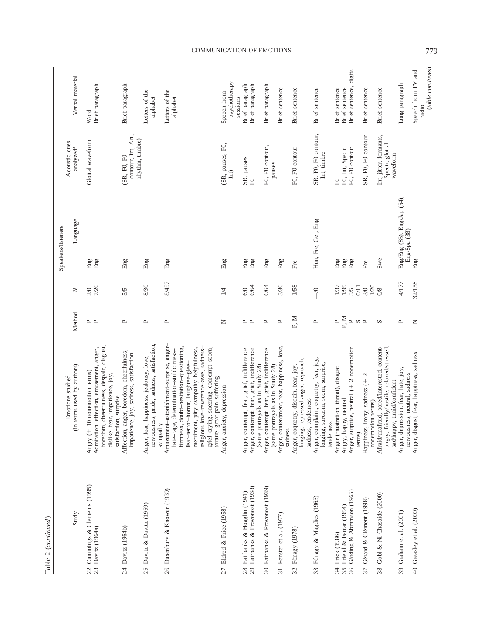|                                                                                 |                                                                                                                                                                                                                                                                                                               |                      |                             | Speakers/listeners                          |                                                       |                                                            |
|---------------------------------------------------------------------------------|---------------------------------------------------------------------------------------------------------------------------------------------------------------------------------------------------------------------------------------------------------------------------------------------------------------|----------------------|-----------------------------|---------------------------------------------|-------------------------------------------------------|------------------------------------------------------------|
| Study                                                                           | (in terms used by authors)<br>Emotions studied                                                                                                                                                                                                                                                                | Method               | z                           | Language                                    | Acoustic cues<br>analyzed <sup>a</sup>                | Verbal material                                            |
| 22. Cummings & Clements (1995)<br>23. Davitz (1964a)                            | boredom, cheerfulness, despair, disgust,<br>Admiration, affection, amusement, anger,<br>Angry $(+ 10$ nonemotion terms)<br>dislike, fear, impatience, joy,<br>surprise<br>satisfaction,                                                                                                                       | $\sim \sim$          | 2/20                        | Eng<br>Eng                                  | Glottal waveform                                      | Brief paragraph<br>Word                                    |
| 24. Davitz (1964b)                                                              | Affection, anger, boredom, cheerfulness,<br>impatience, joy, sadness, satisfaction                                                                                                                                                                                                                            | $\mathbf{r}$         | 5/5                         | Eng                                         | contour, Int, Art.,<br>(SR, F0, F0                    | Brief paragraph                                            |
| 25. Davitz & Davitz (1959)                                                      | nervousness, pride, sadness, satisfaction,<br>Anger, fear, happiness, jealousy, love,                                                                                                                                                                                                                         | $\mathbf{r}$         | 8/30                        | Eng                                         | rhythm, timbre)                                       | Letters of the<br>alphabet                                 |
| 26. Dusenbury & Knower (1939)                                                   | Amazement-astonishment-surprise, anger-<br>pity-sympathy-helpfulness,<br>grief-crying, sneering-contempt-scorn,<br>firmness, doubt-hesitation-questioning,<br>religious love-reverence-awe, sadness-<br>hate-rage, determination-stubborness-<br>fear-terror-horror, laughter-glee-<br>merriment,<br>sympathy | $\sim$               | 8/457                       | Eng                                         |                                                       | Letters of the<br>alphabet                                 |
| 27. Eldred & Price (1958)                                                       | torture-great pain-suffering<br>Anger, anxiety, depression                                                                                                                                                                                                                                                    | Z                    | 1/4                         | Eng                                         | (SR, pauses, F0,<br>Int)                              | psychotherapy<br>Speech from                               |
| 29. Fairbanks & Provonost (1938)<br>28. Fairbanks & Hoaglin (1941)              | Anger, contempt, fear, grief, indifference<br>Anger, contempt, fear, grief, indifference                                                                                                                                                                                                                      | $\sim$ $\sim$        | 6/64<br>6/0                 | Eng<br>Eng                                  | SR, pauses<br>$_{\rm F0}$                             | Brief paragraph<br>Brief paragraph<br>sessions             |
| 30. Fairbanks & Provonost (1939)                                                | Anger, contempt, fear, grief, indifference<br>(same portrayals as in Study 28)<br>(same portrayals as in Study 28)                                                                                                                                                                                            | $\sim$               | 6/64                        | Eng                                         | F0, F0 contour,                                       | Brief paragraph                                            |
| 31. Fenster et al. (1977)                                                       | Anger, contentment, fear, happiness, love,                                                                                                                                                                                                                                                                    | $\sim$               | 5/30                        | Eng                                         | pauses                                                | Brief sentence                                             |
| 32. Fónagy (1978)                                                               | longing, repressed anger, reproach,<br>Anger, coquetry, disdain, fear, joy,<br>sadness                                                                                                                                                                                                                        | P, M                 | 1/58                        | Fre                                         | F <sub>0</sub> , F <sub>0</sub> contour               | Brief sentence                                             |
| 33. Fónagy & Magdics (1963)                                                     | Anger, complaint, coquetry, fear, joy,<br>longing, sarcasm, scorn, surprise,<br>sadness, tenderness                                                                                                                                                                                                           | $\mathbf{r}$         | $\leq$                      | Hun, Fre, Ger, Eng                          | SR, F0, F0 contour,<br>Int, timbre                    | Brief sentence                                             |
| 36. Gårding & Abramson (1965)<br>35. Friend & Farrar (1994)<br>34. Frick (1986) | Anger, surprise, neutral $(+ 2$ nonemotion<br>Anger (frustration, threat), disgust<br>Angry, happy, neutral<br>tenderness                                                                                                                                                                                     | P, M<br>$\mathbf{r}$ | <b>13952828</b><br>19952828 | Eng<br>Eng<br>Eng                           | F0, F0 contour<br>F0, Int, Spectr<br>$_{\rm E}$       | Brief sentence, digits<br>Brief sentence<br>Brief sentence |
| 37. Gérard & Clément (1998)                                                     | Happiness, irony, sadness (+2<br>terms)                                                                                                                                                                                                                                                                       | $\sim$ 0 $\sim$      |                             | Fre                                         | SR, F0, F0 contour                                    | Brief sentence                                             |
| 38. Gobl & Ní Chasaide (2000)                                                   | Afraid/unafraid, bored/interested, content/<br>angry, friendly/hostile, relaxed/stressed<br>sad/happy, timid/confident<br>nonemotion terms)                                                                                                                                                                   | S                    |                             | Swe                                         | Int, jitter, formants,<br>Spectr, glottal<br>waveform | Brief sentence                                             |
| 39. Graham et al. (2001)                                                        | Anger, depression, fear, hate, joy,<br>nervousness, neutral, sadness                                                                                                                                                                                                                                          | $\sim$               | 4/177                       | Eng/Eng (85), Eng/Jap (54),<br>Eng/Spa (38) |                                                       | Long paragraph                                             |
| 40. Greasley et al. (2000)                                                      | Anger, disgust, fear, happiness, sadness                                                                                                                                                                                                                                                                      | Z                    | 32/158                      | Eng                                         |                                                       | (table continues)<br>Speech from TV and<br>radio           |

Table 2 (*continued*)

Table 2 (continued)

## COMMUNICATION OF EMOTIONS 779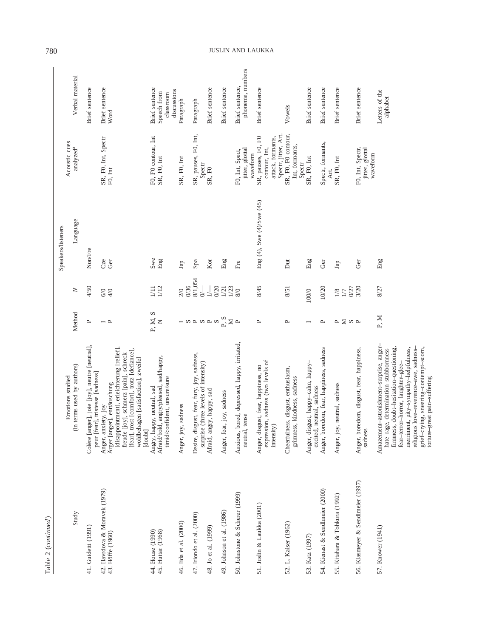| lable 2 (communed)                                |                                                                                                                                                                                                                                                                                                                                       |                                       |                                       |                           |                                                                                  |                                            |
|---------------------------------------------------|---------------------------------------------------------------------------------------------------------------------------------------------------------------------------------------------------------------------------------------------------------------------------------------------------------------------------------------|---------------------------------------|---------------------------------------|---------------------------|----------------------------------------------------------------------------------|--------------------------------------------|
|                                                   |                                                                                                                                                                                                                                                                                                                                       |                                       |                                       | Speakers/listeners        |                                                                                  |                                            |
| Study                                             | (in terms used by authors)<br>Emotions studied                                                                                                                                                                                                                                                                                        | Method                                | 2                                     | Language                  | Acoustic cues<br>analyzed <sup>a</sup>                                           | Verbal material                            |
| 41. Guidetti (1991)                               | joie [joy], neutre [neutral],<br>Colère [anger],                                                                                                                                                                                                                                                                                      | $\mathbf{r}$                          | 4/50                                  | Non/Fre                   |                                                                                  | Brief sentence                             |
| 42. Havrdova & Moravek (1979)<br>43. Höffe (1960) | [disappointment], erleichterung [relief],<br>[fear], trost [comfort], trotz [defiance],<br>freude [joy], schmerz [pain], schreck<br>wohlbehagen [satisfaction], zweifel<br>peur [fear], tristesse [sadness]<br>enttäuschung<br>Anger, anxiety, joy<br>Ärger [anger],                                                                  | $\mathbf{r}$                          | $6/0$<br>4/0                          | Cze<br>Ger                | SR, F0, Int, Spectr<br>F0, Int                                                   | Brief sentence<br>Word                     |
| 44. House (1990)<br>45. Huttar (1968)             | Angry, happy, neutral, sad<br>Afraid/bold, angry/pleased, sad/happy,<br>timid/confident, unsure/sure<br>[doubt]                                                                                                                                                                                                                       | P, M, S                               | $\frac{1}{112}$                       | Swe<br>Eng                | F0, F0 contour, Int<br>SR, F0, Int                                               | Brief sentence<br>Speech from<br>classroom |
| 46. Iida et al. (2000)                            | Anger, joy, sadness                                                                                                                                                                                                                                                                                                                   | $\overline{ }$                        | 0/36<br>2/0                           | Jap                       | SR, F0, Int                                                                      | discussions<br>Paragraph                   |
| 47. Iriondo et al. (2000)                         | Desire, disgust, fear, fury, joy, sadness,                                                                                                                                                                                                                                                                                            |                                       | 8/1,054                               | Spa                       | SR, pauses, F0, Int,                                                             | Paragraph                                  |
| 48. Jo et al. (1999)                              | surprise (three levels of intensity)<br>happy, sad<br>Afraid, angry,                                                                                                                                                                                                                                                                  | M <b>A</b>                            | 0/20<br>$\overline{\gamma}$<br>$\geq$ | Kor                       | Spectr<br>SR, FO                                                                 | Brief sentence                             |
| 49. Johnson et al. (1986)                         | Anger, fear, joy, sadness                                                                                                                                                                                                                                                                                                             | $\sum_{i=1}^{n}$ $\geq$ $\frac{1}{n}$ | 1/21<br>1/23                          | Eng                       |                                                                                  | Brief sentence                             |
| 50. Johnstone & Scherer (1999)                    | Anxious, bored, depressed, happy, irritated,<br>neutral, tense                                                                                                                                                                                                                                                                        |                                       | 8/0                                   | Fre                       | jitter, glottal<br>F0, Int, Spect,<br>waveform                                   | phoneme, numbers<br>Brief sentence,        |
| 51. Juslin & Laukka (2001)                        | expression, sadness (two levels of<br>fear, happiness, no<br>Anger, disgust,<br>intensity)                                                                                                                                                                                                                                            | $\sim$                                | 8/45                                  | Eng (4), Swe (4)/Swe (45) | Spectr, jitter, Art.<br>SR, pauses, F0, F0<br>attack, formants,<br>contour, Int, | Brief sentence                             |
| 52. L. Kaiser (1962)                              | Cheerfulness, disgust, enthusiasm,<br>grimness, kindness, sadness                                                                                                                                                                                                                                                                     | $\sim$                                | 8/51                                  | Dut                       | SR, F0, F0 contour,<br>Int, formants,<br>Spectr                                  | Vowels                                     |
| 53. Katz (1997)                                   | happy-calm, happy-<br>excited, neutral, sadness<br>Anger, disgust,                                                                                                                                                                                                                                                                    |                                       | 100/0                                 | ${\rm Eng}$               | SR, F0, Int                                                                      | Brief sentence                             |
| 54. Kienast & Sendlmeier (2000)                   | Anger, boredom, fear, happiness, sadness                                                                                                                                                                                                                                                                                              | $\sim$                                | 10/20                                 | Ger                       | Spectr, formants,<br>Art.                                                        | Brief sentence                             |
| 55. Kitahara & Tohkura (1992)                     | Anger, joy, neutral, sadness                                                                                                                                                                                                                                                                                                          | $P \geq 0$                            | $\frac{1}{8}$                         | $_{\mathrm{Jap}}$         | SR, F0, Int                                                                      | Brief sentence                             |
| 56. Klasmeyer & Sendlmeier (1997)                 | Anger, boredom, disgust, fear, happiness,<br>sadness                                                                                                                                                                                                                                                                                  |                                       | $0/27$<br>$3/20$                      | Ger                       | F0, Int, Spectr,<br>jitter, glottal<br>waveform                                  | Brief sentence                             |
| 57. Knower (1941)                                 | Amazement-astonishment-surprise, anger-<br>hate-rage, determination-stubbornness-<br>firmness, doubt-hesitation-questioning,<br>sneering-contempt-scorn,<br>religious love-reverence-awe, sadness-<br>merriment, pity-sympathy-helpfulness,<br>fear-terror-horror, laughter-glee-<br>pain-suffering<br>grief-crying,<br>torture-great | P, M                                  | 8/27                                  | Eng                       |                                                                                  | Letters of the<br>alphabet                 |

Table 2 (*continued*)

Table 2  $\left( continued \right)$ 

## 780 JUSLIN AND LAUKKA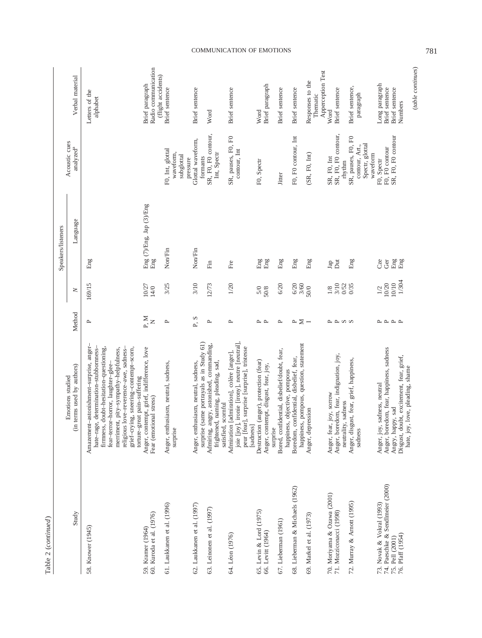|                                                                                  |                                                                                                                                                                                                                                                                                                 |                                                 |                | Speakers/listeners                    |                                                                                    |                                                              |
|----------------------------------------------------------------------------------|-------------------------------------------------------------------------------------------------------------------------------------------------------------------------------------------------------------------------------------------------------------------------------------------------|-------------------------------------------------|----------------|---------------------------------------|------------------------------------------------------------------------------------|--------------------------------------------------------------|
| Study                                                                            | (in terms used by authors)<br>Emotions studied                                                                                                                                                                                                                                                  | Method                                          | z              | Language                              | Acoustic cues<br>analyzed <sup>a</sup>                                             | Verbal material                                              |
| 58. Knower (1945)                                                                | Amazement-astonishment-surprise, anger-<br>hate-rage, determination-stubbornness-<br>merriment, pity-sympathy-helpfulness,<br>firmness, doubt-hesitation-questioning,<br>grief-crying, sneering-contempt-scorn,<br>religious love-reverence-awe, sadness-<br>fear-terror-horror, laughter-glee- | ≏                                               | 169/15         | Eng                                   |                                                                                    | Letters of the<br>alphabet                                   |
| 60. Kuroda et al. (1976)<br>59. Kramer (1964)                                    | Anger, contempt, grief, indifference, love<br>torture-great pain-suffering<br>Fear (emotional stress)                                                                                                                                                                                           | P, M<br>Z                                       | 10/27<br>14/0  | Eng $(7)$ /Eng, Jap $(3)$ /Eng<br>Eng |                                                                                    | Radio communication<br>(flight accidents)<br>Brief paragraph |
| 61. Laukkanen et al. (1996)                                                      | Anger, enthusiasm, neutral, sadness,<br>surprise                                                                                                                                                                                                                                                | $\sim$                                          | 3/25           | Non/Fin                               | F0, Int, glottal<br>waveform,<br>subglottal<br>pressure                            | Brief sentence                                               |
| 62. Laukkanen et al. (1997)                                                      | surprise (same portrayals as in Study 61)<br>Anger, enthusiasm, neutral, sadness,                                                                                                                                                                                                               | P, S                                            | 3/10           | Non/Fin                               | Glottal waveform,<br>formants                                                      | Brief sentence                                               |
| 63. Leinonen et al. (1997)                                                       | Admiring, angry, astonished, commanding,<br>naming, pleading, sad,<br>satisfied, scomful<br>frightened,                                                                                                                                                                                         | $\sim$                                          | 12/73          | Fin                                   | SR, F0, F0 contour,<br>Int, Spectr                                                 | Word                                                         |
| 64. Léon (1976)                                                                  | joie [joy], ironie [irony], neutre [neutral],<br>surprise [surprise], tristesse<br>Admiration [admiration], colère [anger],<br>peur [fear],<br>[sadness]                                                                                                                                        | д                                               | $1/20$         | Fre                                   | SR, pauses, F0, F0<br>contour, Int                                                 | Brief sentence                                               |
| 65. Levin & Lord (1975)<br>66. Levitt (1964)                                     | Destruction (anger), protection (fear)<br>Anger, contempt, disgust, fear, joy,<br>surprise                                                                                                                                                                                                      | $\mathbf{a} \mathbf{a}$                         | 5/0<br>50/8    | Eng<br>Eng                            | F0, Spectr                                                                         | Brief paragraph<br>Word                                      |
| 67. Lieberman (1961)                                                             | Bored, confidential, disbelief/doubt, fear,<br>happiness, objective, pompous                                                                                                                                                                                                                    | ≏                                               | 6/20           | Eng                                   | Jitter                                                                             | Brief sentence                                               |
| 68. Lieberman & Michaels (1962)                                                  | happiness, pompous, question, statement<br>Boredom, confidential, disbelief, fear,                                                                                                                                                                                                              | $\geq$ $-$<br>$\mathbf{r}$                      | $6/20$<br>3/60 | Eng                                   | F0, F0 contour, Int                                                                | Brief sentence                                               |
| 69. Markel et al. (1973)                                                         | Anger, depression                                                                                                                                                                                                                                                                               |                                                 | 50/0           | Eng                                   | (SR, F0, Int)                                                                      | Apperception Test<br>Responses to the<br>Thematic            |
| 70. Moriyama & Ozawa (2001)<br>71. Mozziconacci (1998)                           | Anger, boredom, fear, indignation, joy,<br>Anger, fear, joy, sorrow                                                                                                                                                                                                                             | $P$ $P$ $Q$ $Q$                                 | 3/10<br>1/8    | Jap<br>Dut                            | SR, F0, F0 contour,<br>SR, F0, Int                                                 | Brief sentence<br>Word                                       |
|                                                                                  | neutrality, sadness                                                                                                                                                                                                                                                                             |                                                 | 0/52<br>0/35   |                                       | rhythm                                                                             |                                                              |
| 72. Murray & Arnott (1995)                                                       | Anger, disgust, fear, grief, happiness,<br>sadness                                                                                                                                                                                                                                              |                                                 |                | Eng                                   | F <sub>0</sub><br>Spectr, glottal<br>SR, pauses, F0,<br>contour, Art.,<br>waveform | Brief sentence,<br>paragraph                                 |
| 74. Paeschke & Sendlmeier (2000)<br>75. Pell (2001)<br>73. Novak & Vokral (1993) | Anger, boredom, fear, happiness, sadness<br>Anger, joy, sadness, neutral                                                                                                                                                                                                                        | $\triangle$ $\triangle$ $\triangle$ $\triangle$ | 10/20<br>1/2   | Cze<br>Ger                            | F0, F0 contour<br>F0, Spectr                                                       | Long paragraph<br>Brief sentence                             |
| 76. Pfaff (1954)                                                                 | Disgust, doubt, excitement, fear, grief,<br>hate, joy, love, pleading, shame<br>Angry, happy, sad                                                                                                                                                                                               |                                                 | 1/304<br>10/10 | Eng<br>Eng                            | SR, F0, F0 contour                                                                 | Brief sentence<br>Numbers                                    |
|                                                                                  |                                                                                                                                                                                                                                                                                                 |                                                 |                |                                       |                                                                                    | (table continues)                                            |

Table 2 (*continued*)

 $Table\ 2\ (continued)$ 

## COMMUNICATION OF EMOTIONS 781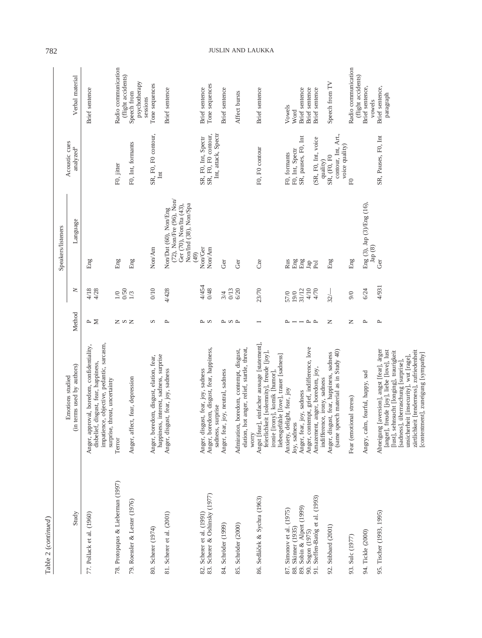|                                   |                                                                                                                                                                                                                                                                                                              |                          |                          | Speakers/listeners                                                                                                  |                                                      |                                           |
|-----------------------------------|--------------------------------------------------------------------------------------------------------------------------------------------------------------------------------------------------------------------------------------------------------------------------------------------------------------|--------------------------|--------------------------|---------------------------------------------------------------------------------------------------------------------|------------------------------------------------------|-------------------------------------------|
| Study                             | (in terms used by authors)<br>Emotions studied                                                                                                                                                                                                                                                               | Method                   | z                        | Language                                                                                                            | Acoustic cues<br>analyzed <sup>a</sup>               | Verbal material                           |
| 77. Pollack et al. (1960)         | objective, pedantic, sarcasm,<br>Anger, approval, boredom, confidentiality,<br>disbelief, disgust, fear, happiness,<br>surprise, threat, uncertainty<br>impatience,                                                                                                                                          | $\mathbb{L} \, \geq$     | 4/28<br>4/18             | Eng                                                                                                                 |                                                      | Brief sentence                            |
| 78. Protopapas & Lieberman (1997) | Terror                                                                                                                                                                                                                                                                                                       | znz                      | 0/50<br>$\overline{1/0}$ | Eng                                                                                                                 | F <sub>0</sub> , jitter                              | Radio communication<br>(flight accidents) |
| 79. Roessler & Lester (1976)      | fear, depression<br>Anger, affect,                                                                                                                                                                                                                                                                           |                          | $1/3$                    | Eng                                                                                                                 | F0, Int, formants                                    | psychotherapy<br>Speech from<br>sessions  |
| 80. Scherer (1974)                | happiness, interest, sadness, surprise<br>Anger, boredom, disgust, elation, fear,                                                                                                                                                                                                                            | S                        | 0/10                     | Non/Am                                                                                                              | SR, F0, F0 contour,<br>$\overline{\mathbb{H}}$       | Tone sequences                            |
| 81. Scherer et al. (2001)         | Anger, disgust, fear, joy, sadness                                                                                                                                                                                                                                                                           | $\sim$                   | 4/428                    | $(72)$ , Non/Fre $(96)$ , Non/<br>Non/Ind (38), Non/Spa<br>Ger (70), Non/Ita (43),<br>Non/Dut (60), Non/Eng<br>(49) |                                                      | Brief sentence                            |
| 82. Scherer et al. (1991)         | Anger, disgust, fear, joy, sadness                                                                                                                                                                                                                                                                           |                          | 4/454                    | Non/Ger                                                                                                             | SR, F0, Int, Spectr                                  | Brief sentence                            |
| 83. Scherer & Oshinsky (1977)     | Anger, boredom, disgust, fear, happiness,<br>sadness, surprise                                                                                                                                                                                                                                               | <b>A</b> ω               | 0/48                     | Non/Am                                                                                                              | SR, F0, F0 contour,<br>Int, attack, Spectr           | Tone sequences                            |
| 84. Schröder (1999)               | Anger, fear, joy, neutral, sadness                                                                                                                                                                                                                                                                           | $A \n0$                  | 0/13<br>3/4              | Ger                                                                                                                 |                                                      | Brief sentence                            |
| 85. Schröder (2000)               | elation, hot anger, relief, startle, threat,<br>Admiration, boredom, contempt, disgust,<br>WOITY                                                                                                                                                                                                             |                          | 6/20                     | Ger                                                                                                                 |                                                      | Affect bursts                             |
| 86. Sedláček & Sychra (1963)      | Angst [fear], einfacher aussage [statement],<br>feierlichkeit [solemnity], freude [joy],<br>liebesgefühle [love], trauer [sadness]<br>ironie [irony], komik [humor],                                                                                                                                         |                          | 23/70                    | Cze                                                                                                                 | F0, F0 contour                                       | Brief sentence                            |
| 87. Simonov et al. (1975)         | Anxiety, delight, fear, joy                                                                                                                                                                                                                                                                                  | $\mathbf{r}$             | 57/0                     | Rus                                                                                                                 | F <sub>0</sub> , formants                            | Vowels                                    |
| 88. Skinner (1935)                | Joy, sadness                                                                                                                                                                                                                                                                                                 |                          | 19/0                     | Eng                                                                                                                 | F0, Int, Spectr                                      | Word                                      |
| 89. Sobin & Alpert (1999)         | Anger, fear, joy, sadness                                                                                                                                                                                                                                                                                    | $\overline{\phantom{0}}$ | 31/12                    | Eng                                                                                                                 | SR, pauses, F0, Int                                  | Brief sentence                            |
| 90. Sogon (1975)                  | Anger, contempt, grief, indifference, love                                                                                                                                                                                                                                                                   | $\sim \sim$              | $4/10$                   | $_{\rm{lap}}$                                                                                                       |                                                      | Brief sentence                            |
| 91. Steffen-Batóg et al. (1993)   | Amazement, anger, boredom, joy,<br>indifference, irony, sadness                                                                                                                                                                                                                                              |                          | 4/70                     | Pol                                                                                                                 | (SR, F0, Int, voice<br>quality)                      | Brief sentence                            |
| 92. Stibbard (2001)               | (same speech material as in Study 40)<br>Anger, disgust, fear, happiness, sadness                                                                                                                                                                                                                            | Z                        | 32/                      | Eng                                                                                                                 | contour, Int, Art.,<br>voice quality)<br>SR, (F0, F0 | Speech from TV                            |
| 93. Sulc (1977)                   | Fear (emotional stress)                                                                                                                                                                                                                                                                                      | Z                        | 9/0                      | Eng                                                                                                                 | E <sub>0</sub>                                       | Radio communication<br>(flight accidents) |
| 94. Tickle (2000)                 | Angry, calm, fearful, happy, sad                                                                                                                                                                                                                                                                             | $\sim$                   | 6/24                     | Eng (3), Jap (3)/Eng (16),<br>Jap $(8)$                                                                             |                                                      | Brief sentence,<br>vowels                 |
| 95. Tischer (1993, 1995)          | Abneigung [aversion], angst [fear], ärger<br>[anger], freude [joy], liebe [love], lust<br>[tenderness], zufriedenheit<br>[lust], sehnsucht [longing], traurigkeit<br>[contentment], zuneigung [sympathy]<br>[insecurity], wut [rage],<br>[sadness], überraschung [surprise],<br>unsicherheit<br>zärtlichkeit | $\sim$                   | 4/931                    | Ger                                                                                                                 | SR, Pauses, FO, Int                                  | Brief sentence,<br>paragraph              |

Table 2 (*continued*)

 $Table~2~(continued)$ 

## 782 JUSLIN AND LAUKKA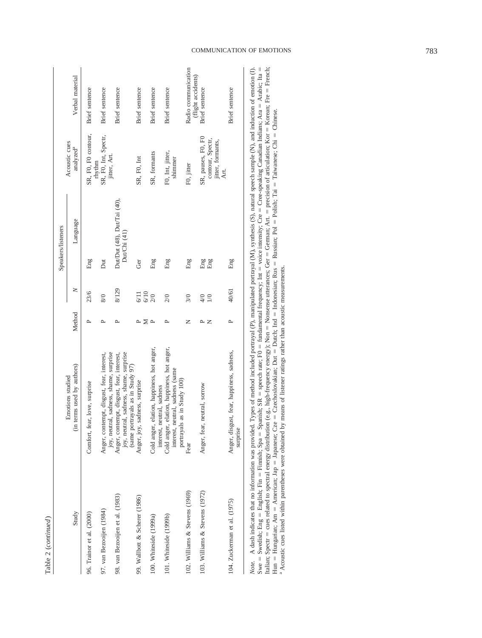| t<br>ï |
|--------|
| ٠,     |
|        |
|        |
|        |

|                                 |                                                                                                                                                                                                     |        |                     | Speakers/listeners                                      |                                                                     |                                           |
|---------------------------------|-----------------------------------------------------------------------------------------------------------------------------------------------------------------------------------------------------|--------|---------------------|---------------------------------------------------------|---------------------------------------------------------------------|-------------------------------------------|
| Study                           | (in terms used by authors)<br>Emotions studied                                                                                                                                                      | Method | $\geq$              | Language                                                | Acoustic cues<br>analyzed <sup>a</sup>                              | Verbal material                           |
| 96. Trainor et al. (2000)       | Comfort, fear, love, surprise                                                                                                                                                                       | ≏      | 23/6                | Eng                                                     | SR, F0, F0 contour,<br>rhythm                                       | Brief sentence                            |
| 97. van Bezooijen (1984)        | sadness, shame, surprise<br>Anger, contempt, disgust, fear, interest,<br>joy, neutral,                                                                                                              |        | 8/0                 | <b>Dut</b>                                              | SR, F0, Int, Spectr,<br>jitter, Art.                                | Brief sentence                            |
| 98. van Bezooijen et al. (1983) | joy, neutral, sadness, shame, surprise<br>Anger, contempt, disgust, fear, interest,<br>(same portrayals as in Study 97)                                                                             |        | 8/129               | Dut/Dut (48), Dut/Tai (40),<br>$\text{D}$ ut/Chi $(41)$ |                                                                     | Brief sentence                            |
| 99. Wallbott & Scherer (1986)   | Anger, joy, sadness, surprise                                                                                                                                                                       | ⋝      | 6/11<br>6/10<br>2/0 | Ger                                                     | SR, F0, Int                                                         | Brief sentence                            |
| 100. Whiteside (1999a)          | Cold anger, elation, happiness, hot anger,<br>interest, neutral, sadness                                                                                                                            | $\sim$ |                     | Eng                                                     | SR, formants                                                        | Brief sentence                            |
| 101. Whiteside (1999b)          | Cold anger, elation, happiness, hot anger,<br>interest, neutral, sadness (same<br>portrayals as in Study 100)                                                                                       | ≏      | 2/0                 | Eng                                                     | F0, Int, jitter,<br>shimmer                                         | Brief sentence                            |
| 102. Williams & Stevens (1969)  | Fear                                                                                                                                                                                                | z      | $\frac{3}{0}$       | Eng                                                     | F0, jitter                                                          | Radio communication<br>(flight accidents) |
| 103. Williams & Stevens (1972)  | Anger, fear, neutral, sorrow                                                                                                                                                                        | z<br>≏ | 4/0<br>1/0          | Eng<br>Eng                                              | SR, pauses, F0, F0<br>contour, Spectr,<br>jitter, formants,<br>Art. | Brief sentence                            |
| 104. Zuckerman et al. (1975)    | fear, happiness, sadness,<br>Anger, disgust,<br>surprise                                                                                                                                            | $\sim$ | 40/61               | Eng                                                     |                                                                     | Brief sentence                            |
|                                 | Note. A dash indicates that no information was provided. Types of method included portrayal (P), manipulated portrayal (M), synthesis (S), natural speech sample (N), and induction of emotion (I). |        |                     |                                                         |                                                                     |                                           |

Nove: A dash mucates that no information was provided. Lypes or memod included portrayal (P), mampulated portrayal (M), synthests (S), natural speech sample (N), and induction of emotion (I).<br>Swe = Swedish; Eng = English; *Note.* A dash indicates that no information was provided. Types of method included portrayal (P), manipulated portrayal (M), synthesis (S), natural speech sample (N), and induction of emotion (I). Italian; Spectr = cues related to spectral energy distribution (e.g., high-frequency energy); Non = Nonsense utterances; Ger = German; Art. = precision of articulation; Kor = Korean; Fre = French; Swe = Swedish; Eng = English; Finnish; Spa = Spanish; SR = speech rate; F0 = fundamental frequency; Int = voice intensity; Cre = Cree-speaking Canadian Indians; Ara = Arabic; Ita = Hun Hungarian; Am American; Jap Japanese; Cze Czechoslovakian; Dut Dutch; Ind Indonesian; Rus Russian; Pol Polish; Tai Taiwanese; Chi Chinese. Acoustic cues listed within parentheses were obtained by means of listener ratings rather than acoustic measurements.  $\approx$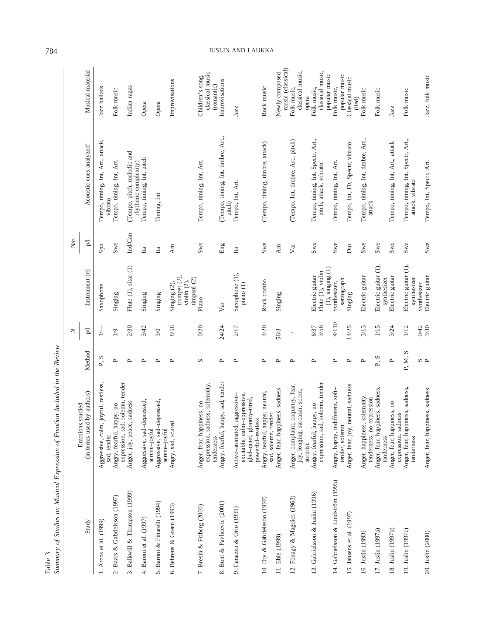|                                    |                                                                                                               |                   | $\geq$        |                                                               | Nat.                     |                                                             |                                                   |
|------------------------------------|---------------------------------------------------------------------------------------------------------------|-------------------|---------------|---------------------------------------------------------------|--------------------------|-------------------------------------------------------------|---------------------------------------------------|
| Study                              | by authors)<br>Emotions studied<br>(in terms used                                                             | Method            | $\mathbb N$   | Instrument $(n)$                                              | $\rm \stackrel{>}{\sim}$ | Acoustic cues analyzed <sup>a</sup>                         | Musical material                                  |
| 1. Arcos et al. (1999)             | Aggressive, calm, joyful, restless,<br>sad, tender                                                            | $\infty$<br>ρí,   | 닠             | Saxophone                                                     | Spa                      | Tempo, timing, Int, Art., attack,                           | Jazz ballads                                      |
| 2. Baars & Gabrielsson (1997)      | solemn, tender<br>Angry, fearful, happy, no<br>expression, sad,                                               | $\sim$            | 1/9           | Singing                                                       | Swe                      | Tempo, timing, Int, Art<br>vibrato                          | Folk music                                        |
| 3. Balkwill & Thompson (1999)      | sadness<br>Anger, joy, peace,                                                                                 | $\sim$            | 2/30          | Flute $(1)$ , sitar $(1)$                                     | Ind/Can                  | (Tempo, pitch, melodic and<br>rhythmic complexity)          | Indian ragas                                      |
| 4. Baroni et al. (1997)            | Aggressive, sad-depressed,                                                                                    | $\sim$            | 3/42          | Singing                                                       | Ita                      | Tempo, timing, Int, pitch                                   | Opera                                             |
| 5. Baroni & Finarelli (1994)       | Aggressive, sad-depressed,<br>serene-joyful<br>serene-joyful                                                  | $\sim$            | $\frac{3}{0}$ | Singing                                                       | Ita                      | Timing, Int                                                 | Opera                                             |
| 6. Behrens & Green (1993)          | Angry, sad, scared                                                                                            | $\sim$            | 8/58          | trumpet (2),<br>timpani (2)<br>violin $(2)$ ,<br>Singing (2), | Am                       |                                                             | Improvisations                                    |
| 7. Bresin & Friberg (2000)         | expression, sadness, solemnity,<br>Anger, fear, happiness, no<br>tenderness                                   | S                 | 0/20          | Piano                                                         | Swe                      | Tempo, timing, Int, Art.                                    | classical music<br>Children's song,<br>(romantic) |
| 8. Bunt & Pavlicevic (2001)        | Angry, fearful, happy, sad, tender                                                                            | $\sim$            | 24/24         | Var                                                           | Eng                      | (Tempo, timing, Int, timbre, Art.,<br>pitch)                | Improvisations                                    |
| 9. Canazza & Orio (1999)           | excitable, calm-oppressive,<br>Active-animated, aggressive-<br>glad-quiet, gloomy-tired,<br>powerful-restless | $\sim$            | 2/17          | Saxophone (1),<br>piano (1)                                   | Ita                      | Tempo, Int, Art.                                            | Jazz                                              |
| 10. Dry & Gabrielsson (1997)       | Angry, fearful, happy, neutral,<br>sad, solemn, tender                                                        | $\sim$            | 4/20          | Rock combo                                                    | Swe                      | (Tempo, timing, timbre, attack)                             | Rock music                                        |
| 11. Ebie (1999)                    | Anger, fear, happiness, sadness                                                                               | $\sim$            | 56/3          | Singing                                                       | Am                       |                                                             | music (classical)<br>Newly composed               |
| 12. Fónagy & Magdics (1963)        | coquetry, fear,<br>joy, longing, sarcasm, scorn,<br>Anger, complaint,<br>surprise                             | $\sim$            |               |                                                               | Var                      | (Tempo, Int, timbre, Art., pitch)                           | classical music,<br>Folk music,<br>opera          |
| 13. Gabrielsson & Juslin (1996)    | solemn, tender<br>Angry, fearful, happy, no<br>expression, sad,                                               | $\sim$            | 3/56<br>6/37  | $(1)$ , singing $(1)$<br>Flute (1), violin<br>Electric guitar | Swe                      | Tempo, timing, Int, Spectr, Art.,<br>pitch, attack, vibrato | classical music,<br>popular music<br>Folk music,  |
| 14. Gabrielsson & Lindström (1995) | Angry, happy, indifferent, soft-<br>tender, solemn                                                            | $\sim$            | 4/110         | sentograph<br>Synthesizer,                                    | Swe                      | Tempo, timing, Int, Art.                                    | popular music<br>Folk music,                      |
| 15. Jansens et al. (1997)          | Anger, fear, joy, neutral, sadness                                                                            | $\sim$            | 14/25         | Singing                                                       | Dut                      | Tempo, Int, F0, Spectr, vibrato                             | Classical music<br>(lied)                         |
| 16. Juslin (1993)                  | Anger, happiness, solemnity,<br>tenderness, no expression                                                     | $\sim$            | 3/13          | Electric guitar                                               | Swe                      | Tempo, timing, Int, timbre, Art.,<br>attack                 | Folk music                                        |
| 17. Juslin (1997a)                 | Anger, fear, happiness, sadness,<br>tenderness                                                                | P, S              | 1/15          | Electric guitar (1),<br>synthesizer                           | Swe                      |                                                             | Folk music                                        |
| 18. Juslin (1997b)                 | Anger, fear, happiness, no<br>expression, sadness                                                             | $\sim$            | 3/24          | Electric guitar                                               | Swe                      | Tempo, timing, Int, Art., attack                            | Jazz                                              |
| 19. Juslin (1997c)                 | Anger, fear, happiness, sadness,<br>tenderness                                                                | P, M, S           | 1/12          | Electric guitar (1),<br>synthesizer                           | Swe                      | Tempo, timing, Int, Spectr, Art.,<br>attack, vibrato        | Folk music                                        |
| 20. Juslin (2000)                  | Anger, fear, happiness, sadness                                                                               | $\Omega$ $\Delta$ | 3/30<br>0/42  | Electric guitar<br>Synthesizer                                | Swe                      | Tempo, Int, Spectr, Art.                                    | Jazz, folk music                                  |

Table 3<br>Summary of Studies on Musical Expression of Emotion Included in the Review Summary of Studies on Musical Expression of Emotion Included in the Review

## 784 JUSLIN AND LAUKKA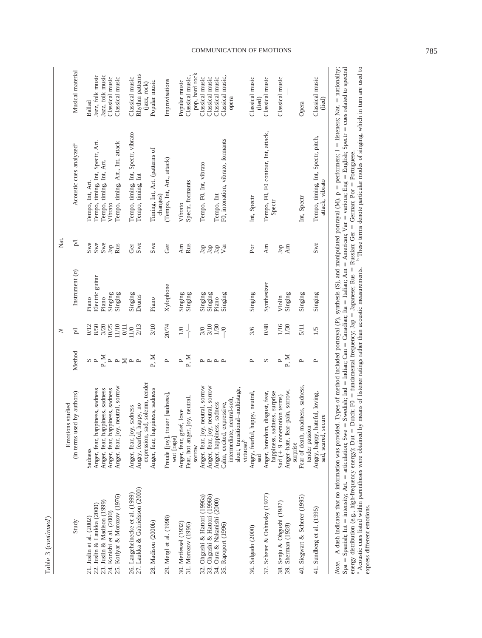|                                 |                                                                                                                       |                                                 | $\geq$             |                  | Nat.                        |                                                                                                                                                                          |                                    |
|---------------------------------|-----------------------------------------------------------------------------------------------------------------------|-------------------------------------------------|--------------------|------------------|-----------------------------|--------------------------------------------------------------------------------------------------------------------------------------------------------------------------|------------------------------------|
| Study                           | (in terms used by authors)<br>Emotions studied                                                                        | Method                                          | Σ                  | Instrument $(n)$ | Pd                          | Acoustic cues analyzed <sup>a</sup>                                                                                                                                      | Musical material                   |
| 21. Juslin et al. (2002)        | Sadness                                                                                                               |                                                 | 0/12               | Piano            | Swe                         | Tempo, Int, Art.                                                                                                                                                         | Ballad                             |
| 22. Juslin & Laukka (2000)      | Anger, fear, happiness, sadness                                                                                       | $\Omega$                                        | 8/50               | Electric guitar  | Swe                         | Tempo, timing, Int, Spectr, Art.                                                                                                                                         | Jazz, folk music                   |
| 23. Juslin & Madison (1999)     | Anger, fear, happiness, sadness                                                                                       | $\sum\limits_{\mathbf{p},\mathbf{p}}\mathbf{p}$ | 3/20               | Piano            | Swe                         | Tempo, timing, Int, Art                                                                                                                                                  | Jazz, folk music                   |
| 24. Konishi et al. (2000)       | Anger, fear, happiness, sadness                                                                                       |                                                 | 10/25              | Singing          | Jap<br>Rus                  | Vibrato                                                                                                                                                                  | Classical music                    |
| 25. Kotlyar & Morozov (1976)    | Anger, fear, joy, neutral, sorrow                                                                                     |                                                 | $rac{1}{2}$        | Singing          |                             | Tempo, timing, Art., Int, attack                                                                                                                                         | Classical music                    |
| 26. Langeheinecke et al. (1999) | Anger, fear, joy, sadness                                                                                             | $\Xi$ $\simeq$ $\simeq$                         | 11/0               | Singing          | Ger                         | Tempo, timing, Int, Spectr, vibrato                                                                                                                                      | Classical music                    |
| 27. Laukka & Gabrielsson (2000) | expression, sad, solemn, tender<br>Angry, fearful, happy, no                                                          |                                                 | 2/13               | Drums            | Swe                         | Tempo, timing, Int                                                                                                                                                       | Rhythm patterns<br>(jazz, rock)    |
| 28. Madison (2000b)             | Anger, fear, happiness, sadness                                                                                       | P, M                                            | 3/10               | Piano            | Swe                         | Timing, Int, Art. (patterns of<br>changes)                                                                                                                               | Popular music                      |
| 29. Mergl et al. (1998)         | Freude [joy], trauer [sadness],<br>wut [rage]                                                                         | $\sim$                                          | 20/74              | Xylophone        | Ger                         | (Tempo, Int, Art., attack)                                                                                                                                               | Improvisations                     |
| 30. Metfessel (1932)            | Anger, fear, grief, love                                                                                              | $\sim$                                          | $1/0$              | Singing          | Am                          | Vibrato                                                                                                                                                                  | Popular music                      |
| 31. Morozov (1996)              | Fear, hot anger, joy, neutral,<br>SOITOW                                                                              | P, M                                            | $\frac{1}{\Gamma}$ | Singing          | Rus                         | Spectr, formants                                                                                                                                                         | pop, hard rock<br>Classical music, |
| 32. Ohgushi & Hattori (1996a)   | Anger, fear, joy, neutral, sorrow                                                                                     |                                                 |                    | Singing          | Jap                         | Tempo, F0, Int, vibrato                                                                                                                                                  | Classical music                    |
| 33. Ohgushi & Hattori (1996b)   | Anger, fear, joy, neutral, sorrow                                                                                     | $\sim \sim \sim \sim$                           | 2222               | Singing          | $\mathop{\rm Jap}\nolimits$ |                                                                                                                                                                          | Classical music                    |
| 34. Oura & Nakanishi (2000)     | Anger, happiness, sadness                                                                                             |                                                 |                    | Piano            | Jap<br>Var                  | Tempo, Int                                                                                                                                                               | Classical music                    |
| 35. Rapoport (1996)             | short, transitional-multistage,<br>intermediate, neutral-soft,<br>Calm, excited, expressive,<br>virtuoso <sup>b</sup> |                                                 |                    | Singing          |                             | F0, intonation, vibrato, formants                                                                                                                                        | Classical music,<br>opera          |
| 36. Salgado (2000)              | Angry, fearful, happy, neutral,<br>sad                                                                                | д                                               | 3/6                | Singing          | Por                         | Int, Spectr                                                                                                                                                              | Classical music<br>(lied)          |
| 37. Scherer & Oshinsky (1977)   | Anger, boredom, disgust, fear,<br>happiness, sadness, surprise                                                        | S                                               | 0/48               | Synthesizer      | Am                          | Tempo, F0, F0 contour, Int, attack,<br>Spectr                                                                                                                            | Classical music                    |
| 38. Senju & Ohgushi (1987)      | Sad (+ 9 nonemotion terms)                                                                                            | $\sim$                                          |                    | Violin           | Jap                         |                                                                                                                                                                          | Classical music                    |
| 39. Sherman (1928)              | Anger-hate, fear-pain, sorrow,<br>surprise                                                                            | P, M                                            | 1/16<br>1/30       | Singing          | Am                          |                                                                                                                                                                          |                                    |
| 40. Siegwart & Scherer (1995)   | Fear of death, madness, sadness,<br>tender passion                                                                    | $\sim$                                          | 5/11               | Singing          |                             | Int, Spectr                                                                                                                                                              | Opera                              |
| 41. Sundberg et al. (1995)      | Angry, happy, hateful, loving,<br>sad, scared, secure                                                                 | $\sim$                                          | 1/5                | Singing          | Swe                         | Tempo, timing, Int, Spectr, pitch,<br>attack, vibrato                                                                                                                    | Classical music<br>(lied)          |
|                                 |                                                                                                                       |                                                 |                    |                  |                             | $M_{0.42}$ and influented information was movided. Types of method included normand (D) synthesis (S) and manipulated normand (M) $n =$ netomers. $M_{0.4}$ = $M_{0.61}$ |                                    |

Table 3 (*continued*)

Table 3 (continued)

*Note*. A dash indicates that no information was provided. Types of method included portrayal (P), synthesis (S), and manipulated portrayal (M). p = performers; 1 = listeners; Nat. = nationality;<br>Spa = Spanish; Int = inte nationality; *Note.* A dash indicates that no information was provided. Types of method included portrayal (P), synthesis (S), and manipulated portrayal (M). p = performers; Nat. = nationality; Spanish; Int = intensity; Art. = articulation; Swe = Swedish; Ind = Indian; Can = Canadian; Ita = Italian; Am = American; Var = various; Eng = English; Spectr = cues related to spectral <sup>a</sup> Acoustic cues listed within parentheses were obtained by means of listener ratings rather than acoustic measurements. b These terms denote particular modes of singing, which in turn are used to energy distribution (e.g., high-frequency energy); Dut = Dutch; F0 = fundamental frequency; Jap = Japanese; Rus = Russian; Ger = German; Por = Portuguese. express different emotions. express different emotions.

## COMMUNICATION OF EMOTIONS 785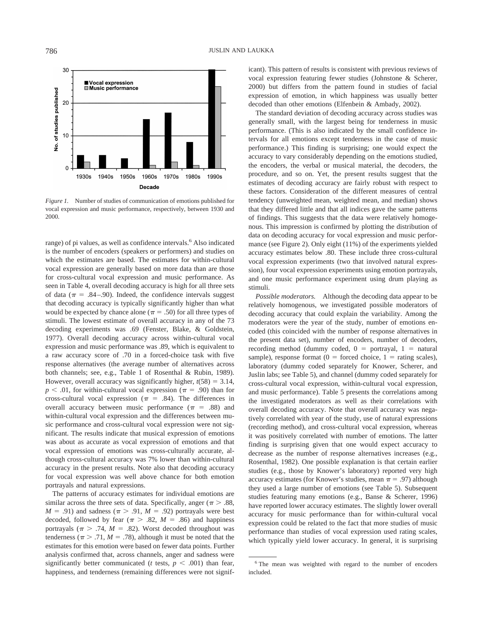

*Figure 1.* Number of studies of communication of emotions published for vocal expression and music performance, respectively, between 1930 and 2000.

range) of pi values, as well as confidence intervals.<sup>6</sup> Also indicated is the number of encoders (speakers or performers) and studies on which the estimates are based. The estimates for within-cultural vocal expression are generally based on more data than are those for cross-cultural vocal expression and music performance. As seen in Table 4, overall decoding accuracy is high for all three sets of data ( $\pi = .84-0.90$ ). Indeed, the confidence intervals suggest that decoding accuracy is typically significantly higher than what would be expected by chance alone ( $\pi$  = .50) for all three types of stimuli. The lowest estimate of overall accuracy in any of the 73 decoding experiments was .69 (Fenster, Blake, & Goldstein, 1977). Overall decoding accuracy across within-cultural vocal expression and music performance was .89, which is equivalent to a raw accuracy score of .70 in a forced-choice task with five response alternatives (the average number of alternatives across both channels; see, e.g., Table 1 of Rosenthal & Rubin, 1989). However, overall accuracy was significantly higher,  $t(58) = 3.14$ ,  $p \leq .01$ , for within-cultural vocal expression ( $\pi = .90$ ) than for cross-cultural vocal expression ( $\pi$  = .84). The differences in overall accuracy between music performance ( $\pi$  = .88) and within-cultural vocal expression and the differences between music performance and cross-cultural vocal expression were not significant. The results indicate that musical expression of emotions was about as accurate as vocal expression of emotions and that vocal expression of emotions was cross-culturally accurate, although cross-cultural accuracy was 7% lower than within-cultural accuracy in the present results. Note also that decoding accuracy for vocal expression was well above chance for both emotion portrayals and natural expressions.

The patterns of accuracy estimates for individual emotions are similar across the three sets of data. Specifically, anger ( $\pi$  > .88,  $M = .91$ ) and sadness ( $\pi > .91$ ,  $M = .92$ ) portrayals were best decoded, followed by fear ( $\pi$  > .82,  $M = .86$ ) and happiness portrayals ( $\pi$  > .74,  $M = .82$ ). Worst decoded throughout was tenderness ( $\pi$  > .71,  $M = .78$ ), although it must be noted that the estimates for this emotion were based on fewer data points. Further analysis confirmed that, across channels, anger and sadness were significantly better communicated ( $t$  tests,  $p < .001$ ) than fear, happiness, and tenderness (remaining differences were not significant). This pattern of results is consistent with previous reviews of vocal expression featuring fewer studies (Johnstone & Scherer, 2000) but differs from the pattern found in studies of facial expression of emotion, in which happiness was usually better decoded than other emotions (Elfenbein & Ambady, 2002).

The standard deviation of decoding accuracy across studies was generally small, with the largest being for tenderness in music performance. (This is also indicated by the small confidence intervals for all emotions except tenderness in the case of music performance.) This finding is surprising; one would expect the accuracy to vary considerably depending on the emotions studied, the encoders, the verbal or musical material, the decoders, the procedure, and so on. Yet, the present results suggest that the estimates of decoding accuracy are fairly robust with respect to these factors. Consideration of the different measures of central tendency (unweighted mean, weighted mean, and median) shows that they differed little and that all indices gave the same patterns of findings. This suggests that the data were relatively homogenous. This impression is confirmed by plotting the distribution of data on decoding accuracy for vocal expression and music performance (see Figure 2). Only eight (11%) of the experiments yielded accuracy estimates below .80. These include three cross-cultural vocal expression experiments (two that involved natural expression), four vocal expression experiments using emotion portrayals, and one music performance experiment using drum playing as stimuli.

*Possible moderators.* Although the decoding data appear to be relatively homogenous, we investigated possible moderators of decoding accuracy that could explain the variability. Among the moderators were the year of the study, number of emotions encoded (this coincided with the number of response alternatives in the present data set), number of encoders, number of decoders, recording method (dummy coded,  $0 =$  portrayal,  $1 =$  natural sample), response format ( $0 =$  forced choice,  $1 =$  rating scales), laboratory (dummy coded separately for Knower, Scherer, and Juslin labs; see Table 5), and channel (dummy coded separately for cross-cultural vocal expression, within-cultural vocal expression, and music performance). Table 5 presents the correlations among the investigated moderators as well as their correlations with overall decoding accuracy. Note that overall accuracy was negatively correlated with year of the study, use of natural expressions (recording method), and cross-cultural vocal expression, whereas it was positively correlated with number of emotions. The latter finding is surprising given that one would expect accuracy to decrease as the number of response alternatives increases (e.g., Rosenthal, 1982). One possible explanation is that certain earlier studies (e.g., those by Knower's laboratory) reported very high accuracy estimates (for Knower's studies, mean  $\pi$  = .97) although they used a large number of emotions (see Table 5). Subsequent studies featuring many emotions (e.g., Banse & Scherer, 1996) have reported lower accuracy estimates. The slightly lower overall accuracy for music performance than for within-cultural vocal expression could be related to the fact that more studies of music performance than studies of vocal expression used rating scales, which typically yield lower accuracy. In general, it is surprising

<sup>6</sup> The mean was weighted with regard to the number of encoders included.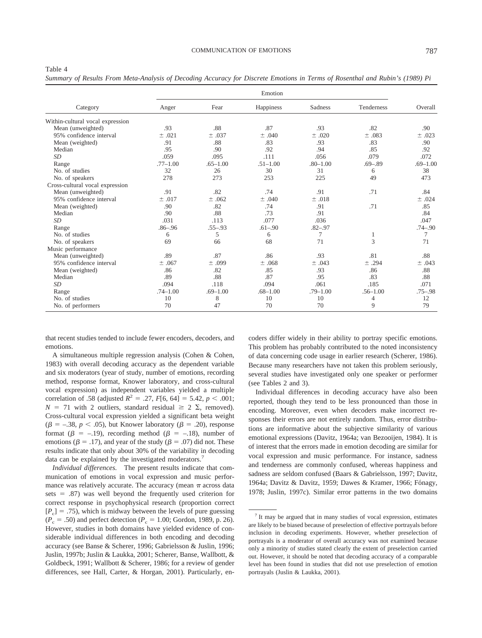|--|

*Summary of Results From Meta-Analysis of Decoding Accuracy for Discrete Emotions in Terms of Rosenthal and Rubin's (1989) Pi*

|                                  |              |              | Emotion      |              |              |              |
|----------------------------------|--------------|--------------|--------------|--------------|--------------|--------------|
| Category                         | Anger        | Fear         | Happiness    | Sadness      | Tenderness   | Overall      |
| Within-cultural vocal expression |              |              |              |              |              |              |
| Mean (unweighted)                | .93          | .88          | .87          | .93          | .82          | .90          |
| 95% confidence interval          | ±.021        | ±.037        | ±.040        | ±.020        | ±.083        | ±.023        |
| Mean (weighted)                  | .91          | .88          | .83          | .93          | .83          | .90          |
| Median                           | .95          | .90          | .92          | .94          | .85          | .92          |
| <b>SD</b>                        | .059         | .095         | .111         | .056         | .079         | .072         |
| Range                            | $.77 - 1.00$ | $.65 - 1.00$ | $.51 - 1.00$ | $.80 - 1.00$ | $.69 - .89$  | $.69 - 1.00$ |
| No. of studies                   | 32           | 26           | 30           | 31           | 6            | 38           |
| No. of speakers                  | 278          | 273          | 253          | 225          | 49           | 473          |
| Cross-cultural vocal expression  |              |              |              |              |              |              |
| Mean (unweighted)                | .91          | .82          | .74          | .91          | .71          | .84          |
| 95% confidence interval          | ±.017        | ±.062        | ± .040       | ±.018        |              | ±.024        |
| Mean (weighted)                  | .90          | .82          | .74          | .91          | .71          | .85          |
| Median                           | .90          | .88          | .73          | .91          |              | .84          |
| <b>SD</b>                        | .031         | .113         | .077         | .036         |              | .047         |
| Range                            | $.86 - .96$  | $.55 - .93$  | $.61 - .90$  | $.82 - .97$  |              | $.74 - .90$  |
| No. of studies                   | 6            | 5            | 6            | 7            | 1            | 7            |
| No. of speakers                  | 69           | 66           | 68           | 71           | 3            | 71           |
| Music performance                |              |              |              |              |              |              |
| Mean (unweighted)                | .89          | .87          | .86          | .93          | .81          | .88          |
| 95% confidence interval          | ±.067        | ±.099        | ±.068        | ±.043        | ±.294        | ±.043        |
| Mean (weighted)                  | .86          | .82          | .85          | .93          | .86          | .88          |
| Median                           | .89          | .88          | .87          | .95          | .83          | .88          |
| <b>SD</b>                        | .094         | .118         | .094         | .061         | .185         | .071         |
| Range                            | $.74 - 1.00$ | $.69 - 1.00$ | $.68 - 1.00$ | $.79 - 1.00$ | $.56 - 1.00$ | $.75 - .98$  |
| No. of studies                   | 10           | 8            | 10           | 10           | 4            | 12           |
| No. of performers                | 70           | 47           | 70           | 70           | 9            | 79           |

that recent studies tended to include fewer encoders, decoders, and emotions.

A simultaneous multiple regression analysis (Cohen & Cohen, 1983) with overall decoding accuracy as the dependent variable and six moderators (year of study, number of emotions, recording method, response format, Knower laboratory, and cross-cultural vocal expression) as independent variables yielded a multiple correlation of .58 (adjusted  $R^2 = .27$ ,  $F[6, 64] = 5.42$ ,  $p < .001$ ;  $N = 71$  with 2 outliers, standard residual  $\geq 2$   $\Sigma$ , removed). Cross-cultural vocal expression yielded a significant beta weight  $(\beta = -.38, p < .05)$ , but Knower laboratory ( $\beta = .20$ ), response format ( $\beta$  = -.19), recording method ( $\beta$  = -.18), number of emotions ( $\beta = .17$ ), and year of the study ( $\beta = .07$ ) did not. These results indicate that only about 30% of the variability in decoding data can be explained by the investigated moderators.<sup>7</sup>

*Individual differences.* The present results indicate that communication of emotions in vocal expression and music performance was relatively accurate. The accuracy (mean  $\pi$  across data sets  $= .87$ ) was well beyond the frequently used criterion for correct response in psychophysical research (proportion correct  $[P<sub>c</sub>] = .75$ , which is midway between the levels of pure guessing  $(P_c = .50)$  and perfect detection  $(P_c = 1.00;$  Gordon, 1989, p. 26). However, studies in both domains have yielded evidence of considerable individual differences in both encoding and decoding accuracy (see Banse & Scherer, 1996; Gabrielsson & Juslin, 1996; Juslin, 1997b; Juslin & Laukka, 2001; Scherer, Banse, Wallbott, & Goldbeck, 1991; Wallbott & Scherer, 1986; for a review of gender differences, see Hall, Carter, & Horgan, 2001). Particularly, encoders differ widely in their ability to portray specific emotions. This problem has probably contributed to the noted inconsistency of data concerning code usage in earlier research (Scherer, 1986). Because many researchers have not taken this problem seriously, several studies have investigated only one speaker or performer (see Tables 2 and 3).

Individual differences in decoding accuracy have also been reported, though they tend to be less pronounced than those in encoding. Moreover, even when decoders make incorrect responses their errors are not entirely random. Thus, error distributions are informative about the subjective similarity of various emotional expressions (Davitz, 1964a; van Bezooijen, 1984). It is of interest that the errors made in emotion decoding are similar for vocal expression and music performance. For instance, sadness and tenderness are commonly confused, whereas happiness and sadness are seldom confused (Baars & Gabrielsson, 1997; Davitz, 1964a; Davitz & Davitz, 1959; Dawes & Kramer, 1966; Fónagy, 1978; Juslin, 1997c). Similar error patterns in the two domains

<sup>7</sup> It may be argued that in many studies of vocal expression, estimates are likely to be biased because of preselection of effective portrayals before inclusion in decoding experiments. However, whether preselection of portrayals is a moderator of overall accuracy was not examined because only a minority of studies stated clearly the extent of preselection carried out. However, it should be noted that decoding accuracy of a comparable level has been found in studies that did not use preselection of emotion portrayals (Juslin & Laukka, 2001).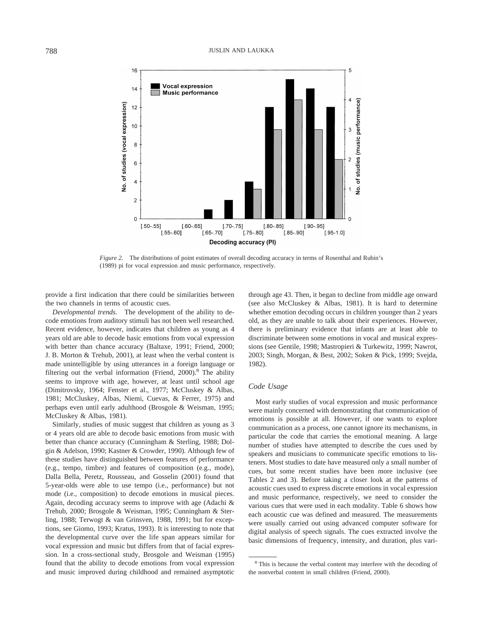

*Figure 2.* The distributions of point estimates of overall decoding accuracy in terms of Rosenthal and Rubin's (1989) pi for vocal expression and music performance, respectively.

provide a first indication that there could be similarities between the two channels in terms of acoustic cues.

*Developmental trends.* The development of the ability to decode emotions from auditory stimuli has not been well researched. Recent evidence, however, indicates that children as young as 4 years old are able to decode basic emotions from vocal expression with better than chance accuracy (Baltaxe, 1991; Friend, 2000; J. B. Morton & Trehub, 2001), at least when the verbal content is made unintelligible by using utterances in a foreign language or filtering out the verbal information (Friend,  $2000$ ).<sup>8</sup> The ability seems to improve with age, however, at least until school age (Dimitrovsky, 1964; Fenster et al., 1977; McCluskey & Albas, 1981; McCluskey, Albas, Niemi, Cuevas, & Ferrer, 1975) and perhaps even until early adulthood (Brosgole & Weisman, 1995; McCluskey & Albas, 1981).

Similarly, studies of music suggest that children as young as 3 or 4 years old are able to decode basic emotions from music with better than chance accuracy (Cunningham & Sterling, 1988; Dolgin & Adelson, 1990; Kastner & Crowder, 1990). Although few of these studies have distinguished between features of performance (e.g., tempo, timbre) and features of composition (e.g., mode), Dalla Bella, Peretz, Rousseau, and Gosselin (2001) found that 5-year-olds were able to use tempo (i.e., performance) but not mode (i.e., composition) to decode emotions in musical pieces. Again, decoding accuracy seems to improve with age (Adachi & Trehub, 2000; Brosgole & Weisman, 1995; Cunningham & Sterling, 1988; Terwogt & van Grinsven, 1988, 1991; but for exceptions, see Giomo, 1993; Kratus, 1993). It is interesting to note that the developmental curve over the life span appears similar for vocal expression and music but differs from that of facial expression. In a cross-sectional study, Brosgole and Weisman (1995) found that the ability to decode emotions from vocal expression and music improved during childhood and remained asymptotic through age 43. Then, it began to decline from middle age onward (see also McCluskey & Albas, 1981). It is hard to determine whether emotion decoding occurs in children younger than 2 years old, as they are unable to talk about their experiences. However, there is preliminary evidence that infants are at least able to discriminate between some emotions in vocal and musical expressions (see Gentile, 1998; Mastropieri & Turkewitz, 1999; Nawrot, 2003; Singh, Morgan, & Best, 2002; Soken & Pick, 1999; Svejda, 1982).

## *Code Usage*

Most early studies of vocal expression and music performance were mainly concerned with demonstrating that communication of emotions is possible at all. However, if one wants to explore communication as a process, one cannot ignore its mechanisms, in particular the code that carries the emotional meaning. A large number of studies have attempted to describe the cues used by speakers and musicians to communicate specific emotions to listeners. Most studies to date have measured only a small number of cues, but some recent studies have been more inclusive (see Tables 2 and 3). Before taking a closer look at the patterns of acoustic cues used to express discrete emotions in vocal expression and music performance, respectively, we need to consider the various cues that were used in each modality. Table 6 shows how each acoustic cue was defined and measured. The measurements were usually carried out using advanced computer software for digital analysis of speech signals. The cues extracted involve the basic dimensions of frequency, intensity, and duration, plus vari-

<sup>&</sup>lt;sup>8</sup> This is because the verbal content may interfere with the decoding of the nonverbal content in small children (Friend, 2000).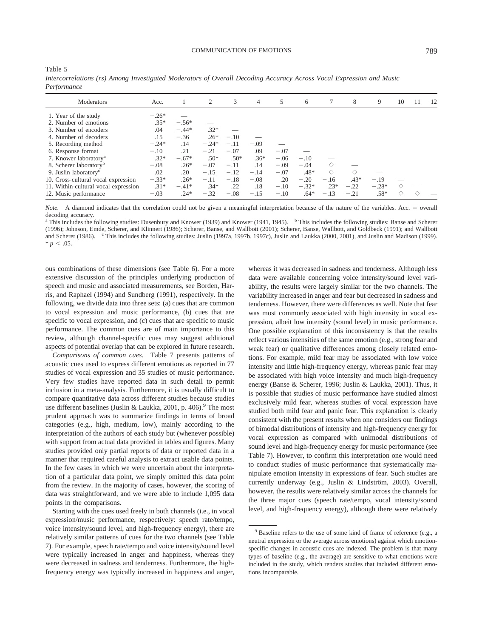#### COMMUNICATION OF EMOTIONS

| Moderators                                                                                                                                                                      | Acc.                                         |                                              | $\overline{2}$                                 | 3                                           | $\overline{4}$                           | 5                                           | 6                                               |                                      | 8                               | 9                           | 10     | 11 | 12 |
|---------------------------------------------------------------------------------------------------------------------------------------------------------------------------------|----------------------------------------------|----------------------------------------------|------------------------------------------------|---------------------------------------------|------------------------------------------|---------------------------------------------|-------------------------------------------------|--------------------------------------|---------------------------------|-----------------------------|--------|----|----|
| 1. Year of the study<br>2. Number of emotions<br>3. Number of encoders<br>4. Number of decoders                                                                                 | $-.26*$<br>$.35*$<br>.04<br>.15              | $-.56*$<br>$-.44*$<br>$-.36$                 | $.32*$<br>$.26*$                               | $-.10$                                      |                                          |                                             |                                                 |                                      |                                 |                             |        |    |    |
| 5. Recording method<br>6. Response format<br>7. Knower laboratory <sup>a</sup>                                                                                                  | $-.24*$<br>$-.10$<br>$.32*$                  | .14<br>.21<br>$-.67*$                        | $-.24*$<br>$-.21$<br>$.50*$                    | $-.11$<br>$-.07$<br>$.50*$                  | $-.09$<br>.09<br>$.36*$                  | $-.07$<br>$-.06$                            | $-.10$                                          |                                      |                                 |                             |        |    |    |
| 8. Scherer laboratory <sup>b</sup><br>9. Juslin laboratory <sup>c</sup><br>10. Cross-cultural vocal expression<br>11. Within-cultural vocal expression<br>12. Music performance | $-.08$<br>.02<br>$-.33*$<br>$.31*$<br>$-.03$ | $.26*$<br>.20<br>$.26*$<br>$-.41*$<br>$.24*$ | $-.07$<br>$-.15$<br>$-.11$<br>$.34*$<br>$-.32$ | $-.11$<br>$-.12$<br>$-.18$<br>.22<br>$-.08$ | .14<br>$-.14$<br>$-.08$<br>.18<br>$-.15$ | $-.09$<br>$-.07$<br>.20<br>$-.10$<br>$-.10$ | $-.04$<br>$.48*$<br>$-.20$<br>$-.32*$<br>$.64*$ | ◇<br>♦<br>$-.16$<br>$.23*$<br>$-.13$ | ◇<br>$.43*$<br>$-.22$<br>$-.21$ | $-.19$<br>$-.28*$<br>$.58*$ | ◇<br>◇ |    |    |

| Intercorrelations (rs) Among Investigated Moderators of Overall Decoding Accuracy Across Vocal Expression and Music |  |  |  |  |  |
|---------------------------------------------------------------------------------------------------------------------|--|--|--|--|--|
| Performance                                                                                                         |  |  |  |  |  |

*Note.* A diamond indicates that the correlation could not be given a meaningful interpretation because of the nature of the variables. Acc. = overall decoding accuracy.

<sup>a</sup> This includes the following studies: Dusenbury and Knower (1939) and Knower (1941, 1945). <sup>b</sup> This includes the following studies: Banse and Scherer (1996); Johnson, Emde, Scherer, and Klinnert (1986); Scherer, Banse, and Wallbott (2001); Scherer, Banse, Wallbott, and Goldbeck (1991); and Wallbott and Scherer (1986). <sup>c</sup> This includes the following studies: Juslin (1997a, 1997b, 1997c), Juslin and Laukka (2000, 2001), and Juslin and Madison (1999).  $* p < .05$ .

ous combinations of these dimensions (see Table 6). For a more extensive discussion of the principles underlying production of speech and music and associated measurements, see Borden, Harris, and Raphael (1994) and Sundberg (1991), respectively. In the following, we divide data into three sets: (a) cues that are common to vocal expression and music performance, (b) cues that are specific to vocal expression, and (c) cues that are specific to music performance. The common cues are of main importance to this review, although channel-specific cues may suggest additional aspects of potential overlap that can be explored in future research.

Table 5

*Comparisons of common cues.* Table 7 presents patterns of acoustic cues used to express different emotions as reported in 77 studies of vocal expression and 35 studies of music performance. Very few studies have reported data in such detail to permit inclusion in a meta-analysis. Furthermore, it is usually difficult to compare quantitative data across different studies because studies use different baselines (Juslin & Laukka, 2001, p. 406).<sup>9</sup> The most prudent approach was to summarize findings in terms of broad categories (e.g., high, medium, low), mainly according to the interpretation of the authors of each study but (whenever possible) with support from actual data provided in tables and figures. Many studies provided only partial reports of data or reported data in a manner that required careful analysis to extract usable data points. In the few cases in which we were uncertain about the interpretation of a particular data point, we simply omitted this data point from the review. In the majority of cases, however, the scoring of data was straightforward, and we were able to include 1,095 data points in the comparisons.

Starting with the cues used freely in both channels (i.e., in vocal expression/music performance, respectively: speech rate/tempo, voice intensity/sound level, and high-frequency energy), there are relatively similar patterns of cues for the two channels (see Table 7). For example, speech rate/tempo and voice intensity/sound level were typically increased in anger and happiness, whereas they were decreased in sadness and tenderness. Furthermore, the highfrequency energy was typically increased in happiness and anger, whereas it was decreased in sadness and tenderness. Although less data were available concerning voice intensity/sound level variability, the results were largely similar for the two channels. The variability increased in anger and fear but decreased in sadness and tenderness. However, there were differences as well. Note that fear was most commonly associated with high intensity in vocal expression, albeit low intensity (sound level) in music performance. One possible explanation of this inconsistency is that the results reflect various intensities of the same emotion (e.g., strong fear and weak fear) or qualitative differences among closely related emotions. For example, mild fear may be associated with low voice intensity and little high-frequency energy, whereas panic fear may be associated with high voice intensity and much high-frequency energy (Banse & Scherer, 1996; Juslin & Laukka, 2001). Thus, it is possible that studies of music performance have studied almost exclusively mild fear, whereas studies of vocal expression have studied both mild fear and panic fear. This explanation is clearly consistent with the present results when one considers our findings of bimodal distributions of intensity and high-frequency energy for vocal expression as compared with unimodal distributions of sound level and high-frequency energy for music performance (see Table 7). However, to confirm this interpretation one would need to conduct studies of music performance that systematically manipulate emotion intensity in expressions of fear. Such studies are currently underway (e.g., Juslin & Lindström, 2003). Overall, however, the results were relatively similar across the channels for the three major cues (speech rate/tempo, vocal intensity/sound level, and high-frequency energy), although there were relatively

<sup>9</sup> Baseline refers to the use of some kind of frame of reference (e.g., a neutral expression or the average across emotions) against which emotionspecific changes in acoustic cues are indexed. The problem is that many types of baseline (e.g., the average) are sensitive to what emotions were included in the study, which renders studies that included different emotions incomparable.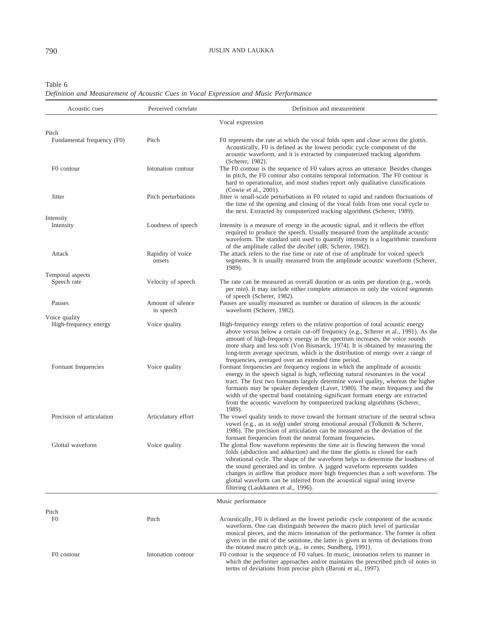## 790 JUSLIN AND LAUKKA

| Table 6 |                                                                                       |  |  |  |  |
|---------|---------------------------------------------------------------------------------------|--|--|--|--|
|         | Definition and Measurement of Acoustic Cues in Vocal Expression and Music Performance |  |  |  |  |

| Acoustic cues                       | Perceived correlate            | Definition and measurement                                                                                                                                                                                                                                                                                                                                                                                                                                                                                                                                                                      |
|-------------------------------------|--------------------------------|-------------------------------------------------------------------------------------------------------------------------------------------------------------------------------------------------------------------------------------------------------------------------------------------------------------------------------------------------------------------------------------------------------------------------------------------------------------------------------------------------------------------------------------------------------------------------------------------------|
|                                     |                                | Vocal expression                                                                                                                                                                                                                                                                                                                                                                                                                                                                                                                                                                                |
| Pitch<br>Fundamental frequency (F0) | Pitch                          | F0 represents the rate at which the vocal folds open and close across the glottis.<br>Acoustically, F0 is defined as the lowest periodic cycle component of the<br>acoustic waveform, and it is extracted by computerized tracking algorithms                                                                                                                                                                                                                                                                                                                                                   |
| F0 contour                          | Intonation contour             | (Scherer, 1982).<br>The F0 contour is the sequence of F0 values across an utterance. Besides changes<br>in pitch, the F0 contour also contains temporal information. The F0 contour is<br>hard to operationalize, and most studies report only qualitative classifications<br>(Cowie et al., 2001).                                                                                                                                                                                                                                                                                             |
| Jitter                              | Pitch perturbations            | Jitter is small-scale perturbations in F0 related to rapid and random fluctuations of<br>the time of the opening and closing of the vocal folds from one vocal cycle to<br>the next. Extracted by computerized tracking algorithms (Scherer, 1989).                                                                                                                                                                                                                                                                                                                                             |
| Intensity                           |                                |                                                                                                                                                                                                                                                                                                                                                                                                                                                                                                                                                                                                 |
| Intensity                           | Loudness of speech             | Intensity is a measure of energy in the acoustic signal, and it reflects the effort<br>required to produce the speech. Usually measured from the amplitude acoustic<br>waveform. The standard unit used to quantify intensity is a logarithmic transform<br>of the amplitude called the <i>decibel</i> (dB; Scherer, 1982).                                                                                                                                                                                                                                                                     |
| Attack                              | Rapidity of voice<br>onsets    | The attack refers to the rise time or rate of rise of amplitude for voiced speech<br>segments. It is usually measured from the amplitude acoustic waveform (Scherer,<br>1989).                                                                                                                                                                                                                                                                                                                                                                                                                  |
| Temporal aspects                    |                                |                                                                                                                                                                                                                                                                                                                                                                                                                                                                                                                                                                                                 |
| Speech rate                         | Velocity of speech             | The rate can be measured as overall duration or as units per duration (e.g., words<br>per min). It may include either complete utterances or only the voiced segments<br>of speech (Scherer, 1982).                                                                                                                                                                                                                                                                                                                                                                                             |
| Pauses                              | Amount of silence<br>in speech | Pauses are usually measured as number or duration of silences in the acoustic<br>waveform (Scherer, 1982).                                                                                                                                                                                                                                                                                                                                                                                                                                                                                      |
| Voice quality                       |                                |                                                                                                                                                                                                                                                                                                                                                                                                                                                                                                                                                                                                 |
| High-frequency energy               | Voice quality                  | High-frequency energy refers to the relative proportion of total acoustic energy<br>above versus below a certain cut-off frequency (e.g., Scherer et al., 1991). As the<br>amount of high-frequency energy in the spectrum increases, the voice sounds<br>more sharp and less soft (Von Bismarck, 1974). It is obtained by measuring the<br>long-term average spectrum, which is the distribution of energy over a range of<br>frequencies, averaged over an extended time period.                                                                                                              |
| Formant frequencies                 | Voice quality                  | Formant frequencies are frequency regions in which the amplitude of acoustic<br>energy in the speech signal is high, reflecting natural resonances in the vocal<br>tract. The first two formants largely determine vowel quality, whereas the higher<br>formants may be speaker dependent (Laver, 1980). The mean frequency and the<br>width of the spectral band containing significant formant energy are extracted<br>from the acoustic waveform by computerized tracking algorithms (Scherer,<br>1989).                                                                                     |
| Precision of articulation           | Articulatory effort            | The vowel quality tends to move toward the formant structure of the neutral schwa<br>vowel (e.g., as in <i>sofa</i> ) under strong emotional arousal (Tolkmitt & Scherer,<br>1986). The precision of articulation can be measured as the deviation of the                                                                                                                                                                                                                                                                                                                                       |
| Glottal waveform                    | Voice quality                  | formant frequencies from the neutral formant frequencies.<br>The glottal flow waveform represents the time air is flowing between the vocal<br>folds (abduction and adduction) and the time the glottis is closed for each<br>vibrational cycle. The shape of the waveform helps to determine the loudness of<br>the sound generated and its timbre. A jagged waveform represents sudden<br>changes in airflow that produce more high frequencies than a soft waveform. The<br>glottal waveform can be inferred from the acoustical signal using inverse<br>filtering (Laukkanen et al., 1996). |
|                                     |                                | Music performance                                                                                                                                                                                                                                                                                                                                                                                                                                                                                                                                                                               |
| Pitch                               |                                |                                                                                                                                                                                                                                                                                                                                                                                                                                                                                                                                                                                                 |
| F <sub>0</sub>                      | Pitch                          | Acoustically, F0 is defined as the lowest periodic cycle component of the acoustic<br>waveform. One can distinguish between the macro pitch level of particular<br>musical pieces, and the micro intonation of the performance. The former is often<br>given in the unit of the semitone, the latter is given in terms of deviations from                                                                                                                                                                                                                                                       |
| F0 contour                          | Intonation contour             | the notated macro pitch (e.g., in cents; Sundberg, 1991).<br>F0 contour is the sequence of F0 values. In music, intonation refers to manner in<br>which the performer approaches and/or maintains the prescribed pitch of notes in<br>terms of deviations from precise pitch (Baroni et al., 1997).                                                                                                                                                                                                                                                                                             |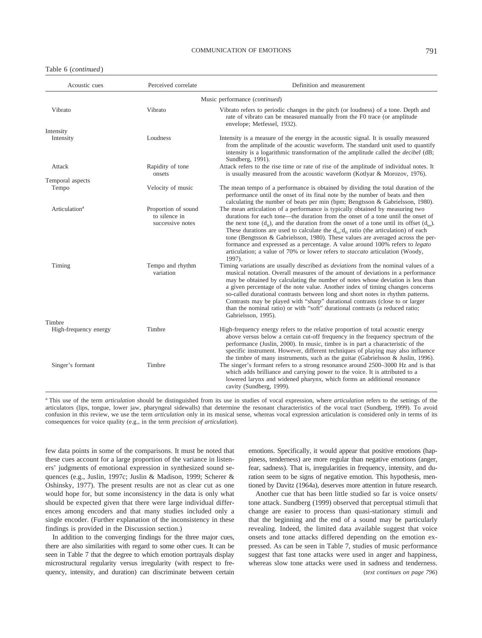#### COMMUNICATION OF EMOTIONS 791

#### Table 6 (*continued*)

| Acoustic cues             | Perceived correlate                                      | Definition and measurement                                                                                                                                                                                                                                                                                                                                                                                                                                                                                                                                                                                                                        |
|---------------------------|----------------------------------------------------------|---------------------------------------------------------------------------------------------------------------------------------------------------------------------------------------------------------------------------------------------------------------------------------------------------------------------------------------------------------------------------------------------------------------------------------------------------------------------------------------------------------------------------------------------------------------------------------------------------------------------------------------------------|
|                           |                                                          | Music performance ( <i>continued</i> )                                                                                                                                                                                                                                                                                                                                                                                                                                                                                                                                                                                                            |
| Vibrato                   | Vibrato                                                  | Vibrato refers to periodic changes in the pitch (or loudness) of a tone. Depth and<br>rate of vibrato can be measured manually from the F0 trace (or amplitude<br>envelope; Metfessel, 1932).                                                                                                                                                                                                                                                                                                                                                                                                                                                     |
| Intensity                 |                                                          |                                                                                                                                                                                                                                                                                                                                                                                                                                                                                                                                                                                                                                                   |
| Intensity                 | Loudness                                                 | Intensity is a measure of the energy in the acoustic signal. It is usually measured<br>from the amplitude of the acoustic waveform. The standard unit used to quantify<br>intensity is a logarithmic transformation of the amplitude called the <i>decibel</i> (dB;<br>Sundberg, 1991).                                                                                                                                                                                                                                                                                                                                                           |
| Attack                    | Rapidity of tone<br>onsets                               | Attack refers to the rise time or rate of rise of the amplitude of individual notes. It<br>is usually measured from the acoustic waveform (Kotlyar & Morozov, 1976).                                                                                                                                                                                                                                                                                                                                                                                                                                                                              |
| Temporal aspects          |                                                          |                                                                                                                                                                                                                                                                                                                                                                                                                                                                                                                                                                                                                                                   |
| Tempo                     | Velocity of music                                        | The mean tempo of a performance is obtained by dividing the total duration of the<br>performance until the onset of its final note by the number of beats and then<br>calculating the number of beats per min (bpm; Bengtsson & Gabrielsson, 1980).                                                                                                                                                                                                                                                                                                                                                                                               |
| Articulation <sup>a</sup> | Proportion of sound<br>to silence in<br>successive notes | The mean articulation of a performance is typically obtained by measuring two<br>durations for each tone—the duration from the onset of a tone until the onset of<br>the next tone $(d_{ii})$ , and the duration from the onset of a tone until its offset $(d_{ii})$ .<br>These durations are used to calculate the $d_{io}:d_{ii}$ ratio (the articulation) of each<br>tone (Bengtsson & Gabrielsson, 1980). These values are averaged across the per-<br>formance and expressed as a percentage. A value around 100% refers to <i>legato</i><br>articulation; a value of 70% or lower refers to <i>staccato</i> articulation (Woody,<br>1997). |
| Timing                    | Tempo and rhythm<br>variation                            | Timing variations are usually described as <i>deviations</i> from the nominal values of a<br>musical notation. Overall measures of the amount of deviations in a performance<br>may be obtained by calculating the number of notes whose deviation is less than<br>a given percentage of the note value. Another index of timing changes concerns<br>so-called durational contrasts between long and short notes in rhythm patterns.<br>Contrasts may be played with "sharp" durational contrasts (close to or larger<br>than the nominal ratio) or with "soft" durational contrasts (a reduced ratio;<br>Gabrielsson, 1995).                     |
| Timbre                    |                                                          |                                                                                                                                                                                                                                                                                                                                                                                                                                                                                                                                                                                                                                                   |
| High-frequency energy     | Timbre                                                   | High-frequency energy refers to the relative proportion of total acoustic energy<br>above versus below a certain cut-off frequency in the frequency spectrum of the<br>performance (Juslin, 2000). In music, timbre is in part a characteristic of the<br>specific instrument. However, different techniques of playing may also influence<br>the timbre of many instruments, such as the guitar (Gabrielsson & Juslin, 1996).                                                                                                                                                                                                                    |
| Singer's formant          | Timbre                                                   | The singer's formant refers to a strong resonance around 2500-3000 Hz and is that<br>which adds brilliance and carrying power to the voice. It is attributed to a<br>lowered larynx and widened pharynx, which forms an additional resonance<br>cavity (Sundberg, 1999).                                                                                                                                                                                                                                                                                                                                                                          |

<sup>a</sup> This use of the term *articulation* should be distinguished from its use in studies of vocal expression, where *articulation* refers to the settings of the articulators (lips, tongue, lower jaw, pharyngeal sidewalls) that determine the resonant characteristics of the vocal tract (Sundberg, 1999). To avoid confusion in this review, we use the term *articulation* only in its musical sense, whereas vocal expression articulation is considered only in terms of its consequences for voice quality (e.g., in the term *precision of articulation*).

few data points in some of the comparisons. It must be noted that these cues account for a large proportion of the variance in listeners' judgments of emotional expression in synthesized sound sequences (e.g., Juslin, 1997c; Juslin & Madison, 1999; Scherer & Oshinsky, 1977). The present results are not as clear cut as one would hope for, but some inconsistency in the data is only what should be expected given that there were large individual differences among encoders and that many studies included only a single encoder. (Further explanation of the inconsistency in these findings is provided in the Discussion section.)

In addition to the converging findings for the three major cues, there are also similarities with regard to some other cues. It can be seen in Table 7 that the degree to which emotion portrayals display microstructural regularity versus irregularity (with respect to frequency, intensity, and duration) can discriminate between certain emotions. Specifically, it would appear that positive emotions (happiness, tenderness) are more regular than negative emotions (anger, fear, sadness). That is, irregularities in frequency, intensity, and duration seem to be signs of negative emotion. This hypothesis, mentioned by Davitz (1964a), deserves more attention in future research.

Another cue that has been little studied so far is voice onsets/ tone attack. Sundberg (1999) observed that perceptual stimuli that change are easier to process than quasi-stationary stimuli and that the beginning and the end of a sound may be particularly revealing. Indeed, the limited data available suggest that voice onsets and tone attacks differed depending on the emotion expressed. As can be seen in Table 7, studies of music performance suggest that fast tone attacks were used in anger and happiness, whereas slow tone attacks were used in sadness and tenderness. (*text continues on page 796*)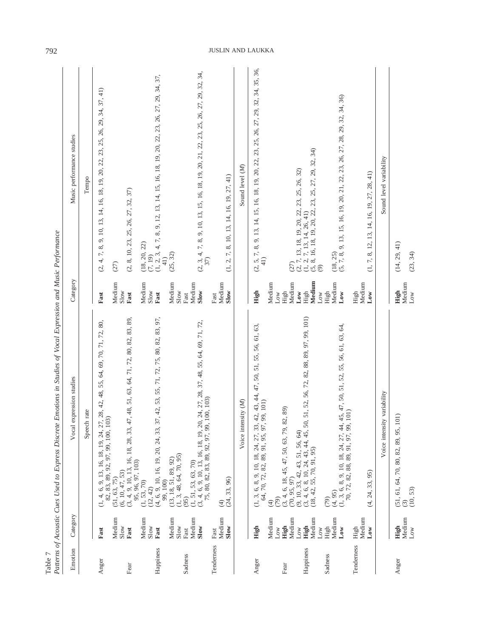| Thm           |                                                                 | Emotions in Studies of Vocal Expression and Music Performance<br>Patterns of Acoustic Cues Used to Express Discrete                                                                                                                           |                                                   |                                                                                                                                                |
|---------------|-----------------------------------------------------------------|-----------------------------------------------------------------------------------------------------------------------------------------------------------------------------------------------------------------------------------------------|---------------------------------------------------|------------------------------------------------------------------------------------------------------------------------------------------------|
| Emotion       | Category                                                        | Vocal expression studies                                                                                                                                                                                                                      | Category                                          | Music performance studies                                                                                                                      |
|               |                                                                 | rate<br>Speech                                                                                                                                                                                                                                |                                                   | Tempo                                                                                                                                          |
| Anger<br>Fear | Medium<br>Slow<br>Fast<br>Fast                                  | 48, 51, 63, 64, 71, 72, 80, 82, 83, 89,<br>28, 42, 48, 55, 64, 69, 70, 71, 72, 80,<br>$(1, 4, 6, 9, 13, 16, 18, 19, 24, 27,$<br>82, 83, 89, 92, 97, 99, 100, 103)<br>(3, 4, 9, 10, 13, 16, 18, 28, 33, 47)<br>(6, 10, 47, 53)<br>(51, 63, 75) | Medium<br>Slow<br>Fast<br>Fast                    | $(2, 4, 7, 8, 9, 10, 13, 14, 16, 18, 19, 20, 22, 23, 25, 26, 29, 34, 37, 41)$<br>(2, 8, 10, 23, 25, 26, 27, 32, 37)<br>(27)                    |
| Happiness     | Medium<br>Slow<br>Fast                                          | 42, 53, 55, 71, 72, 75, 80, 82, 83, 97,<br>(4, 6, 9, 10, 16, 19, 20, 24, 33, 37,<br>95, 96, 97, 103)<br>(1, 53, 70)<br>(12, 42)                                                                                                               | Medium<br>Slow<br>Fast                            | $(1, 2, 3, 4, 7, 8, 9, 12, 13, 14, 15, 16, 18, 19, 20, 22, 23, 26, 27, 29, 34, 37,$<br>(18, 20, 22)<br>(7, 19)                                 |
| Sadness       | Medium<br>Medium<br>Slow<br>Slow<br>Fast                        | $(1, 51, 53, 63, 70)$<br>$(3, 4, 6, 9, 10, 13, 16, 18, 19, 20, 24, 27, 28, 37, 48, 55, 64, 69, 71, 72, 75, 80, 82, 83, 89, 92, 97, 99, 100, 103)$<br>(1, 3, 48, 64, 70, 95)<br>(13, 18, 51, 89, 92)<br>99, 100)<br>(95)                       | Medium<br>Medium<br>Slow<br>Slow<br>Fast          | $(2, 3, 4, 7, 8, 9, 10, 13, 15, 16, 18, 19, 20, 21, 22, 23, 25, 26, 27, 29, 32, 34,$<br>(25, 32)<br>41)                                        |
| Tenderness    | Medium<br>Slow<br>Fast                                          | (24, 33, 96)<br>$\widehat{f}$                                                                                                                                                                                                                 | Medium<br>Slow<br>Fast                            | $(1, 2, 7, 8, 10, 13, 14, 16, 19, 27, 41)$<br>37)                                                                                              |
|               |                                                                 | Voice intensity (M)                                                                                                                                                                                                                           |                                                   | Sound level (M)                                                                                                                                |
| Anger         | High                                                            | $(1, 3, 6, 8, 9, 10, 18, 24, 27, 33, 42, 43, 44, 47, 50, 51, 55, 56, 61, 63, 64, 70, 72, 82, 89, 91, 95, 97, 99, 101)$                                                                                                                        | High                                              | $(2, 5, 7, 8, 9, 13, 14, 15, 16, 18, 19, 20, 22, 23, 25, 26, 27, 29, 32, 34, 35, 36,$<br>41)                                                   |
| Fear          | Medium<br>Medium<br>High<br>Low                                 | 89)<br>(3, 4, 6, 18, 45, 47, 50, 63, 79, 82,<br>(70, 95, 97)<br>(79)<br>$\widehat{E}$                                                                                                                                                         | Medium<br>Medium<br>High<br>Low                   | (27)                                                                                                                                           |
| Happiness     | Medium<br>High<br>Low<br>Low                                    | 51, 52, 56, 72, 82, 88, 89, 97, 99, 101)<br>$(9, 10, 33, 42, 43, 51, 56, 64)$<br>$(3, 4, 6, 8, 10, 24, 43, 44, 45, 50,$<br>(18, 42, 55, 70, 91, 95)                                                                                           | Medium<br>High<br>$_{\text{Low}}$<br>$_{\rm Low}$ | $(2, 7, 13, 18, 19, 20, 22, 23, 25, 26, 32)$<br>$(1, 2, 7, 13, 14, 26, 41)$<br>$(5, 8, 16, 18, 19, 20, 22, 23, 25, 27, 29, 32, 34)$<br>$\odot$ |
| Sadness       | Medium<br>High<br>$_{\text{Low}}$                               | (4, 95)<br>$(1, 3, 6, 8, 9, 10, 18, 24, 27, 44, 45, 47, 50, 51, 52, 55, 56, 61, 63, 64, 70, 72, 82, 88, 89, 91, 97, 99, 101)$<br>(79)                                                                                                         | Medium<br>$\rm High$<br>$_{\text{Low}}$           | $(18, 25)$<br>$(5, 7, 8, 9, 13, 15, 16, 19, 20, 21, 22, 23, 26, 27, 28, 29, 32, 34, 36)$                                                       |
| Tenderness    | Medium<br>High<br>Low                                           | 95)<br>33,<br>24,<br>4.<br>T                                                                                                                                                                                                                  | Medium<br>High<br>$_{\rm Low}$                    | $(1, 7, 8, 12, 13, 14, 16, 19, 27, 28, 41)$                                                                                                    |
|               |                                                                 | variability<br>Voice intensity                                                                                                                                                                                                                |                                                   | Sound level variability                                                                                                                        |
| Anger         | $\begin{array}{c}\text{Median}\\ \text{Low}\end{array}$<br>High | (51, 61, 64, 70, 80, 82, 89, 95, 101)<br>(10, 53)<br>$\odot$                                                                                                                                                                                  | Medium<br>High<br>$_{\rm Low}$                    | (14, 29, 41)<br>(23, 34)                                                                                                                       |

Table 7

## 792 JUSLIN AND LAUKKA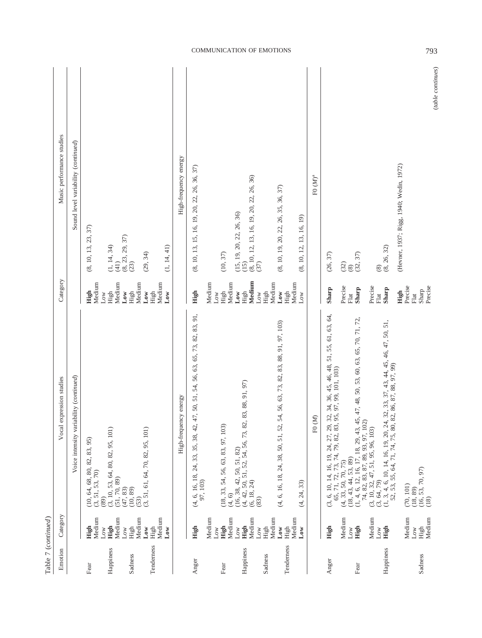| Table 7 (continued) |                                          |                                                                                                                                                                                                                                      |                                             |                                                              |
|---------------------|------------------------------------------|--------------------------------------------------------------------------------------------------------------------------------------------------------------------------------------------------------------------------------------|---------------------------------------------|--------------------------------------------------------------|
| Emotion             | Category                                 | pression studies<br>Vocal ex                                                                                                                                                                                                         | Category                                    | Music performance studies                                    |
|                     |                                          | Voice intensity variability (continued)                                                                                                                                                                                              |                                             | Sound level variability (continued)                          |
| Fear                | Medium<br>High<br>Low                    | 83, 95)<br>$(10, 64, 68, 80, 82,$<br>(3, 51, 53, 70)<br>(89)                                                                                                                                                                         | Medium<br>High<br>Low                       | (8, 10, 13, 23, 37)                                          |
| Happiness           | Medium<br>High                           | $(3, 10, 53, 64, 80, 82, 95, 101)$<br>$(51, 70, 89)$                                                                                                                                                                                 | Medium<br>High                              | (1, 14, 34)<br>(41)                                          |
| Sadness             | High<br>Low                              | (47, 83)<br>(10, 89)                                                                                                                                                                                                                 | High<br>Low                                 | (8, 23, 29, 37)<br>(23)                                      |
|                     | Medium<br>Low                            | (3, 51, 61, 64, 70, 82, 95, 101)<br>(53)                                                                                                                                                                                             | Medium<br>Low                               | (29, 34)                                                     |
| Tenderness          | Medium<br>High<br>Low                    |                                                                                                                                                                                                                                      | Medium<br>High<br>$_{\text{Low}}$           | (1, 14, 41)                                                  |
|                     |                                          | High-frequency energy                                                                                                                                                                                                                |                                             | High-frequency energy                                        |
| Anger               | High                                     | , 50, 51, 54, 56, 63, 65, 73, 82, 83, 91,<br>$(4, 6, 16, 18, 24, 33, 35, 38, 42, 47)$<br>97, 103)                                                                                                                                    | High                                        | $(8, 10, 13, 15, 16, 19, 20, 22, 26, 36, 37)$                |
|                     | Medium<br>$_{\text{Low}}$                |                                                                                                                                                                                                                                      | Medium<br>$_{\text{Low}}$                   |                                                              |
| Fear                | Medium<br>High                           | (18, 33, 54, 56, 63, 83, 97, 103)<br>(4, 6)                                                                                                                                                                                          | Medium<br>High                              | (10, 37)                                                     |
|                     | Low                                      |                                                                                                                                                                                                                                      | Low                                         | $(15, 19, 20, 22, 26, 36)$<br>$(15)$                         |
| Happiness           | Medium<br>High                           | $(16, 38, 42, 50, 51, 82)$<br>$(4, 42, 50, 51, 52, 54, 56, 73, 82, 83, 88, 91, 97)$<br>$(6, 18, 24)$<br>(83)                                                                                                                         | Medium<br>High                              | $(8, 10, 12, 13, 16, 19, 20, 22, 26, 36)$<br>(37)            |
| Sadness             | High<br>Medium<br>Low                    |                                                                                                                                                                                                                                      | High<br>Low                                 |                                                              |
| Tenderness          | $_{\text{Low}}$                          | $(4, 6, 16, 18, 24, 38, 50, 51, 52, 54, 56, 63, 73, 82, 83, 88, 91, 97, 103)$                                                                                                                                                        | Medium<br>High<br>Low                       | (8, 10, 19, 20, 22, 26, 35, 36, 37)                          |
|                     | High<br>Medium<br>Low                    | (4, 24, 33)                                                                                                                                                                                                                          | Medium<br>Low                               | 13, 16, 19)<br>(8, 10, 12,                                   |
|                     |                                          | F0(M)                                                                                                                                                                                                                                |                                             | $FO(M)^a$                                                    |
| Anger               | High                                     | $(3, 6, 10, 14, 16, 19, 24, 27, 29, 32, 34, 36, 45, 46, 48, 51, 55, 61, 63, 64, 65, 71, 72, 73, 74, 79, 82, 83, 95, 97, 99, 101, 103)$<br>$(4, 33, 50, 70, 75)$                                                                      | Sharp                                       | (26, 37)                                                     |
| Fear                | Medium<br>High<br>Low                    | 47, 48, 50, 53, 60, 63, 65, 70, 71, 72,<br>(18, 43, 44, 53, 89)                                                                                                                                                                      | Precise<br>Sharp<br>Flat                    | $(8)$<br>$(32, 37)$<br>(32)                                  |
| Happiness           | Medium<br>High<br>$_{\text{Low}}$        | $(1, 4, 6, 12, 16, 17, 18, 29, 43, 45, 47, 48, 50, 53, 60, 63, 65, 70, 71, 72, 74, 82, 83, 87, 89, 93, 97, 102)$<br>$(3, 10, 32, 47, 51, 95, 96, 103)$<br>$(3, 64, 79)$<br>$(1, 3, 4, 6, 10, 14, 16, 19, 20, 24, 32, 33, 37, 43, 44$ | Precise<br>Sharp<br>$_{\rm{flat}}$          | (8, 26, 32)<br>$\circledS$                                   |
| Sadness             | Medium<br>Medium<br>$_{\rm Low}$<br>High | $(16, 53, 70, 97)$<br>(18)<br>(70, 101)<br>(18, 89)                                                                                                                                                                                  | Precise<br>Precise<br>Sharp<br>High<br>Flat | (table continues)<br>(Hevner, 1937; Rigg, 1940; Wedin, 1972) |

COMMUNICATION OF EMOTIONS 793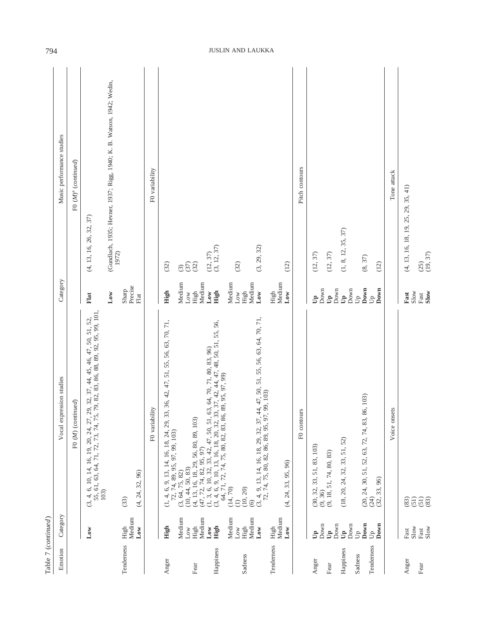| Table 7 (continued) |                           |                                                                                                                                                                                                                                                                                                                                                              |                         |                                                                                |
|---------------------|---------------------------|--------------------------------------------------------------------------------------------------------------------------------------------------------------------------------------------------------------------------------------------------------------------------------------------------------------------------------------------------------------|-------------------------|--------------------------------------------------------------------------------|
| Emotion             | Category                  | Vocal expression studies                                                                                                                                                                                                                                                                                                                                     | Category                | Music performance studies                                                      |
|                     |                           | F0 (M) (continued)                                                                                                                                                                                                                                                                                                                                           |                         | F0 $(M)^a$ (continued)                                                         |
|                     | Low                       | $(3, 4, 6, 10, 14, 16, 19, 20, 24, 27, 29, 32, 37, 44, 45, 46, 47, 50, 51, 52, 55, 61, 63, 64, 71, 72, 73, 74, 75, 79, 82, 83, 86, 88, 99, 92, 95, 99, 101$<br>103)                                                                                                                                                                                          | Flat                    | (4, 13, 16, 26, 32, 37)                                                        |
|                     |                           |                                                                                                                                                                                                                                                                                                                                                              | $_{\text{Low}}$         | (Gundlach, 1935; Hevner, 1937; Rigg, 1940; K. B. Watson, 1942; Wedin,<br>1972) |
| Tenderness          | High                      | (33)                                                                                                                                                                                                                                                                                                                                                         | Sharp                   |                                                                                |
|                     | Medium<br>$_{\text{Low}}$ | (4, 24, 32, 96)                                                                                                                                                                                                                                                                                                                                              | Precise<br>Flat         |                                                                                |
|                     |                           | F0 variability                                                                                                                                                                                                                                                                                                                                               |                         | F0 variability                                                                 |
| Anger               | High                      | 33, 36, 42, 47, 51, 55, 56, 63, 70, 71,<br>(1, 4, 6, 9, 13, 14, 16, 18, 24, 29,<br>72, 74, 89, 95, 97, 99, 103)                                                                                                                                                                                                                                              | High                    | (32)                                                                           |
|                     | Medium                    | (3, 64, 75, 82)                                                                                                                                                                                                                                                                                                                                              | Medium                  |                                                                                |
|                     | Low                       | (10, 44, 50, 83)                                                                                                                                                                                                                                                                                                                                             | Low                     | <u>යිසු</u>                                                                    |
| Fear                | Medium<br>High            | (4, 13, 16, 18, 29, 56, 80, 89, 103)                                                                                                                                                                                                                                                                                                                         | Medium<br>High          |                                                                                |
| Happiness           | High<br>Low               | $\begin{array}{l} (1,\,3,\,6,\,10,\,32,\,33,\,42,\,47,\,50,\,51,\,63,\,64,\,70,\,71,\,80,\,83,\,96) \\ (3,\,4,\,6,\,9,\,10,\,13,\,16,\,18,\,20,\,32,\,33,\,37,\,42,\,44,\,47,\,48,\,50,\,51,\,55,\,56, \\ 64,\,71,\,72,\,74,\,75,\,80,\,82,\,83,\,86,\,89,\,95,\,97,\,99) \end{array}$<br>$(47, 72, 74, 82, 95, 97)$<br>(1, 3, 6, 10, 32, 33, 42, 47, 50, 51 | High<br>$_{\text{Low}}$ | (3, 12, 37)<br>(12, 37)                                                        |
|                     | Medium                    | (14, 70)                                                                                                                                                                                                                                                                                                                                                     | Medium                  |                                                                                |
| Sadness             | High<br>Low               | (10, 20)<br>$\widehat{\Xi}$                                                                                                                                                                                                                                                                                                                                  | High<br>$_{\text{Low}}$ | (32)                                                                           |
|                     | Medium                    | $\odot$                                                                                                                                                                                                                                                                                                                                                      | Medium                  |                                                                                |
|                     | $_{\text{Low}}$           | , 4, 9, 13, 14, 16, 18, 29, 32, 37, 44, 47, 50, 51, 55, 56, 63, 64, 70, 71, 72, 74, 75, 80, 82, 86, 89, 95, 97, 99, 103)<br>(3, 4, 9, 13, 14, 16, 18, 29, 32, 37)                                                                                                                                                                                            | $_{\text{Low}}$         | (3, 29, 32)                                                                    |
| Tenderness          | Medium<br>High            |                                                                                                                                                                                                                                                                                                                                                              | Medium<br>High          |                                                                                |
|                     | $_{\text{Low}}$           | (4, 24, 33, 95, 96)                                                                                                                                                                                                                                                                                                                                          | $_{\text{Low}}$         | (12)                                                                           |
|                     |                           | F0 contours                                                                                                                                                                                                                                                                                                                                                  |                         | Pitch contours                                                                 |
| Anger               | Ьp                        | (30, 32, 33, 51, 83, 103)                                                                                                                                                                                                                                                                                                                                    | ភ្ន                     | (12, 37)                                                                       |
| Fear                | Down<br>Ůр                | (9, 18, 51, 74, 80, 83)<br>(9, 36)                                                                                                                                                                                                                                                                                                                           | Down<br>۵p              | (12, 37)                                                                       |
| Happiness           | Down<br>Ůр                | (18, 20, 24, 32, 33, 51, 52)                                                                                                                                                                                                                                                                                                                                 | Down<br>Ůр              | (1, 8, 12, 35, 37)                                                             |
| Sadness             | Down                      |                                                                                                                                                                                                                                                                                                                                                              | Down<br>Ъp              |                                                                                |
|                     | Down<br>Ъp                | $(20, 24, 30, 51, 52, 63, 72, 74, 83, 86, 103)$                                                                                                                                                                                                                                                                                                              | Down                    | (8, 37)                                                                        |
| Tenderness          | Down<br>Ъp                | 33, 96)<br>(32,<br>(24)                                                                                                                                                                                                                                                                                                                                      | Down<br>Ъp              | (12)                                                                           |
|                     |                           | Voice onsets                                                                                                                                                                                                                                                                                                                                                 |                         | Tone attack                                                                    |
| Anger               | Fast                      | (83)                                                                                                                                                                                                                                                                                                                                                         | Fast                    | (4, 13, 16, 18, 19, 25, 29, 35, 41)                                            |
| Fear                | Slow<br>$_{\rm Fast}$     | (51)<br>$(51)$<br>$(83)$                                                                                                                                                                                                                                                                                                                                     | Slow<br>Fast            | $(25)$<br>$(19, 37)$                                                           |
|                     | Slow                      |                                                                                                                                                                                                                                                                                                                                                              | Slow                    |                                                                                |

## 794 JUSLIN AND LAUKKA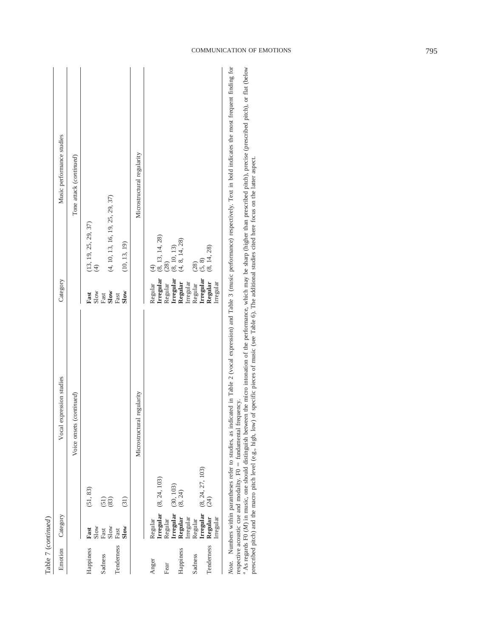| Emotion    | Category             |                        | Vocal expression studies      | Category             | Music performance studies                      |
|------------|----------------------|------------------------|-------------------------------|----------------------|------------------------------------------------|
|            |                      |                        | Voice onsets (continued)      |                      | Tone attack (continued)                        |
| Happiness  | Slow<br>Fast         | (51, 83)               |                               | Slow<br>Fast         | (13, 19, 25, 29, 37)<br>$\widehat{\mathrm{d}}$ |
| Sadness    | $\rm Fast$           | (51)                   |                               | $_{\rm Fast}$        |                                                |
|            | Slow                 | (83)                   |                               | Slow                 | (4, 10, 13, 16, 19, 25, 29, 37)                |
| Tenderness | Slow<br>Fast         | (31)                   |                               | Slow<br>Fast         | (10, 13, 19)                                   |
|            |                      |                        | regularity<br>Microstructural |                      | Microstructural regularity                     |
| Anger      | Regular              |                        |                               | Regular              | $\widehat{4}$                                  |
|            |                      | Irregular (8, 24, 103) |                               | Irregular            | (8, 13, 14, 28)                                |
| Fear       | Regular              | (30, 103)              |                               | Regular              | (8, 10, 13)<br>(28)                            |
| Happiness  | Irregular<br>Regular | (8, 24)                |                               | Irregular<br>Regular | (4, 8, 14, 28)                                 |
|            | Irregular            |                        |                               | Irregular            |                                                |
| Sadness    | Regular              |                        |                               | Regular              | (28)                                           |
|            | Irregular            | (8, 24, 27, 103)       |                               | Irregular            | (5, 8)                                         |
| Tenderness | Regular              | (24)                   |                               | Regular              | (8, 14, 28)                                    |
|            | Irregular            |                        |                               | Irregular            |                                                |

respective acoustic cue and modality. F0

a

As regards F0 (

fundamental frequency.

*M*) in music, one should distinguish between the micro intonation of the performance, which may be sharp (higher than prescribed pitch), precise (prescribed pitch), or flat (below

prescribed pitch) and the macro pitch level (e.g., high, low) of specific pieces of music (see Table 6). The additional studies cited here focus on the latter aspect.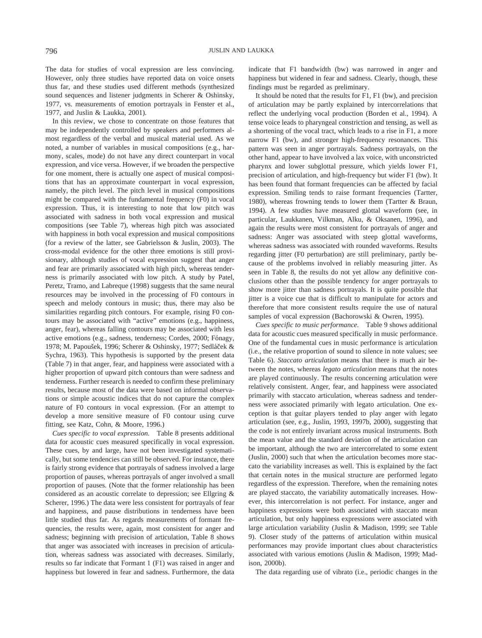The data for studies of vocal expression are less convincing. However, only three studies have reported data on voice onsets thus far, and these studies used different methods (synthesized sound sequences and listener judgments in Scherer & Oshinsky, 1977, vs. measurements of emotion portrayals in Fenster et al., 1977, and Juslin & Laukka, 2001).

In this review, we chose to concentrate on those features that may be independently controlled by speakers and performers almost regardless of the verbal and musical material used. As we noted, a number of variables in musical compositions (e.g., harmony, scales, mode) do not have any direct counterpart in vocal expression, and vice versa. However, if we broaden the perspective for one moment, there is actually one aspect of musical compositions that has an approximate counterpart in vocal expression, namely, the pitch level. The pitch level in musical compositions might be compared with the fundamental frequency (F0) in vocal expression. Thus, it is interesting to note that low pitch was associated with sadness in both vocal expression and musical compositions (see Table 7), whereas high pitch was associated with happiness in both vocal expression and musical compositions (for a review of the latter, see Gabrielsson & Juslin, 2003). The cross-modal evidence for the other three emotions is still provisionary, although studies of vocal expression suggest that anger and fear are primarily associated with high pitch, whereas tenderness is primarily associated with low pitch. A study by Patel, Peretz, Tramo, and Labreque (1998) suggests that the same neural resources may be involved in the processing of F0 contours in speech and melody contours in music; thus, there may also be similarities regarding pitch contours. For example, rising F0 contours may be associated with "active" emotions (e.g., happiness, anger, fear), whereas falling contours may be associated with less active emotions (e.g., sadness, tenderness; Cordes, 2000; Fónagy, 1978; M. Papoušek, 1996; Scherer & Oshinsky, 1977; Sedláček & Sychra, 1963). This hypothesis is supported by the present data (Table 7) in that anger, fear, and happiness were associated with a higher proportion of upward pitch contours than were sadness and tenderness. Further research is needed to confirm these preliminary results, because most of the data were based on informal observations or simple acoustic indices that do not capture the complex nature of F0 contours in vocal expression. (For an attempt to develop a more sensitive measure of F0 contour using curve fitting, see Katz, Cohn, & Moore, 1996.)

*Cues specific to vocal expression.* Table 8 presents additional data for acoustic cues measured specifically in vocal expression. These cues, by and large, have not been investigated systematically, but some tendencies can still be observed. For instance, there is fairly strong evidence that portrayals of sadness involved a large proportion of pauses, whereas portrayals of anger involved a small proportion of pauses. (Note that the former relationship has been considered as an acoustic correlate to depression; see Ellgring & Scherer, 1996.) The data were less consistent for portrayals of fear and happiness, and pause distributions in tenderness have been little studied thus far. As regards measurements of formant frequencies, the results were, again, most consistent for anger and sadness; beginning with precision of articulation, Table 8 shows that anger was associated with increases in precision of articulation, whereas sadness was associated with decreases. Similarly, results so far indicate that Formant 1 (F1) was raised in anger and happiness but lowered in fear and sadness. Furthermore, the data indicate that F1 bandwidth (bw) was narrowed in anger and happiness but widened in fear and sadness. Clearly, though, these findings must be regarded as preliminary.

It should be noted that the results for F1, F1 (bw), and precision of articulation may be partly explained by intercorrelations that reflect the underlying vocal production (Borden et al., 1994). A tense voice leads to pharyngeal constriction and tensing, as well as a shortening of the vocal tract, which leads to a rise in F1, a more narrow F1 (bw), and stronger high-frequency resonances. This pattern was seen in anger portrayals. Sadness portrayals, on the other hand, appear to have involved a lax voice, with unconstricted pharynx and lower subglottal pressure, which yields lower F1, precision of articulation, and high-frequency but wider F1 (bw). It has been found that formant frequencies can be affected by facial expression. Smiling tends to raise formant frequencies (Tartter, 1980), whereas frowning tends to lower them (Tartter & Braun, 1994). A few studies have measured glottal waveform (see, in particular, Laukkanen, Vilkman, Alku, & Oksanen, 1996), and again the results were most consistent for portrayals of anger and sadness: Anger was associated with steep glottal waveforms, whereas sadness was associated with rounded waveforms. Results regarding jitter (F0 perturbation) are still preliminary, partly because of the problems involved in reliably measuring jitter. As seen in Table 8, the results do not yet allow any definitive conclusions other than the possible tendency for anger portrayals to show more jitter than sadness portrayals. It is quite possible that jitter is a voice cue that is difficult to manipulate for actors and therefore that more consistent results require the use of natural samples of vocal expression (Bachorowski & Owren, 1995).

*Cues specific to music performance.* Table 9 shows additional data for acoustic cues measured specifically in music performance. One of the fundamental cues in music performance is articulation (i.e., the relative proportion of sound to silence in note values; see Table 6). *Staccato articulation* means that there is much air between the notes, whereas *legato articulation* means that the notes are played continuously. The results concerning articulation were relatively consistent. Anger, fear, and happiness were associated primarily with staccato articulation, whereas sadness and tenderness were associated primarily with legato articulation. One exception is that guitar players tended to play anger with legato articulation (see, e.g., Juslin, 1993, 1997b, 2000), suggesting that the code is not entirely invariant across musical instruments. Both the mean value and the standard deviation of the articulation can be important, although the two are intercorrelated to some extent (Juslin, 2000) such that when the articulation becomes more staccato the variability increases as well. This is explained by the fact that certain notes in the musical structure are performed legato regardless of the expression. Therefore, when the remaining notes are played staccato, the variability automatically increases. However, this intercorrelation is not perfect. For instance, anger and happiness expressions were both associated with staccato mean articulation, but only happiness expressions were associated with large articulation variability (Juslin & Madison, 1999; see Table 9). Closer study of the patterns of articulation within musical performances may provide important clues about characteristics associated with various emotions (Juslin & Madison, 1999; Madison, 2000b).

The data regarding use of vibrato (i.e., periodic changes in the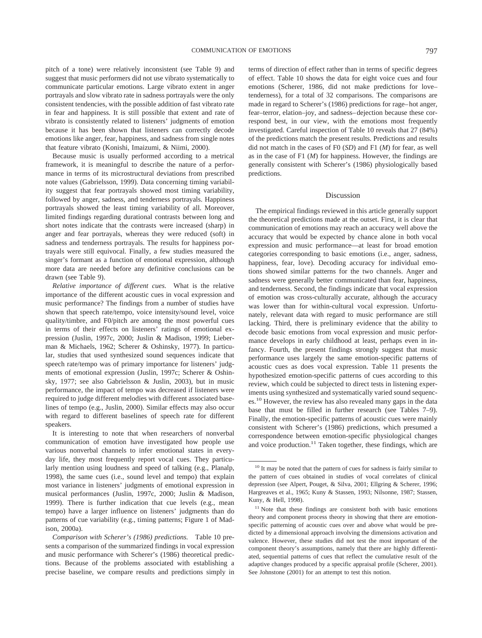pitch of a tone) were relatively inconsistent (see Table 9) and suggest that music performers did not use vibrato systematically to communicate particular emotions. Large vibrato extent in anger portrayals and slow vibrato rate in sadness portrayals were the only consistent tendencies, with the possible addition of fast vibrato rate in fear and happiness. It is still possible that extent and rate of vibrato is consistently related to listeners' judgments of emotion because it has been shown that listeners can correctly decode emotions like anger, fear, happiness, and sadness from single notes that feature vibrato (Konishi, Imaizumi, & Niimi, 2000).

Because music is usually performed according to a metrical framework, it is meaningful to describe the nature of a performance in terms of its microstructural deviations from prescribed note values (Gabrielsson, 1999). Data concerning timing variability suggest that fear portrayals showed most timing variability, followed by anger, sadness, and tenderness portrayals. Happiness portrayals showed the least timing variability of all. Moreover, limited findings regarding durational contrasts between long and short notes indicate that the contrasts were increased (sharp) in anger and fear portrayals, whereas they were reduced (soft) in sadness and tenderness portrayals. The results for happiness portrayals were still equivocal. Finally, a few studies measured the singer's formant as a function of emotional expression, although more data are needed before any definitive conclusions can be drawn (see Table 9).

*Relative importance of different cues.* What is the relative importance of the different acoustic cues in vocal expression and music performance? The findings from a number of studies have shown that speech rate/tempo, voice intensity/sound level, voice quality/timbre, and F0/pitch are among the most powerful cues in terms of their effects on listeners' ratings of emotional expression (Juslin, 1997c, 2000; Juslin & Madison, 1999; Lieberman & Michaels, 1962; Scherer & Oshinsky, 1977). In particular, studies that used synthesized sound sequences indicate that speech rate/tempo was of primary importance for listeners' judgments of emotional expression (Juslin, 1997c; Scherer & Oshinsky, 1977; see also Gabrielsson & Juslin, 2003), but in music performance, the impact of tempo was decreased if listeners were required to judge different melodies with different associated baselines of tempo (e.g., Juslin, 2000). Similar effects may also occur with regard to different baselines of speech rate for different speakers.

It is interesting to note that when researchers of nonverbal communication of emotion have investigated how people use various nonverbal channels to infer emotional states in everyday life, they most frequently report vocal cues. They particularly mention using loudness and speed of talking (e.g., Planalp, 1998), the same cues (i.e., sound level and tempo) that explain most variance in listeners' judgments of emotional expression in musical performances (Juslin, 1997c, 2000; Juslin & Madison, 1999). There is further indication that cue levels (e.g., mean tempo) have a larger influence on listeners' judgments than do patterns of cue variability (e.g., timing patterns; Figure 1 of Madison, 2000a).

terms of direction of effect rather than in terms of specific degrees of effect. Table 10 shows the data for eight voice cues and four emotions (Scherer, 1986, did not make predictions for love– tenderness), for a total of 32 comparisons. The comparisons are made in regard to Scherer's (1986) predictions for rage–hot anger, fear–terror, elation–joy, and sadness–dejection because these correspond best, in our view, with the emotions most frequently investigated. Careful inspection of Table 10 reveals that 27 (84%) of the predictions match the present results. Predictions and results did not match in the cases of F0 (*SD*) and F1 (*M*) for fear, as well as in the case of F1 (*M*) for happiness. However, the findings are generally consistent with Scherer's (1986) physiologically based predictions.

### Discussion

The empirical findings reviewed in this article generally support the theoretical predictions made at the outset. First, it is clear that communication of emotions may reach an accuracy well above the accuracy that would be expected by chance alone in both vocal expression and music performance—at least for broad emotion categories corresponding to basic emotions (i.e., anger, sadness, happiness, fear, love). Decoding accuracy for individual emotions showed similar patterns for the two channels. Anger and sadness were generally better communicated than fear, happiness, and tenderness. Second, the findings indicate that vocal expression of emotion was cross-culturally accurate, although the accuracy was lower than for within-cultural vocal expression. Unfortunately, relevant data with regard to music performance are still lacking. Third, there is preliminary evidence that the ability to decode basic emotions from vocal expression and music performance develops in early childhood at least, perhaps even in infancy. Fourth, the present findings strongly suggest that music performance uses largely the same emotion-specific patterns of acoustic cues as does vocal expression. Table 11 presents the hypothesized emotion-specific patterns of cues according to this review, which could be subjected to direct tests in listening experiments using synthesized and systematically varied sound sequences.10 However, the review has also revealed many gaps in the data base that must be filled in further research (see Tables 7–9). Finally, the emotion-specific patterns of acoustic cues were mainly consistent with Scherer's (1986) predictions, which presumed a correspondence between emotion-specific physiological changes and voice production.<sup>11</sup> Taken together, these findings, which are

*Comparison with Scherer's (1986) predictions.* Table 10 presents a comparison of the summarized findings in vocal expression and music performance with Scherer's (1986) theoretical predictions. Because of the problems associated with establishing a precise baseline, we compare results and predictions simply in

<sup>&</sup>lt;sup>10</sup> It may be noted that the pattern of cues for sadness is fairly similar to the pattern of cues obtained in studies of vocal correlates of clinical depression (see Alpert, Pouget, & Silva, 2001; Ellgring & Scherer, 1996; Hargreaves et al., 1965; Kuny & Stassen, 1993; Nilsonne, 1987; Stassen, Kuny, & Hell, 1998).

<sup>&</sup>lt;sup>11</sup> Note that these findings are consistent both with basic emotions theory and component process theory in showing that there are emotionspecific patterning of acoustic cues over and above what would be predicted by a dimensional approach involving the dimensions activation and valence. However, these studies did not test the most important of the component theory's assumptions, namely that there are highly differentiated, sequential patterns of cues that reflect the cumulative result of the adaptive changes produced by a specific appraisal profile (Scherer, 2001). See Johnstone (2001) for an attempt to test this notion.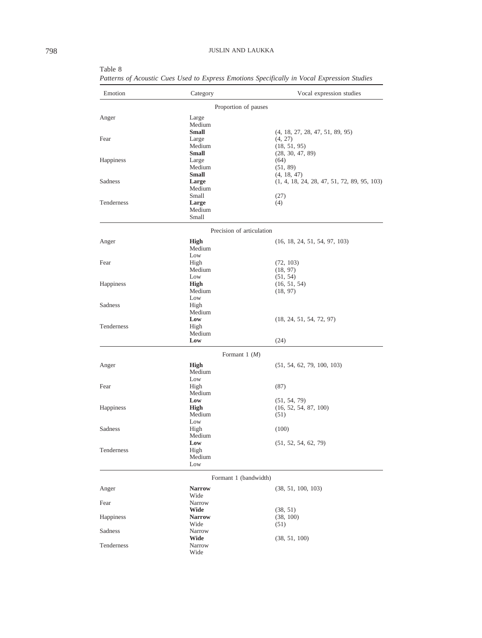| Emotion        | Category                  | Vocal expression studies                      |
|----------------|---------------------------|-----------------------------------------------|
|                | Proportion of pauses      |                                               |
| Anger          | Large                     |                                               |
|                | Medium                    |                                               |
|                | <b>Small</b>              | (4, 18, 27, 28, 47, 51, 89, 95)               |
| Fear           | Large                     | (4, 27)                                       |
|                | Medium                    | (18, 51, 95)                                  |
|                | <b>Small</b>              | (28, 30, 47, 89)                              |
| Happiness      | Large                     | (64)                                          |
|                | Medium                    | (51, 89)                                      |
|                | <b>Small</b>              | (4, 18, 47)                                   |
| Sadness        | Large                     | $(1, 4, 18, 24, 28, 47, 51, 72, 89, 95, 103)$ |
|                | Medium<br>Small           |                                               |
| Tenderness     | Large                     | (27)<br>(4)                                   |
|                | Medium                    |                                               |
|                | Small                     |                                               |
|                |                           |                                               |
|                | Precision of articulation |                                               |
| Anger          | <b>High</b><br>Medium     | (16, 18, 24, 51, 54, 97, 103)                 |
|                | Low                       |                                               |
| Fear           |                           |                                               |
|                | High<br>Medium            | (72, 103)<br>(18, 97)                         |
|                | Low                       | (51, 54)                                      |
| Happiness      | <b>High</b>               | (16, 51, 54)                                  |
|                | Medium                    | (18, 97)                                      |
|                | Low                       |                                               |
| <b>Sadness</b> | High                      |                                               |
|                | Medium                    |                                               |
|                | Low                       | (18, 24, 51, 54, 72, 97)                      |
| Tenderness     | High                      |                                               |
|                | Medium                    |                                               |
|                | Low                       | (24)                                          |
|                | Formant $1 \, (M)$        |                                               |
| Anger          | <b>High</b>               | (51, 54, 62, 79, 100, 103)                    |
|                | Medium                    |                                               |
|                | Low                       |                                               |
| Fear           | High                      | (87)                                          |
|                | Medium                    |                                               |
|                | Low                       | (51, 54, 79)                                  |
| Happiness      | <b>High</b>               | (16, 52, 54, 87, 100)                         |
|                | Medium                    | (51)                                          |
|                | Low                       |                                               |
| Sadness        | High                      | (100)                                         |
|                | Medium                    |                                               |
|                | Low                       | (51, 52, 54, 62, 79)                          |
| Tenderness     | High                      |                                               |
|                | Medium                    |                                               |
|                | Low                       |                                               |
|                | Formant 1 (bandwidth)     |                                               |
| Anger          | <b>Narrow</b>             | (38, 51, 100, 103)                            |
|                | Wide                      |                                               |
| Fear           | Narrow                    |                                               |
|                | Wide                      | (38, 51)                                      |
| Happiness      | <b>Narrow</b>             | (38, 100)                                     |
|                | Wide                      | (51)                                          |
| Sadness        | Narrow                    |                                               |
|                | Wide                      | (38, 51, 100)                                 |
| Tenderness     | Narrow                    |                                               |
|                | Wide                      |                                               |

Table 8 *Patterns of Acoustic Cues Used to Express Emotions Specifically in Vocal Expression Studies*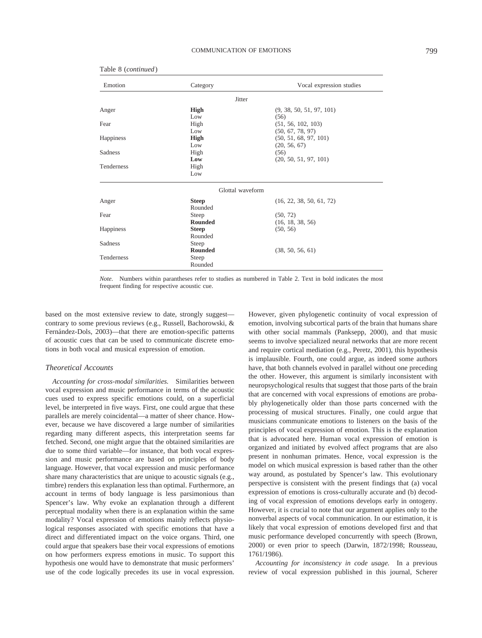| Emotion    | Category         | Vocal expression studies |
|------------|------------------|--------------------------|
|            | Jitter           |                          |
| Anger      | <b>High</b>      | (9, 38, 50, 51, 97, 101) |
|            | Low              | (56)                     |
| Fear       | High             | (51, 56, 102, 103)       |
|            | Low              | (50, 67, 78, 97)         |
| Happiness  | <b>High</b>      | (50, 51, 68, 97, 101)    |
|            | Low              | (20, 56, 67)             |
| Sadness    | High             | (56)                     |
|            | Low              | (20, 50, 51, 97, 101)    |
| Tenderness | High             |                          |
|            | Low              |                          |
|            | Glottal waveform |                          |
| Anger      | <b>Steep</b>     | (16, 22, 38, 50, 61, 72) |
|            | Rounded          |                          |
| Fear       | Steep            | (50, 72)                 |
|            | <b>Rounded</b>   | (16, 18, 38, 56)         |
| Happiness  | <b>Steep</b>     | (50, 56)                 |
|            | Rounded          |                          |
| Sadness    | Steep            |                          |
|            | <b>Rounded</b>   | (38, 50, 56, 61)         |
| Tenderness | Steep            |                          |
|            | Rounded          |                          |

| Table 8 (continued) |  |  |
|---------------------|--|--|
|---------------------|--|--|

*Note.* Numbers within parantheses refer to studies as numbered in Table 2. Text in bold indicates the most frequent finding for respective acoustic cue.

based on the most extensive review to date, strongly suggest contrary to some previous reviews (e.g., Russell, Bachorowski, & Fernández-Dols, 2003)—that there are emotion-specific patterns of acoustic cues that can be used to communicate discrete emotions in both vocal and musical expression of emotion.

## *Theoretical Accounts*

*Accounting for cross-modal similarities.* Similarities between vocal expression and music performance in terms of the acoustic cues used to express specific emotions could, on a superficial level, be interpreted in five ways. First, one could argue that these parallels are merely coincidental—a matter of sheer chance. However, because we have discovered a large number of similarities regarding many different aspects, this interpretation seems far fetched. Second, one might argue that the obtained similarities are due to some third variable—for instance, that both vocal expression and music performance are based on principles of body language. However, that vocal expression and music performance share many characteristics that are unique to acoustic signals (e.g., timbre) renders this explanation less than optimal. Furthermore, an account in terms of body language is less parsimonious than Spencer's law. Why evoke an explanation through a different perceptual modality when there is an explanation within the same modality? Vocal expression of emotions mainly reflects physiological responses associated with specific emotions that have a direct and differentiated impact on the voice organs. Third, one could argue that speakers base their vocal expressions of emotions on how performers express emotions in music. To support this hypothesis one would have to demonstrate that music performers' use of the code logically precedes its use in vocal expression. However, given phylogenetic continuity of vocal expression of emotion, involving subcortical parts of the brain that humans share with other social mammals (Panksepp, 2000), and that music seems to involve specialized neural networks that are more recent and require cortical mediation (e.g., Peretz, 2001), this hypothesis is implausible. Fourth, one could argue, as indeed some authors have, that both channels evolved in parallel without one preceding the other. However, this argument is similarly inconsistent with neuropsychological results that suggest that those parts of the brain that are concerned with vocal expressions of emotions are probably phylogenetically older than those parts concerned with the processing of musical structures. Finally, one could argue that musicians communicate emotions to listeners on the basis of the principles of vocal expression of emotion. This is the explanation that is advocated here. Human vocal expression of emotion is organized and initiated by evolved affect programs that are also present in nonhuman primates. Hence, vocal expression is the model on which musical expression is based rather than the other way around, as postulated by Spencer's law. This evolutionary perspective is consistent with the present findings that (a) vocal expression of emotions is cross-culturally accurate and (b) decoding of vocal expression of emotions develops early in ontogeny. However, it is crucial to note that our argument applies only to the nonverbal aspects of vocal communication. In our estimation, it is likely that vocal expression of emotions developed first and that music performance developed concurrently with speech (Brown, 2000) or even prior to speech (Darwin, 1872/1998; Rousseau, 1761/1986).

*Accounting for inconsistency in code usage.* In a previous review of vocal expression published in this journal, Scherer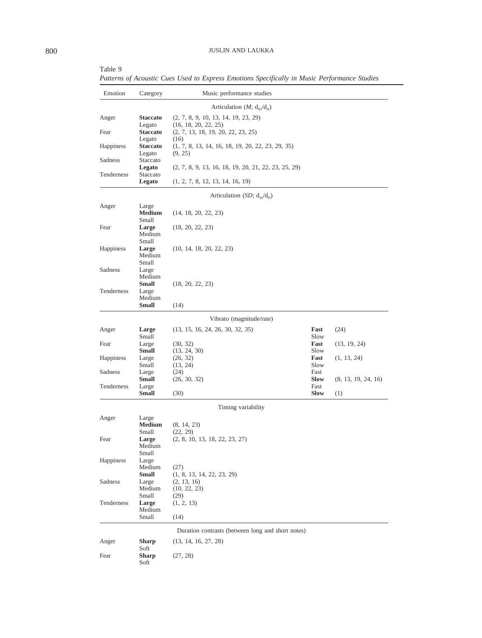| 800 | JUSLIN AND LAUKKA |
|-----|-------------------|
|     |                   |

Emotion Category Music performance studies

|                  |                                                                                 | Articulation ( <i>M</i> ; $d_{i0}/d_{ii}$ )            |              |                     |
|------------------|---------------------------------------------------------------------------------|--------------------------------------------------------|--------------|---------------------|
| Anger            | <b>Staccato</b>                                                                 | (2, 7, 8, 9, 10, 13, 14, 19, 23, 29)                   |              |                     |
|                  | Legato                                                                          | (16, 18, 20, 22, 25)                                   |              |                     |
|                  | Fear<br><b>Staccato</b><br>(2, 7, 13, 18, 19, 20, 22, 23, 25)<br>Legato<br>(16) |                                                        |              |                     |
| Happiness        | <b>Staccato</b>                                                                 | $(1, 7, 8, 13, 14, 16, 18, 19, 20, 22, 23, 29, 35)$    |              |                     |
|                  | Legato                                                                          | (9, 25)                                                |              |                     |
| Sadness          | Staccato<br>Legato                                                              | $(2, 7, 8, 9, 13, 16, 18, 19, 20, 21, 22, 23, 25, 29)$ |              |                     |
| Tenderness       | Staccato                                                                        |                                                        |              |                     |
|                  | Legato                                                                          | (1, 2, 7, 8, 12, 13, 14, 16, 19)                       |              |                     |
|                  |                                                                                 | Articulation (SD; $d_{i0}/d_{ii}$ )                    |              |                     |
| Anger            | Large                                                                           |                                                        |              |                     |
|                  | Medium<br>Small                                                                 | (14, 18, 20, 22, 23)                                   |              |                     |
| Fear             | Large                                                                           | (18, 20, 22, 23)                                       |              |                     |
|                  | Medium                                                                          |                                                        |              |                     |
| <b>Happiness</b> | Small<br>Large                                                                  | (10, 14, 18, 20, 22, 23)                               |              |                     |
|                  | Medium                                                                          |                                                        |              |                     |
|                  | Small                                                                           |                                                        |              |                     |
| Sadness          | Large                                                                           |                                                        |              |                     |
|                  | Medium<br>Small                                                                 | (18, 20, 22, 23)                                       |              |                     |
| Tenderness       | Large                                                                           |                                                        |              |                     |
|                  | Medium                                                                          |                                                        |              |                     |
|                  | Small                                                                           | (14)                                                   |              |                     |
|                  |                                                                                 | Vibrato (magnitude/rate)                               |              |                     |
| Anger            | Large                                                                           | (13, 15, 16, 24, 26, 30, 32, 35)                       | Fast         | (24)                |
| Fear             | Small<br>Large                                                                  | (30, 32)                                               | Slow<br>Fast | (13, 19, 24)        |
|                  | Small                                                                           | (13, 24, 30)                                           | Slow         |                     |
| Happiness        | Large                                                                           | (26, 32)                                               | Fast         | (1, 13, 24)         |
| Sadness          | Small<br>Large                                                                  | (13, 24)<br>(24)                                       | Slow<br>Fast |                     |
|                  | <b>Small</b>                                                                    | (26, 30, 32)                                           | Slow         | (8, 13, 19, 24, 16) |
| Tenderness       | Large                                                                           |                                                        | Fast         |                     |
|                  | Small                                                                           | (30)                                                   | Slow         | (1)                 |
|                  |                                                                                 | Timing variability                                     |              |                     |
| Anger            | Large                                                                           |                                                        |              |                     |
|                  | <b>Medium</b>                                                                   | (8, 14, 23)                                            |              |                     |
| Fear             | Small<br>Large                                                                  | (22, 29)<br>(2, 8, 10, 13, 18, 22, 23, 27)             |              |                     |
|                  | Medium                                                                          |                                                        |              |                     |

Table 9 *Patterns of Acoustic Cues Used to Express Emotions Specifically in Music Performance Studies*

|       | Medium<br>Small      | (14)                                              |
|-------|----------------------|---------------------------------------------------|
|       |                      | Duration contrasts (between long and short notes) |
| Anger | <b>Sharp</b><br>Soft | (13, 14, 16, 27, 28)                              |

**Small** (27)<br> **Small** (1, 8, 13, 14, 22, 23, 29)<br>
Large (2, 13, 16)

Medium (10, 22, 23) Small (29)<br>**Large** (1, 2, 13)

Soft Fear **Sharp** (27, 28)

Soft

Small

Medium<br>Small

Sadness Large (2, 13, 16)

Happiness

Tenderness **Large**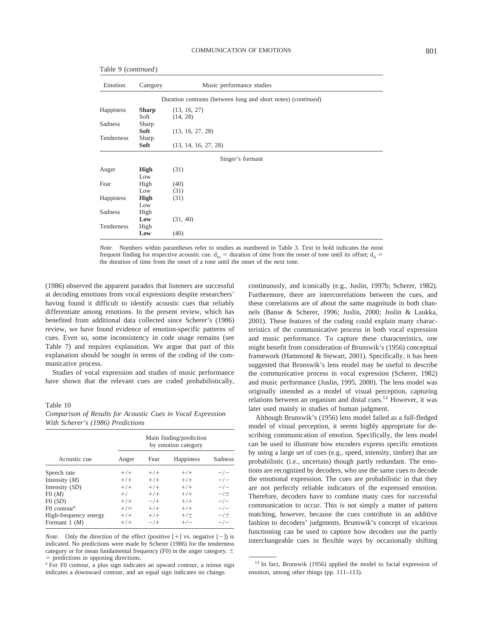| Emotion    | Category     | Music performance studies                                     |
|------------|--------------|---------------------------------------------------------------|
|            |              | Duration contrasts (between long and short notes) (continued) |
| Happiness  | <b>Sharp</b> | (13, 16, 27)                                                  |
|            | Soft         | (14, 28)                                                      |
| Sadness    | Sharp        |                                                               |
|            | Soft         | (13, 16, 27, 28)                                              |
| Tenderness | Sharp        |                                                               |
|            | Soft         | (13, 14, 16, 27, 28)                                          |
|            |              | Singer's formant                                              |
| Anger      | <b>High</b>  | (31)                                                          |
|            | Low          |                                                               |
| Fear       | High         | (40)                                                          |
|            | Low          | (31)                                                          |
| Happiness  | <b>High</b>  | (31)                                                          |
|            | Low          |                                                               |
| Sadness    | High         |                                                               |
|            | Low          | (31, 40)                                                      |
| Tenderness | High         |                                                               |
|            | Low          | (40)                                                          |

Table 9 (*continued*)

*Note.* Numbers within parantheses refer to studies as numbered in Table 3. Text in bold indicates the most frequent finding for respective acoustic cue.  $d_{io}$  = duration of time from the onset of tone until its offset;  $d_{ii}$  = the duration of time from the onset of a tone until the onset of the next tone.

(1986) observed the apparent paradox that listeners are successful at decoding emotions from vocal expressions despite researchers' having found it difficult to identify acoustic cues that reliably differentiate among emotions. In the present review, which has benefited from additional data collected since Scherer's (1986) review, we have found evidence of emotion-specific patterns of cues. Even so, some inconsistency in code usage remains (see Table 7) and requires explanation. We argue that part of this explanation should be sought in terms of the coding of the communicative process.

Studies of vocal expression and studies of music performance have shown that the relevant cues are coded probabilistically,

### Table 10

*Comparison of Results for Acoustic Cues in Vocal Expression With Scherer's (1986) Predictions*

|                           | Main finding/prediction<br>by emotion category |        |                  |             |
|---------------------------|------------------------------------------------|--------|------------------|-------------|
| Acoustic cue              | Anger                                          | Fear   | <b>Happiness</b> | Sadness     |
| Speech rate               | $+/+$                                          | $+/-$  | $+/-$            | $-\prime -$ |
| Intensity $(M)$           | $+/+$                                          | $+/-$  | $+/+$            | $-\prime -$ |
| Intensity $(SD)$          | $+/+$                                          | $+/-$  | $+/-$            | $-\prime -$ |
| F0(M)                     | $+/-$                                          | $+/-$  | $+/-$            | $-$ /+      |
| F0(SD)                    | $+/+$                                          | $-/+$  | $+/-$            | $-\prime -$ |
| $F0$ contour <sup>a</sup> | $+/-$                                          | $+/-$  | $+/+$            | $-\prime -$ |
| High-frequency energy     | $+/+$                                          | $+/-$  | $+/+$            | $-/\pm$     |
| Formant $1 \ (M)$         | $+/+$                                          | $-$ /+ | $+/-$            | $-\prime -$ |

*Note.* Only the direction of the effect (positive  $[+]$  vs. negative  $[-]$ ) is indicated. No predictions were made by Scherer (1986) for the tenderness category or for mean fundamental frequency (F0) in the anger category.  $\pm$ 

 $=$  predictions in opposing directions.<br><sup>a</sup> For F0 contour, a plus sign indicates an upward contour, a minus sign indicates a downward contour, and an equal sign indicates no change.

continuously, and iconically (e.g., Juslin, 1997b; Scherer, 1982). Furthermore, there are intercorrelations between the cues, and these correlations are of about the same magnitude in both channels (Banse & Scherer, 1996; Juslin, 2000; Juslin & Laukka, 2001). These features of the coding could explain many characteristics of the communicative process in both vocal expression and music performance. To capture these characteristics, one might benefit from consideration of Brunswik's (1956) conceptual framework (Hammond & Stewart, 2001). Specifically, it has been suggested that Brunswik's lens model may be useful to describe the communicative process in vocal expression (Scherer, 1982) and music performance (Juslin, 1995, 2000). The lens model was originally intended as a model of visual perception, capturing relations between an organism and distal cues.<sup>12</sup> However, it was later used mainly in studies of human judgment.

Although Brunswik's (1956) lens model failed as a full-fledged model of visual perception, it seems highly appropriate for describing communication of emotion. Specifically, the lens model can be used to illustrate how encoders express specific emotions by using a large set of cues (e.g., speed, intensity, timbre) that are probabilistic (i.e., uncertain) though partly redundant. The emotions are recognized by decoders, who use the same cues to decode the emotional expression. The cues are probabilistic in that they are not perfectly reliable indicators of the expressed emotion. Therefore, decoders have to combine many cues for successful communication to occur. This is not simply a matter of pattern matching, however, because the cues contribute in an additive fashion to decoders' judgments. Brunswik's concept of vicarious functioning can be used to capture how decoders use the partly interchangeable cues in flexible ways by occasionally shifting

<sup>&</sup>lt;sup>12</sup> In fact, Brunswik (1956) applied the model to facial expression of emotion, among other things (pp. 111–113).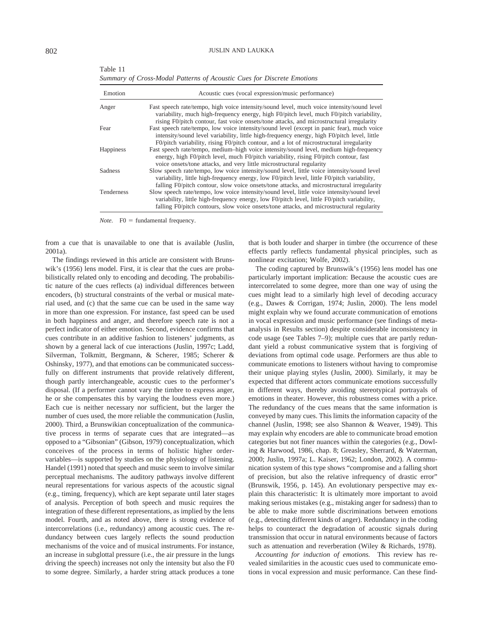| summur v of Cross-modul I diferits of Acousite Cites for Discrete Emotions |                                                                                                                                                                                                                                                                                         |  |  |
|----------------------------------------------------------------------------|-----------------------------------------------------------------------------------------------------------------------------------------------------------------------------------------------------------------------------------------------------------------------------------------|--|--|
| Emotion                                                                    | Acoustic cues (vocal expression/music performance)                                                                                                                                                                                                                                      |  |  |
| Anger                                                                      | Fast speech rate/tempo, high voice intensity/sound level, much voice intensity/sound level<br>variability, much high-frequency energy, high F0/pitch level, much F0/pitch variability,                                                                                                  |  |  |
| Fear                                                                       | rising F0/pitch contour, fast voice onsets/tone attacks, and microstructural irregularity<br>Fast speech rate/tempo, low voice intensity/sound level (except in panic fear), much voice<br>intensity/sound level variability, little high-frequency energy, high F0/pitch level, little |  |  |

Table 11 *Summary of Cross-Modal Patterns of Acoustic Cues for Discrete Emotions*

|                  | rising F0/pitch contour, fast voice onsets/tone attacks, and microstructural irregularity    |
|------------------|----------------------------------------------------------------------------------------------|
| Fear             | Fast speech rate/tempo, low voice intensity/sound level (except in panic fear), much voice   |
|                  | intensity/sound level variability, little high-frequency energy, high F0/pitch level, little |
|                  | F0/pitch variability, rising F0/pitch contour, and a lot of microstructural irregularity     |
| <b>Happiness</b> | Fast speech rate/tempo, medium-high voice intensity/sound level, medium high-frequency       |
|                  | energy, high F0/pitch level, much F0/pitch variability, rising F0/pitch contour, fast        |
|                  | voice onsets/tone attacks, and very little microstructural regularity                        |
| Sadness          | Slow speech rate/tempo, low voice intensity/sound level, little voice intensity/sound level  |
|                  | variability, little high-frequency energy, low F0/pitch level, little F0/pitch variability,  |
|                  | falling F0/pitch contour, slow voice onsets/tone attacks, and microstructural irregularity   |
| Tenderness       | Slow speech rate/tempo, low voice intensity/sound level, little voice intensity/sound level  |
|                  | variability, little high-frequency energy, low F0/pitch level, little F0/pitch variability,  |
|                  | falling F0/pitch contours, slow voice onsets/tone attacks, and microstructural regularity    |
|                  |                                                                                              |

*Note.*  $F0 =$  fundamental frequency.

from a cue that is unavailable to one that is available (Juslin, 2001a).

The findings reviewed in this article are consistent with Brunswik's (1956) lens model. First, it is clear that the cues are probabilistically related only to encoding and decoding. The probabilistic nature of the cues reflects (a) individual differences between encoders, (b) structural constraints of the verbal or musical material used, and (c) that the same cue can be used in the same way in more than one expression. For instance, fast speed can be used in both happiness and anger, and therefore speech rate is not a perfect indicator of either emotion. Second, evidence confirms that cues contribute in an additive fashion to listeners' judgments, as shown by a general lack of cue interactions (Juslin, 1997c; Ladd, Silverman, Tolkmitt, Bergmann, & Scherer, 1985; Scherer & Oshinsky, 1977), and that emotions can be communicated successfully on different instruments that provide relatively different, though partly interchangeable, acoustic cues to the performer's disposal. (If a performer cannot vary the timbre to express anger, he or she compensates this by varying the loudness even more.) Each cue is neither necessary nor sufficient, but the larger the number of cues used, the more reliable the communication (Juslin, 2000). Third, a Brunswikian conceptualization of the communicative process in terms of separate cues that are integrated—as opposed to a "Gibsonian" (Gibson, 1979) conceptualization, which conceives of the process in terms of holistic higher ordervariables—is supported by studies on the physiology of listening. Handel (1991) noted that speech and music seem to involve similar perceptual mechanisms. The auditory pathways involve different neural representations for various aspects of the acoustic signal (e.g., timing, frequency), which are kept separate until later stages of analysis. Perception of both speech and music requires the integration of these different representations, as implied by the lens model. Fourth, and as noted above, there is strong evidence of intercorrelations (i.e., redundancy) among acoustic cues. The redundancy between cues largely reflects the sound production mechanisms of the voice and of musical instruments. For instance, an increase in subglottal pressure (i.e., the air pressure in the lungs driving the speech) increases not only the intensity but also the F0 to some degree. Similarly, a harder string attack produces a tone that is both louder and sharper in timbre (the occurrence of these effects partly reflects fundamental physical principles, such as nonlinear excitation; Wolfe, 2002).

The coding captured by Brunswik's (1956) lens model has one particularly important implication: Because the acoustic cues are intercorrelated to some degree, more than one way of using the cues might lead to a similarly high level of decoding accuracy (e.g., Dawes & Corrigan, 1974; Juslin, 2000). The lens model might explain why we found accurate communication of emotions in vocal expression and music performance (see findings of metaanalysis in Results section) despite considerable inconsistency in code usage (see Tables 7–9); multiple cues that are partly redundant yield a robust communicative system that is forgiving of deviations from optimal code usage. Performers are thus able to communicate emotions to listeners without having to compromise their unique playing styles (Juslin, 2000). Similarly, it may be expected that different actors communicate emotions successfully in different ways, thereby avoiding stereotypical portrayals of emotions in theater. However, this robustness comes with a price. The redundancy of the cues means that the same information is conveyed by many cues. This limits the information capacity of the channel (Juslin, 1998; see also Shannon & Weaver, 1949). This may explain why encoders are able to communicate broad emotion categories but not finer nuances within the categories (e.g., Dowling & Harwood, 1986, chap. 8; Greasley, Sherrard, & Waterman, 2000; Juslin, 1997a; L. Kaiser, 1962; London, 2002). A communication system of this type shows "compromise and a falling short of precision, but also the relative infrequency of drastic error" (Brunswik, 1956, p. 145). An evolutionary perspective may explain this characteristic: It is ultimately more important to avoid making serious mistakes (e.g., mistaking anger for sadness) than to be able to make more subtle discriminations between emotions (e.g., detecting different kinds of anger). Redundancy in the coding helps to counteract the degradation of acoustic signals during transmission that occur in natural environments because of factors such as attenuation and reverberation (Wiley & Richards, 1978).

*Accounting for induction of emotions.* This review has revealed similarities in the acoustic cues used to communicate emotions in vocal expression and music performance. Can these find-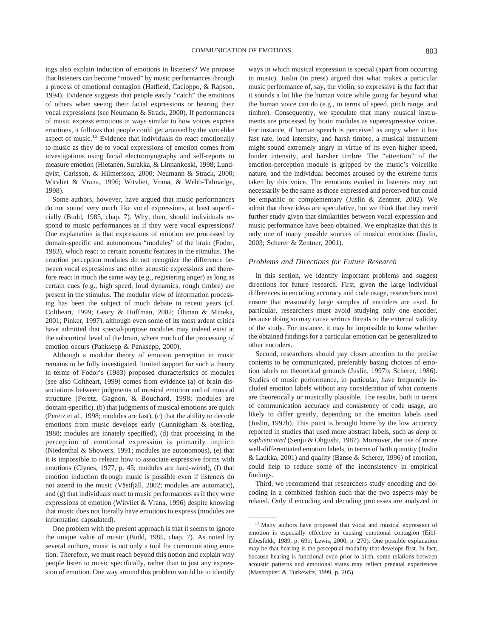ings also explain induction of emotions in listeners? We propose that listeners can become "moved" by music performances through a process of emotional contagion (Hatfield, Cacioppo, & Rapson, 1994). Evidence suggests that people easily "catch" the emotions of others when seeing their facial expressions or hearing their vocal expressions (see Neumann & Strack, 2000). If performances of music express emotions in ways similar to how voices express emotions, it follows that people could get aroused by the voicelike aspect of music.<sup>13</sup> Evidence that individuals do react emotionally to music as they do to vocal expressions of emotion comes from investigations using facial electromyography and self-reports to measure emotion (Hietanen, Surakka, & Linnankoski, 1998; Lundqvist, Carlsson, & Hilmersson, 2000; Neumann & Strack, 2000; Witvliet & Vrana, 1996; Witvliet, Vrana, & Webb-Talmadge, 1998).

Some authors, however, have argued that music performances do not sound very much like vocal expressions, at least superficially (Budd, 1985, chap. 7). Why, then, should individuals respond to music performances as if they were vocal expressions? One explanation is that expressions of emotion are processed by domain-specific and autonomous "modules" of the brain (Fodor, 1983), which react to certain acoustic features in the stimulus. The emotion perception modules do not recognize the difference between vocal expressions and other acoustic expressions and therefore react in much the same way (e.g., registering anger) as long as certain cues (e.g., high speed, loud dynamics, rough timbre) are present in the stimulus. The modular view of information processing has been the subject of much debate in recent years (cf. Coltheart, 1999; Geary & Huffman, 2002; Öhman & Mineka, 2001; Pinker, 1997), although even some of its most ardent critics have admitted that special-purpose modules may indeed exist at the subcortical level of the brain, where much of the processing of emotion occurs (Panksepp & Panksepp, 2000).

Although a modular theory of emotion perception in music remains to be fully investigated, limited support for such a theory in terms of Fodor's (1983) proposed characteristics of modules (see also Coltheart, 1999) comes from evidence (a) of brain dissociations between judgments of musical emotion and of musical structure (Peretz, Gagnon, & Bouchard, 1998; modules are domain-specific), (b) that judgments of musical emotions are quick (Peretz et al., 1998; modules are fast), (c) that the ability to decode emotions from music develops early (Cunningham & Sterling, 1988; modules are innately specified), (d) that processing in the perception of emotional expression is primarily implicit (Niedenthal & Showers, 1991; modules are autonomous), (e) that it is impossible to relearn how to associate expressive forms with emotions (Clynes, 1977, p. 45; modules are hard-wired), (f) that emotion induction through music is possible even if listeners do not attend to the music (Västfjäll, 2002; modules are automatic), and (g) that individuals react to music performances as if they were expressions of emotion (Witvliet & Vrana, 1996) despite knowing that music does not literally have emotions to express (modules are information capsulated).

One problem with the present approach is that it seems to ignore the unique value of music (Budd, 1985, chap. 7). As noted by several authors, music is not only a tool for communicating emotion. Therefore, we must reach beyond this notion and explain why people listen to music specifically, rather than to just any expression of emotion. One way around this problem would be to identify ways in which musical expression is special (apart from occurring in music). Juslin (in press) argued that what makes a particular music performance of, say, the violin, so expressive is the fact that it sounds a lot like the human voice while going far beyond what the human voice can do (e.g., in terms of speed, pitch range, and timbre). Consequently, we speculate that many musical instruments are processed by brain modules as superexpressive voices. For instance, if human speech is perceived as angry when it has fast rate, loud intensity, and harsh timbre, a musical instrument might sound extremely angry in virtue of its even higher speed, louder intensity, and harsher timbre. The "attention" of the emotion-perception module is gripped by the music's voicelike nature, and the individual becomes aroused by the extreme turns taken by this voice. The emotions evoked in listeners may not necessarily be the same as those expressed and perceived but could be empathic or complementary (Juslin & Zentner, 2002). We admit that these ideas are speculative, but we think that they merit further study given that similarities between vocal expression and music performance have been obtained. We emphasize that this is only one of many possible sources of musical emotions (Juslin, 2003; Scherer & Zentner, 2001).

### *Problems and Directions for Future Research*

In this section, we identify important problems and suggest directions for future research. First, given the large individual differences in encoding accuracy and code usage, researchers must ensure that reasonably large samples of encoders are used. In particular, researchers must avoid studying only one encoder, because doing so may cause serious threats to the external validity of the study. For instance, it may be impossible to know whether the obtained findings for a particular emotion can be generalized to other encoders.

Second, researchers should pay closer attention to the precise contents to be communicated, preferably basing choices of emotion labels on theoretical grounds (Juslin, 1997b; Scherer, 1986). Studies of music performance, in particular, have frequently included emotion labels without any consideration of what contents are theoretically or musically plausible. The results, both in terms of communication accuracy and consistency of code usage, are likely to differ greatly, depending on the emotion labels used (Juslin, 1997b). This point is brought home by the low accuracy reported in studies that used more abstract labels, such as *deep* or *sophisticated* (Senju & Ohgushi, 1987). Moreover, the use of more well-differentiated emotion labels, in terms of both quantity (Juslin & Laukka, 2001) and quality (Banse & Scherer, 1996) of emotion, could help to reduce some of the inconsistency in empirical findings.

Third, we recommend that researchers study encoding and decoding in a combined fashion such that the two aspects may be related. Only if encoding and decoding processes are analyzed in

<sup>13</sup> Many authors have proposed that vocal and musical expression of emotion is especially effective in causing emotional contagion (Eibl-Eibesfeldt, 1989, p. 691; Lewis, 2000, p. 270). One possible explanation may be that hearing is the perceptual modality that develops first. In fact, because hearing is functional even prior to birth, some relations between acoustic patterns and emotional states may reflect prenatal experiences (Mastropieri & Turkewitz, 1999, p. 205).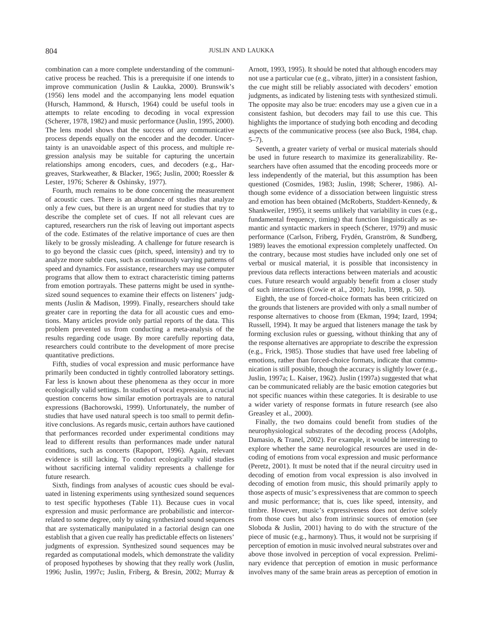combination can a more complete understanding of the communicative process be reached. This is a prerequisite if one intends to improve communication (Juslin & Laukka, 2000). Brunswik's (1956) lens model and the accompanying lens model equation (Hursch, Hammond, & Hursch, 1964) could be useful tools in attempts to relate encoding to decoding in vocal expression (Scherer, 1978, 1982) and music performance (Juslin, 1995, 2000). The lens model shows that the success of any communicative process depends equally on the encoder and the decoder. Uncertainty is an unavoidable aspect of this process, and multiple regression analysis may be suitable for capturing the uncertain relationships among encoders, cues, and decoders (e.g., Hargreaves, Starkweather, & Blacker, 1965; Juslin, 2000; Roessler & Lester, 1976; Scherer & Oshinsky, 1977).

Fourth, much remains to be done concerning the measurement of acoustic cues. There is an abundance of studies that analyze only a few cues, but there is an urgent need for studies that try to describe the complete set of cues. If not all relevant cues are captured, researchers run the risk of leaving out important aspects of the code. Estimates of the relative importance of cues are then likely to be grossly misleading. A challenge for future research is to go beyond the classic cues (pitch, speed, intensity) and try to analyze more subtle cues, such as continuously varying patterns of speed and dynamics. For assistance, researchers may use computer programs that allow them to extract characteristic timing patterns from emotion portrayals. These patterns might be used in synthesized sound sequences to examine their effects on listeners' judgments (Juslin & Madison, 1999). Finally, researchers should take greater care in reporting the data for all acoustic cues and emotions. Many articles provide only partial reports of the data. This problem prevented us from conducting a meta-analysis of the results regarding code usage. By more carefully reporting data, researchers could contribute to the development of more precise quantitative predictions.

Fifth, studies of vocal expression and music performance have primarily been conducted in tightly controlled laboratory settings. Far less is known about these phenomena as they occur in more ecologically valid settings. In studies of vocal expression, a crucial question concerns how similar emotion portrayals are to natural expressions (Bachorowski, 1999). Unfortunately, the number of studies that have used natural speech is too small to permit definitive conclusions. As regards music, certain authors have cautioned that performances recorded under experimental conditions may lead to different results than performances made under natural conditions, such as concerts (Rapoport, 1996). Again, relevant evidence is still lacking. To conduct ecologically valid studies without sacrificing internal validity represents a challenge for future research.

Sixth, findings from analyses of acoustic cues should be evaluated in listening experiments using synthesized sound sequences to test specific hypotheses (Table 11). Because cues in vocal expression and music performance are probabilistic and intercorrelated to some degree, only by using synthesized sound sequences that are systematically manipulated in a factorial design can one establish that a given cue really has predictable effects on listeners' judgments of expression. Synthesized sound sequences may be regarded as computational models, which demonstrate the validity of proposed hypotheses by showing that they really work (Juslin, 1996; Juslin, 1997c; Juslin, Friberg, & Bresin, 2002; Murray & Arnott, 1993, 1995). It should be noted that although encoders may not use a particular cue (e.g., vibrato, jitter) in a consistent fashion, the cue might still be reliably associated with decoders' emotion judgments, as indicated by listening tests with synthesized stimuli. The opposite may also be true: encoders may use a given cue in a consistent fashion, but decoders may fail to use this cue. This highlights the importance of studying both encoding and decoding aspects of the communicative process (see also Buck, 1984, chap.  $5-7$ ).

Seventh, a greater variety of verbal or musical materials should be used in future research to maximize its generalizability. Researchers have often assumed that the encoding proceeds more or less independently of the material, but this assumption has been questioned (Cosmides, 1983; Juslin, 1998; Scherer, 1986). Although some evidence of a dissociation between linguistic stress and emotion has been obtained (McRoberts, Studdert-Kennedy, & Shankweiler, 1995), it seems unlikely that variability in cues (e.g., fundamental frequency, timing) that function linguistically as semantic and syntactic markers in speech (Scherer, 1979) and music performance (Carlson, Friberg, Frydén, Granström, & Sundberg, 1989) leaves the emotional expression completely unaffected. On the contrary, because most studies have included only one set of verbal or musical material, it is possible that inconsistency in previous data reflects interactions between materials and acoustic cues. Future research would arguably benefit from a closer study of such interactions (Cowie et al., 2001; Juslin, 1998, p. 50).

Eighth, the use of forced-choice formats has been criticized on the grounds that listeners are provided with only a small number of response alternatives to choose from (Ekman, 1994; Izard, 1994; Russell, 1994). It may be argued that listeners manage the task by forming exclusion rules or guessing, without thinking that any of the response alternatives are appropriate to describe the expression (e.g., Frick, 1985). Those studies that have used free labeling of emotions, rather than forced-choice formats, indicate that communication is still possible, though the accuracy is slightly lower (e.g., Juslin, 1997a; L. Kaiser, 1962). Juslin (1997a) suggested that what can be communicated reliably are the basic emotion categories but not specific nuances within these categories. It is desirable to use a wider variety of response formats in future research (see also Greasley et al., 2000).

Finally, the two domains could benefit from studies of the neurophysiological substrates of the decoding process (Adolphs, Damasio, & Tranel, 2002). For example, it would be interesting to explore whether the same neurological resources are used in decoding of emotions from vocal expression and music performance (Peretz, 2001). It must be noted that if the neural circuitry used in decoding of emotion from vocal expression is also involved in decoding of emotion from music, this should primarily apply to those aspects of music's expressiveness that are common to speech and music performance; that is, cues like speed, intensity, and timbre. However, music's expressiveness does not derive solely from those cues but also from intrinsic sources of emotion (see Sloboda & Juslin, 2001) having to do with the structure of the piece of music (e.g., harmony). Thus, it would not be surprising if perception of emotion in music involved neural substrates over and above those involved in perception of vocal expression. Preliminary evidence that perception of emotion in music performance involves many of the same brain areas as perception of emotion in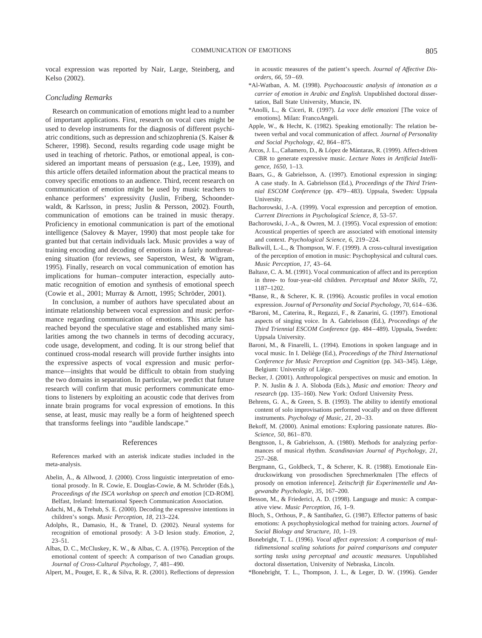vocal expression was reported by Nair, Large, Steinberg, and Kelso (2002).

### *Concluding Remarks*

Research on communication of emotions might lead to a number of important applications. First, research on vocal cues might be used to develop instruments for the diagnosis of different psychiatric conditions, such as depression and schizophrenia (S. Kaiser & Scherer, 1998). Second, results regarding code usage might be used in teaching of rhetoric. Pathos, or emotional appeal, is considered an important means of persuasion (e.g., Lee, 1939), and this article offers detailed information about the practical means to convey specific emotions to an audience. Third, recent research on communication of emotion might be used by music teachers to enhance performers' expressivity (Juslin, Friberg, Schoonderwaldt, & Karlsson, in press; Juslin & Persson, 2002). Fourth, communication of emotions can be trained in music therapy. Proficiency in emotional communication is part of the emotional intelligence (Salovey & Mayer, 1990) that most people take for granted but that certain individuals lack. Music provides a way of training encoding and decoding of emotions in a fairly nonthreatening situation (for reviews, see Saperston, West, & Wigram, 1995). Finally, research on vocal communication of emotion has implications for human–computer interaction, especially automatic recognition of emotion and synthesis of emotional speech (Cowie et al., 2001; Murray & Arnott, 1995; Schröder, 2001).

In conclusion, a number of authors have speculated about an intimate relationship between vocal expression and music performance regarding communication of emotions. This article has reached beyond the speculative stage and established many similarities among the two channels in terms of decoding accuracy, code usage, development, and coding. It is our strong belief that continued cross-modal research will provide further insights into the expressive aspects of vocal expression and music performance—insights that would be difficult to obtain from studying the two domains in separation. In particular, we predict that future research will confirm that music performers communicate emotions to listeners by exploiting an acoustic code that derives from innate brain programs for vocal expression of emotions. In this sense, at least, music may really be a form of heightened speech that transforms feelings into "audible landscape."

#### References

References marked with an asterisk indicate studies included in the meta-analysis.

- Abelin, Å., & Allwood, J. (2000). Cross linguistic interpretation of emotional prosody. In R. Cowie, E. Douglas-Cowie, & M. Schröder (Eds.), *Proceedings of the ISCA workshop on speech and emotion* [CD-ROM]. Belfast, Ireland: International Speech Communication Association.
- Adachi, M., & Trehub, S. E. (2000). Decoding the expressive intentions in children's songs. *Music Perception, 18,* 213–224.
- Adolphs, R., Damasio, H., & Tranel, D. (2002). Neural systems for recognition of emotional prosody: A 3-D lesion study. *Emotion, 2,* 23–51.
- Albas, D. C., McCluskey, K. W., & Albas, C. A. (1976). Perception of the emotional content of speech: A comparison of two Canadian groups. *Journal of Cross-Cultural Psychology, 7,* 481–490.

Alpert, M., Pouget, E. R., & Silva, R. R. (2001). Reflections of depression

in acoustic measures of the patient's speech. *Journal of Affective Disorders, 66,* 59–69.

- \*Al-Watban, A. M. (1998). *Psychoacoustic analysis of intonation as a carrier of emotion in Arabic and English.* Unpublished doctoral dissertation, Ball State University, Muncie, IN.
- \*Anolli, L., & Ciceri, R. (1997). *La voce delle emozioni* [The voice of emotions]. Milan: FrancoAngeli.
- Apple, W., & Hecht, K. (1982). Speaking emotionally: The relation between verbal and vocal communication of affect. *Journal of Personality and Social Psychology, 42,* 864–875.
- Arcos, J. L., Cañamero, D., & López de Mántaras, R. (1999). Affect-driven CBR to generate expressive music. *Lecture Notes in Artificial Intelligence, 1650,* 1–13.
- Baars, G., & Gabrielsson, A. (1997). Emotional expression in singing: A case study. In A. Gabrielsson (Ed.), *Proceedings of the Third Triennial ESCOM Conference* (pp. 479–483). Uppsala, Sweden: Uppsala University.
- Bachorowski, J.-A. (1999). Vocal expression and perception of emotion. *Current Directions in Psychological Science, 8,* 53–57.
- Bachorowski, J.-A., & Owren, M. J. (1995). Vocal expression of emotion: Acoustical properties of speech are associated with emotional intensity and context. *Psychological Science, 6,* 219–224.
- Balkwill, L.-L., & Thompson, W. F. (1999). A cross-cultural investigation of the perception of emotion in music: Psychophysical and cultural cues. *Music Perception, 17,* 43–64.
- Baltaxe, C. A. M. (1991). Vocal communication of affect and its perception in three- to four-year-old children. *Perceptual and Motor Skills, 72,* 1187–1202.
- \*Banse, R., & Scherer, K. R. (1996). Acoustic profiles in vocal emotion expression. *Journal of Personality and Social Psychology, 70,* 614–636.
- \*Baroni, M., Caterina, R., Regazzi, F., & Zanarini, G. (1997). Emotional aspects of singing voice. In A. Gabrielsson (Ed.), *Proceedings of the Third Triennial ESCOM Conference* (pp. 484–489). Uppsala, Sweden: Uppsala University.
- Baroni, M., & Finarelli, L. (1994). Emotions in spoken language and in vocal music. In I. Delie`ge (Ed.), *Proceedings of the Third International Conference for Music Perception and Cognition* (pp. 343–345). Lie´ge, Belgium: University of Liége.
- Becker, J. (2001). Anthropological perspectives on music and emotion. In P. N. Juslin & J. A. Sloboda (Eds.), *Music and emotion: Theory and research* (pp. 135–160). New York: Oxford University Press.
- Behrens, G. A., & Green, S. B. (1993). The ability to identify emotional content of solo improvisations performed vocally and on three different instruments. *Psychology of Music, 21,* 20–33.
- Bekoff, M. (2000). Animal emotions: Exploring passionate natures. *Bio-Science, 50,* 861–870.
- Bengtsson, I., & Gabrielsson, A. (1980). Methods for analyzing performances of musical rhythm. *Scandinavian Journal of Psychology, 21,* 257–268.
- Bergmann, G., Goldbeck, T., & Scherer, K. R. (1988). Emotionale Eindruckswirkung von prosodischen Sprechmerkmalen [The effects of prosody on emotion inference]. Zeitschrift für Experimentelle und An*gewandte Psychologie, 35,* 167–200.
- Besson, M., & Friederici, A. D. (1998). Language and music: A comparative view. *Music Perception, 16,* 1–9.
- Bloch, S., Orthous, P., & Santibañez, G. (1987). Effector patterns of basic emotions: A psychophysiological method for training actors. *Journal of Social Biology and Structure, 10,* 1–19.
- Bonebright, T. L. (1996). *Vocal affect expression: A comparison of multidimensional scaling solutions for paired comparisons and computer sorting tasks using perceptual and acoustic measures.* Unpublished doctoral dissertation, University of Nebraska, Lincoln.
- \*Bonebright, T. L., Thompson, J. L., & Leger, D. W. (1996). Gender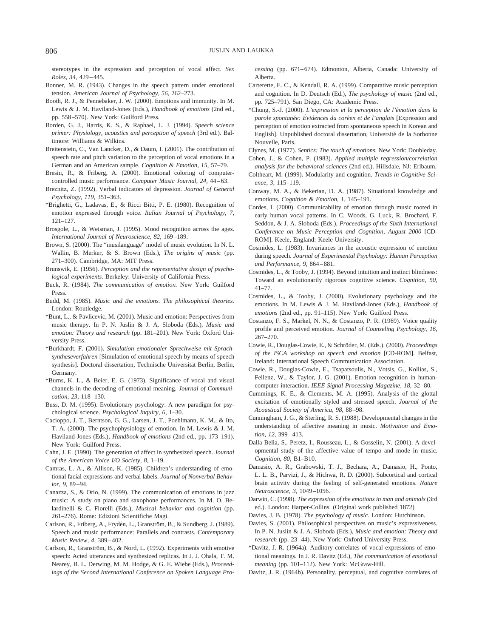stereotypes in the expression and perception of vocal affect. *Sex Roles, 34,* 429–445.

- Bonner, M. R. (1943). Changes in the speech pattern under emotional tension. *American Journal of Psychology, 56,* 262–273.
- Booth, R. J., & Pennebaker, J. W. (2000). Emotions and immunity. In M. Lewis & J. M. Haviland-Jones (Eds.), *Handbook of emotions* (2nd ed., pp. 558–570). New York: Guilford Press.
- Borden, G. J., Harris, K. S., & Raphael, L. J. (1994). *Speech science primer: Physiology, acoustics and perception of speech* (3rd ed.). Baltimore: Williams & Wilkins.
- Breitenstein, C., Van Lancker, D., & Daum, I. (2001). The contribution of speech rate and pitch variation to the perception of vocal emotions in a German and an American sample. *Cognition & Emotion, 15,* 57–79.
- Bresin, R., & Friberg, A. (2000). Emotional coloring of computercontrolled music performance. *Computer Music Journal, 24,* 44–63.
- Breznitz, Z. (1992). Verbal indicators of depression. *Journal of General Psychology, 119,* 351–363.
- \*Brighetti, G., Ladavas, E., & Ricci Bitti, P. E. (1980). Recognition of emotion expressed through voice. *Italian Journal of Psychology, 7,* 121–127.
- Brosgole, L., & Weisman, J. (1995). Mood recognition across the ages. *International Journal of Neuroscience, 82,* 169–189.
- Brown, S. (2000). The "musilanguage" model of music evolution. In N. L. Wallin, B. Merker, & S. Brown (Eds.), *The origins of music* (pp. 271–300). Cambridge, MA: MIT Press.
- Brunswik, E. (1956). *Perception and the representative design of psychological experiments.* Berkeley: University of California Press.
- Buck, R. (1984). *The communication of emotion.* New York: Guilford Press.
- Budd, M. (1985). *Music and the emotions. The philosophical theories.* London: Routledge.
- \*Bunt, L., & Pavlicevic, M. (2001). Music and emotion: Perspectives from music therapy. In P. N. Juslin & J. A. Sloboda (Eds.), *Music and emotion: Theory and research* (pp. 181–201). New York: Oxford University Press.
- \*Burkhardt, F. (2001). *Simulation emotionaler Sprechweise mit Sprachsyntheseverfahren* [Simulation of emotional speech by means of speech synthesis]. Doctoral dissertation, Technische Universität Berlin, Berlin, Germany.
- \*Burns, K. L., & Beier, E. G. (1973). Significance of vocal and visual channels in the decoding of emotional meaning. *Journal of Communication, 23,* 118–130.
- Buss, D. M. (1995). Evolutionary psychology: A new paradigm for psychological science. *Psychological Inquiry, 6,* 1–30.
- Cacioppo, J. T., Berntson, G. G., Larsen, J. T., Poehlmann, K. M., & Ito, T. A. (2000). The psychophysiology of emotion. In M. Lewis & J. M. Haviland-Jones (Eds.), *Handbook of emotions* (2nd ed., pp. 173–191). New York: Guilford Press.
- Cahn, J. E. (1990). The generation of affect in synthesized speech. *Journal of the American Voice I/O Society, 8,* 1–19.
- Camras, L. A., & Allison, K. (1985). Children's understanding of emotional facial expressions and verbal labels. *Journal of Nonverbal Behavior, 9,* 89–94.
- Canazza, S., & Orio, N. (1999). The communication of emotions in jazz music: A study on piano and saxophone performances. In M. O. Belardinelli & C. Fiorelli (Eds.), *Musical behavior and cognition* (pp. 261–276). Rome: Edizioni Scientifiche Magi.
- Carlson, R., Friberg, A., Frydén, L., Granström, B., & Sundberg, J. (1989). Speech and music performance: Parallels and contrasts. *Contemporary Music Review, 4,* 389–402.
- Carlson, R., Granström, B., & Nord, L. (1992). Experiments with emotive speech: Acted utterances and synthesized replicas. In J. J. Ohala, T. M. Nearey, B. L. Derwing, M. M. Hodge, & G. E. Wiebe (Eds.), *Proceedings of the Second International Conference on Spoken Language Pro-*

*cessing* (pp. 671–674). Edmonton, Alberta, Canada: University of Alberta.

- Carterette, E. C., & Kendall, R. A. (1999). Comparative music perception and cognition. In D. Deutsch (Ed.), *The psychology of music* (2nd ed., pp. 725–791). San Diego, CA: Academic Press.
- \*Chung, S.-J. (2000). *L'expression et la perception de l'e´motion dans la parole spontanée: Évidences du coréen et de l'anglais* [Expression and perception of emotion extracted from spontaneous speech in Korean and English]. Unpublished doctoral dissertation, Université de la Sorbonne Nouvelle, Paris.
- Clynes, M. (1977). *Sentics: The touch of emotions.* New York: Doubleday.
- Cohen, J., & Cohen, P. (1983). *Applied multiple regression/correlation analysis for the behavioral sciences* (2nd ed.). Hillsdale, NJ: Erlbaum.
- Coltheart, M. (1999). Modularity and cognition. *Trends in Cognitive Science, 3,* 115–119.
- Conway, M. A., & Bekerian, D. A. (1987). Situational knowledge and emotions. *Cognition & Emotion, 1,* 145–191.
- Cordes, I. (2000). Communicability of emotion through music rooted in early human vocal patterns. In C. Woods, G. Luck, R. Brochard, F. Seddon, & J. A. Sloboda (Eds.), *Proceedings of the Sixth International Conference on Music Perception and Cognition, August 2000* [CD-ROM]. Keele, England: Keele University.
- Cosmides, L. (1983). Invariances in the acoustic expression of emotion during speech. *Journal of Experimental Psychology: Human Perception and Performance, 9,* 864–881.
- Cosmides, L., & Tooby, J. (1994). Beyond intuition and instinct blindness: Toward an evolutionarily rigorous cognitive science. *Cognition, 50,* 41–77.
- Cosmides, L., & Tooby, J. (2000). Evolutionary psychology and the emotions. In M. Lewis & J. M. Haviland-Jones (Eds.), *Handbook of emotions* (2nd ed., pp. 91–115). New York: Guilford Press.
- Costanzo, F. S., Markel, N. N., & Costanzo, P. R. (1969). Voice quality profile and perceived emotion. *Journal of Counseling Psychology, 16,* 267–270.
- Cowie, R., Douglas-Cowie, E., & Schröder, M. (Eds.). (2000). *Proceedings of the ISCA workshop on speech and emotion* [CD-ROM]. Belfast, Ireland: International Speech Communication Association.
- Cowie, R., Douglas-Cowie, E., Tsapatsoulis, N., Votsis, G., Kollias, S., Fellenz, W., & Taylor, J. G. (2001). Emotion recognition in humancomputer interaction. *IEEE Signal Processing Magazine, 18,* 32–80.
- Cummings, K. E., & Clements, M. A. (1995). Analysis of the glottal excitation of emotionally styled and stressed speech. *Journal of the Acoustical Society of America, 98,* 88–98.
- Cunningham, J. G., & Sterling, R. S. (1988). Developmental changes in the understanding of affective meaning in music. *Motivation and Emotion, 12,* 399–413.
- Dalla Bella, S., Peretz, I., Rousseau, L., & Gosselin, N. (2001). A developmental study of the affective value of tempo and mode in music. *Cognition, 80,* B1–B10.
- Damasio, A. R., Grabowski, T. J., Bechara, A., Damasio, H., Ponto, L. L. B., Parvizi, J., & Hichwa, R. D. (2000). Subcortical and cortical brain activity during the feeling of self-generated emotions. *Nature Neuroscience, 3,* 1049–1056.
- Darwin, C. (1998). *The expression of the emotions in man and animals* (3rd ed.). London: Harper-Collins. (Original work published 1872)
- Davies, J. B. (1978). *The psychology of music.* London: Hutchinson.
- Davies, S. (2001). Philosophical perspectives on music's expressiveness. In P. N. Juslin & J. A. Sloboda (Eds.), *Music and emotion: Theory and research* (pp. 23–44). New York: Oxford University Press.
- \*Davitz, J. R. (1964a). Auditory correlates of vocal expressions of emotional meanings. In J. R. Davitz (Ed.), *The communication of emotional meaning* (pp. 101–112). New York: McGraw-Hill.
- Davitz, J. R. (1964b). Personality, perceptual, and cognitive correlates of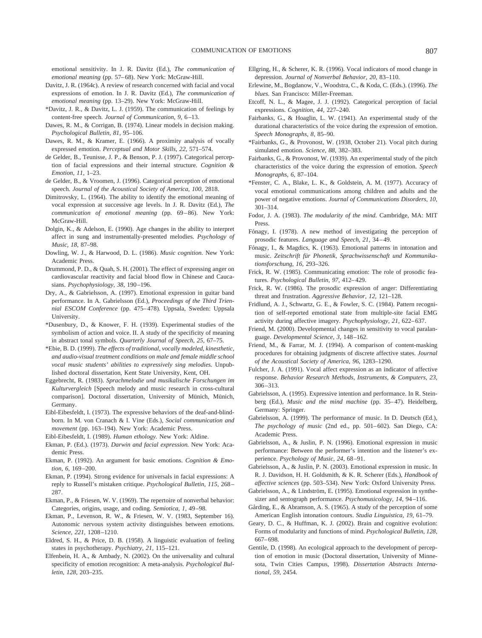emotional sensitivity. In J. R. Davitz (Ed.), *The communication of emotional meaning* (pp. 57–68). New York: McGraw-Hill.

- Davitz, J. R. (1964c). A review of research concerned with facial and vocal expressions of emotion. In J. R. Davitz (Ed.), *The communication of emotional meaning* (pp. 13–29). New York: McGraw-Hill.
- \*Davitz, J. R., & Davitz, L. J. (1959). The communication of feelings by content-free speech. *Journal of Communication, 9,* 6–13.
- Dawes, R. M., & Corrigan, B. (1974). Linear models in decision making. *Psychological Bulletin, 81,* 95–106.
- Dawes, R. M., & Kramer, E. (1966). A proximity analysis of vocally expressed emotion. *Perceptual and Motor Skills, 22,* 571–574.
- de Gelder, B., Teunisse, J. P., & Benson, P. J. (1997). Categorical perception of facial expressions and their internal structure. *Cognition & Emotion, 11,* 1–23.
- de Gelder, B., & Vroomen, J. (1996). Categorical perception of emotional speech. *Journal of the Acoustical Society of America, 100,* 2818.
- Dimitrovsky, L. (1964). The ability to identify the emotional meaning of vocal expression at successive age levels. In J. R. Davitz (Ed.), *The communication of emotional meaning* (pp. 69–86). New York: McGraw-Hill.
- Dolgin, K., & Adelson, E. (1990). Age changes in the ability to interpret affect in sung and instrumentally-presented melodies. *Psychology of Music, 18,* 87–98.
- Dowling, W. J., & Harwood, D. L. (1986). *Music cognition.* New York: Academic Press.
- Drummond, P. D., & Quah, S. H. (2001). The effect of expressing anger on cardiovascular reactivity and facial blood flow in Chinese and Caucasians. *Psychophysiology, 38,* 190–196.
- Dry, A., & Gabrielsson, A. (1997). Emotional expression in guitar band performance. In A. Gabrielsson (Ed.), *Proceedings of the Third Triennial ESCOM Conference* (pp. 475–478). Uppsala, Sweden: Uppsala University.
- \*Dusenbury, D., & Knower, F. H. (1939). Experimental studies of the symbolism of action and voice. II. A study of the specificity of meaning in abstract tonal symbols. *Quarterly Journal of Speech, 25,* 67–75.
- \*Ebie, B. D. (1999). *The effects of traditional, vocally modeled, kinesthetic, and audio-visual treatment conditions on male and female middle school vocal music students' abilities to expressively sing melodies.* Unpublished doctoral dissertation, Kent State University, Kent, OH.
- Eggebrecht, R. (1983). *Sprachmelodie und musikalische Forschungen im Kulturvergleich* [Speech melody and music research in cross-cultural comparison]. Doctoral dissertation, University of Münich, Münich, Germany.
- Eibl-Eibesfeldt, I. (1973). The expressive behaviors of the deaf-and-blindborn. In M. von Cranach & I. Vine (Eds.), *Social communication and movement* (pp. 163–194). New York: Academic Press.
- Eibl-Eibesfeldt, I. (1989). *Human ethology.* New York: Aldine.
- Ekman, P. (Ed.). (1973). *Darwin and facial expression.* New York: Academic Press.
- Ekman, P. (1992). An argument for basic emotions. *Cognition & Emotion, 6,* 169–200.
- Ekman, P. (1994). Strong evidence for universals in facial expressions: A reply to Russell's mistaken critique. *Psychological Bulletin, 115,* 268– 287.
- Ekman, P., & Friesen, W. V. (1969). The repertoire of nonverbal behavior: Categories, origins, usage, and coding. *Semiotica, 1,* 49–98.
- Ekman, P., Levenson, R. W., & Friesen, W. V. (1983, September 16). Autonomic nervous system activity distinguishes between emotions. *Science, 221,* 1208–1210.
- Eldred, S. H., & Price, D. B. (1958). A linguistic evaluation of feeling states in psychotherapy. *Psychiatry, 21,* 115–121.
- Elfenbein, H. A., & Ambady, N. (2002). On the universality and cultural specificity of emotion recognition: A meta-analysis. *Psychological Bulletin, 128,* 203–235.
- Ellgring, H., & Scherer, K. R. (1996). Vocal indicators of mood change in depression. *Journal of Nonverbal Behavior, 20,* 83–110.
- Erlewine, M., Bogdanow, V., Woodstra, C., & Koda, C. (Eds.). (1996). *The blues.* San Francisco: Miller-Freeman.
- Etcoff, N. L., & Magee, J. J. (1992). Categorical perception of facial expressions. *Cognition, 44,* 227–240.
- Fairbanks, G., & Hoaglin, L. W. (1941). An experimental study of the durational characteristics of the voice during the expression of emotion. *Speech Monographs, 8,* 85–90.
- \*Fairbanks, G., & Provonost, W. (1938, October 21). Vocal pitch during simulated emotion. *Science, 88,* 382–383.
- Fairbanks, G., & Provonost, W. (1939). An experimental study of the pitch characteristics of the voice during the expression of emotion. *Speech Monographs, 6,* 87–104.
- \*Fenster, C. A., Blake, L. K., & Goldstein, A. M. (1977). Accuracy of vocal emotional communications among children and adults and the power of negative emotions. *Journal of Communications Disorders, 10,* 301–314.
- Fodor, J. A. (1983). *The modularity of the mind.* Cambridge, MA: MIT Press.
- Fónagy, I. (1978). A new method of investigating the perception of prosodic features. *Language and Speech, 21,* 34–49.
- Fónagy, I., & Magdics, K. (1963). Emotional patterns in intonation and music. *Zeitschrift fu¨r Phonetik, Sprachwissenschaft und Kommunikationsforschung, 16,* 293–326.
- Frick, R. W. (1985). Communicating emotion: The role of prosodic features. *Psychological Bulletin, 97,* 412–429.
- Frick, R. W. (1986). The prosodic expression of anger: Differentiating threat and frustration. *Aggressive Behavior, 12,* 121–128.
- Fridlund, A. J., Schwartz, G. E., & Fowler, S. C. (1984). Pattern recognition of self-reported emotional state from multiple-site facial EMG activity during affective imagery. *Psychophysiology, 21,* 622–637.
- Friend, M. (2000). Developmental changes in sensitivity to vocal paralanguage. *Developmental Science, 3,* 148–162.
- Friend, M., & Farrar, M. J. (1994). A comparison of content-masking procedures for obtaining judgments of discrete affective states. *Journal of the Acoustical Society of America, 96,* 1283–1290.
- Fulcher, J. A. (1991). Vocal affect expression as an indicator of affective response. *Behavior Research Methods, Instruments, & Computers, 23,* 306–313.
- Gabrielsson, A. (1995). Expressive intention and performance. In R. Steinberg (Ed.), *Music and the mind machine* (pp. 35–47). Heidelberg, Germany: Springer.
- Gabrielsson, A. (1999). The performance of music. In D. Deutsch (Ed.), *The psychology of music* (2nd ed., pp. 501–602). San Diego, CA: Academic Press.
- Gabrielsson, A., & Juslin, P. N. (1996). Emotional expression in music performance: Between the performer's intention and the listener's experience. *Psychology of Music, 24,* 68–91.
- Gabrielsson, A., & Juslin, P. N. (2003). Emotional expression in music. In R. J. Davidson, H. H. Goldsmith, & K. R. Scherer (Eds.), *Handbook of affective sciences* (pp. 503–534). New York: Oxford University Press.
- Gabrielsson, A., & Lindström, E. (1995). Emotional expression in synthesizer and sentograph performance. *Psychomusicology, 14,* 94–116.
- Gårding, E., & Abramson, A. S. (1965). A study of the perception of some American English intonation contours. *Studia Linguistica, 19,* 61–79.
- Geary, D. C., & Huffman, K. J. (2002). Brain and cognitive evolution: Forms of modularity and functions of mind. *Psychological Bulletin, 128,* 667–698.
- Gentile, D. (1998). An ecological approach to the development of perception of emotion in music (Doctoral dissertation, University of Minnesota, Twin Cities Campus, 1998). *Dissertation Abstracts International, 59,* 2454.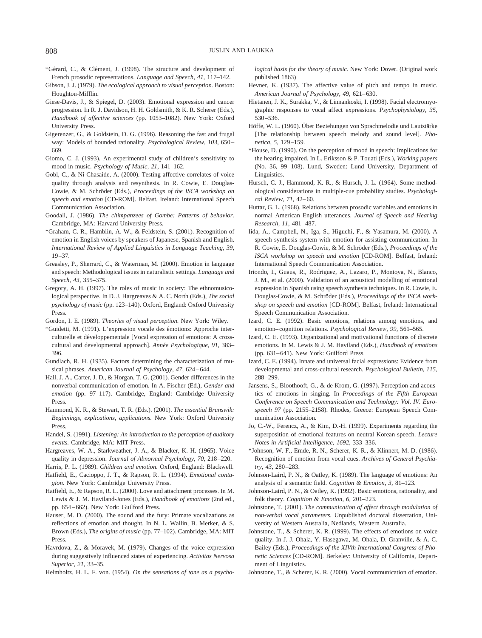- \*Gérard, C., & Clément, J. (1998). The structure and development of French prosodic representations. *Language and Speech, 41,* 117–142.
- Gibson, J. J. (1979). *The ecological approach to visual perception.* Boston: Houghton-Mifflin.
- Giese-Davis, J., & Spiegel, D. (2003). Emotional expression and cancer progression. In R. J. Davidson, H. H. Goldsmith, & K. R. Scherer (Eds.), *Handbook of affective sciences* (pp. 1053–1082). New York: Oxford University Press.
- Gigerenzer, G., & Goldstein, D. G. (1996). Reasoning the fast and frugal way: Models of bounded rationality. *Psychological Review, 103,* 650– 669.
- Giomo, C. J. (1993). An experimental study of children's sensitivity to mood in music. *Psychology of Music, 21,* 141–162.
- Gobl, C., & Ní Chasaide, A. (2000). Testing affective correlates of voice quality through analysis and resynthesis. In R. Cowie, E. Douglas-Cowie, & M. Schröder (Eds.), *Proceedings of the ISCA workshop on speech and emotion* [CD-ROM]. Belfast, Ireland: International Speech Communication Association.
- Goodall, J. (1986). *The chimpanzees of Gombe: Patterns of behavior.* Cambridge, MA: Harvard University Press.
- \*Graham, C. R., Hamblin, A. W., & Feldstein, S. (2001). Recognition of emotion in English voices by speakers of Japanese, Spanish and English. *International Review of Applied Linguistics in Language Teaching, 39,* 19–37.
- Greasley, P., Sherrard, C., & Waterman, M. (2000). Emotion in language and speech: Methodological issues in naturalistic settings. *Language and Speech, 43,* 355–375.
- Gregory, A. H. (1997). The roles of music in society: The ethnomusicological perspective. In D. J. Hargreaves & A. C. North (Eds.), *The social psychology of music* (pp. 123–140). Oxford, England: Oxford University Press.
- Gordon, I. E. (1989). *Theories of visual perception.* New York: Wiley.
- \*Guidetti, M. (1991). L'expression vocale des émotions: Approche interculturelle et développementale [Vocal expression of emotions: A crosscultural and developmental approach]. *Année Psychologique, 91*, 383-396.
- Gundlach, R. H. (1935). Factors determining the characterization of musical phrases. *American Journal of Psychology, 47,* 624–644.
- Hall, J. A., Carter, J. D., & Horgan, T. G. (2001). Gender differences in the nonverbal communication of emotion. In A. Fischer (Ed.), *Gender and emotion* (pp. 97–117). Cambridge, England: Cambridge University Press.
- Hammond, K. R., & Stewart, T. R. (Eds.). (2001). *The essential Brunswik: Beginnings, explications, applications.* New York: Oxford University Press.
- Handel, S. (1991). *Listening: An introduction to the perception of auditory events.* Cambridge, MA: MIT Press.
- Hargreaves, W. A., Starkweather, J. A., & Blacker, K. H. (1965). Voice quality in depression. *Journal of Abnormal Psychology, 70,* 218–220.
- Harris, P. L. (1989). *Children and emotion.* Oxford, England: Blackwell.
- Hatfield, E., Cacioppo, J. T., & Rapson, R. L. (1994). *Emotional contagion.* New York: Cambridge University Press.
- Hatfield, E., & Rapson, R. L. (2000). Love and attachment processes. In M. Lewis & J. M. Haviland-Jones (Eds.), *Handbook of emotions* (2nd ed., pp. 654–662). New York: Guilford Press.
- Hauser, M. D. (2000). The sound and the fury: Primate vocalizations as reflections of emotion and thought. In N. L. Wallin, B. Merker, & S. Brown (Eds.), *The origins of music* (pp. 77–102). Cambridge, MA: MIT Press.
- Havrdova, Z., & Moravek, M. (1979). Changes of the voice expression during suggestively influenced states of experiencing. *Activitas Nervosa Superior, 21,* 33–35.
- Helmholtz, H. L. F. von. (1954). *On the sensations of tone as a psycho-*

*logical basis for the theory of music.* New York: Dover. (Original work published 1863)

- Hevner, K. (1937). The affective value of pitch and tempo in music. *American Journal of Psychology, 49,* 621–630.
- Hietanen, J. K., Surakka, V., & Linnankoski, I. (1998). Facial electromyographic responses to vocal affect expressions. *Psychophysiology, 35,* 530–536.
- Höffe, W. L. (1960). Über Beziehungen von Sprachmelodie und Lautstärke [The relationship between speech melody and sound level]. *Phonetica, 5,* 129–159.
- \*House, D. (1990). On the perception of mood in speech: Implications for the hearing impaired. In L. Eriksson & P. Touati (Eds.), *Working papers* (No. 36, 99–108). Lund, Sweden: Lund University, Department of Linguistics.
- Hursch, C. J., Hammond, K. R., & Hursch, J. L. (1964). Some methodological considerations in multiple-cue probability studies. *Psychological Review, 71,* 42–60.
- Huttar, G. L. (1968). Relations between prosodic variables and emotions in normal American English utterances. *Journal of Speech and Hearing Research, 11,* 481–487.
- Iida, A., Campbell, N., Iga, S., Higuchi, F., & Yasamura, M. (2000). A speech synthesis system with emotion for assisting communication. In R. Cowie, E. Douglas-Cowie, & M. Schröder (Eds.), Proceedings of the *ISCA workshop on speech and emotion* [CD-ROM]. Belfast, Ireland: International Speech Communication Association.
- Iriondo, I., Guaus, R., Rodriguez, A., Lazaro, P., Montoya, N., Blanco, J. M., et al. (2000). Validation of an acoustical modelling of emotional expression in Spanish using speech synthesis techniques. In R. Cowie, E. Douglas-Cowie, & M. Schröder (Eds.), *Proceedings of the ISCA workshop on speech and emotion* [CD-ROM]. Belfast, Ireland: International Speech Communication Association.
- Izard, C. E. (1992). Basic emotions, relations among emotions, and emotion–cognition relations. *Psychological Review, 99,* 561–565.
- Izard, C. E. (1993). Organizational and motivational functions of discrete emotions. In M. Lewis & J. M. Haviland (Eds.), *Handbook of emotions* (pp. 631–641). New York: Guilford Press.
- Izard, C. E. (1994). Innate and universal facial expressions: Evidence from developmental and cross-cultural research. *Psychological Bulletin, 115,* 288–299.
- Jansens, S., Bloothooft, G., & de Krom, G. (1997). Perception and acoustics of emotions in singing. In *Proceedings of the Fifth European Conference on Speech Communication and Technology: Vol. IV. Eurospeech 97* (pp. 2155–2158). Rhodes, Greece: European Speech Communication Association.
- Jo, C.-W., Ferencz, A., & Kim, D.-H. (1999). Experiments regarding the superposition of emotional features on neutral Korean speech. *Lecture Notes in Artificial Intelligence, 1692,* 333–336.
- \*Johnson, W. F., Emde, R. N., Scherer, K. R., & Klinnert, M. D. (1986). Recognition of emotion from vocal cues. *Archives of General Psychiatry, 43,* 280–283.
- Johnson-Laird, P. N., & Oatley, K. (1989). The language of emotions: An analysis of a semantic field. *Cognition & Emotion, 3,* 81–123.
- Johnson-Laird, P. N., & Oatley, K. (1992). Basic emotions, rationality, and folk theory. *Cognition & Emotion, 6,* 201–223.
- Johnstone, T. (2001). *The communication of affect through modulation of non-verbal vocal parameters.* Unpublished doctoral dissertation, University of Western Australia, Nedlands, Western Australia.
- Johnstone, T., & Scherer, K. R. (1999). The effects of emotions on voice quality. In J. J. Ohala, Y. Hasegawa, M. Ohala, D. Granville, & A. C. Bailey (Eds.), *Proceedings of the XIVth International Congress of Phonetic Sciences* [CD-ROM]. Berkeley: University of California, Department of Linguistics.
- Johnstone, T., & Scherer, K. R. (2000). Vocal communication of emotion.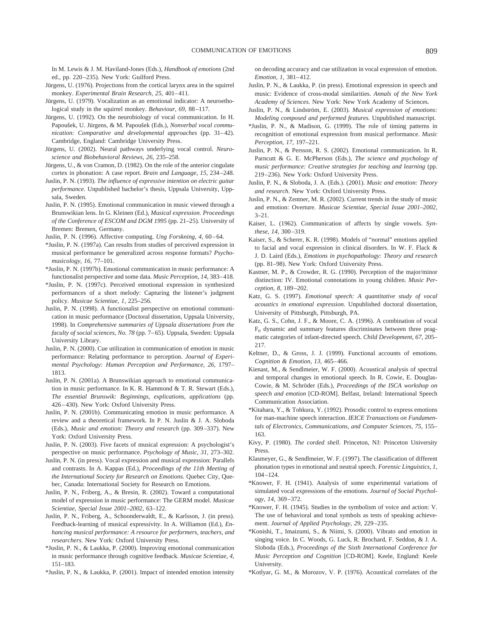In M. Lewis & J. M. Haviland-Jones (Eds.), *Handbook of emotions* (2nd ed., pp. 220–235). New York: Guilford Press.

- Jürgens, U. (1976). Projections from the cortical larynx area in the squirrel monkey. *Experimental Brain Research, 25,* 401–411.
- Jürgens, U. (1979). Vocalization as an emotional indicator: A neuroethological study in the squirrel monkey. *Behaviour, 69,* 88–117.
- Jürgens, U. (1992). On the neurobiology of vocal communication. In H. Papoušek, U. Jürgens, & M. Papoušek (Eds.), *Nonverbal vocal communication: Comparative and developmental approaches* (pp. 31–42). Cambridge, England: Cambridge University Press.
- Jürgens, U. (2002). Neural pathways underlying vocal control. *Neuroscience and Biobehavioral Reviews, 26,* 235–258.
- Jürgens, U., & von Cramon, D. (1982). On the role of the anterior cingulate cortex in phonation: A case report. *Brain and Language, 15,* 234–248.
- Juslin, P. N. (1993). *The influence of expressive intention on electric guitar performance.* Unpublished bachelor's thesis, Uppsala University, Uppsala, Sweden.
- Juslin, P. N. (1995). Emotional communication in music viewed through a Brunswikian lens. In G. Kleinen (Ed.), *Musical expression. Proceedings of the Conference of ESCOM and DGM 1995* (pp. 21–25). University of Bremen: Bremen, Germany.

Juslin, P. N. (1996). Affective computing. *Ung Forskning, 4,* 60–64.

- \*Juslin, P. N. (1997a). Can results from studies of perceived expression in musical performance be generalized across response formats? *Psychomusicology, 16,* 77–101.
- \*Juslin, P. N. (1997b). Emotional communication in music performance: A functionalist perspective and some data. *Music Perception, 14,* 383–418.
- \*Juslin, P. N. (1997c). Perceived emotional expression in synthesized performances of a short melody: Capturing the listener's judgment policy. *Musicae Scientiae, 1,* 225–256.
- Juslin, P. N. (1998). A functionalist perspective on emotional communication in music performance (Doctoral dissertation, Uppsala University, 1998). In *Comprehensive summaries of Uppsala dissertations from the faculty of social sciences, No. 78* (pp. 7–65). Uppsala, Sweden: Uppsala University Library.
- Juslin, P. N. (2000). Cue utilization in communication of emotion in music performance: Relating performance to perception. *Journal of Experimental Psychology: Human Perception and Performance, 26,* 1797– 1813.
- Juslin, P. N. (2001a). A Brunswikian approach to emotional communication in music performance. In K. R. Hammond & T. R. Stewart (Eds.), *The essential Brunswik: Beginnings, explications, applications* (pp. 426–430). New York: Oxford University Press.
- Juslin, P. N. (2001b). Communicating emotion in music performance. A review and a theoretical framework. In P. N. Juslin & J. A. Sloboda (Eds.), *Music and emotion: Theory and research* (pp. 309–337). New York: Oxford University Press.
- Juslin, P. N. (2003). Five facets of musical expression: A psychologist's perspective on music performance. *Psychology of Music, 31,* 273–302.
- Juslin, P. N. (in press). Vocal expression and musical expression: Parallels and contrasts. In A. Kappas (Ed.), *Proceedings of the 11th Meeting of the International Society for Research on Emotions.* Quebec City, Quebec, Canada: International Society for Research on Emotions.
- Juslin, P. N., Friberg, A., & Bresin, R. (2002). Toward a computational model of expression in music performance: The GERM model. *Musicae Scientiae, Special Issue 2001–2002,* 63–122.
- Juslin, P. N., Friberg, A., Schoonderwaldt, E., & Karlsson, J. (in press). Feedback-learning of musical expressivity. In A. Williamon (Ed.), *Enhancing musical performance: A resource for performers, teachers, and researchers.* New York: Oxford University Press.
- \*Juslin, P. N., & Laukka, P. (2000). Improving emotional communication in music performance through cognitive feedback. *Musicae Scientiae, 4,* 151–183.

\*Juslin, P. N., & Laukka, P. (2001). Impact of intended emotion intensity

on decoding accuracy and cue utilization in vocal expression of emotion. *Emotion, 1,* 381–412.

- Juslin, P. N., & Laukka, P. (in press). Emotional expression in speech and music: Evidence of cross-modal similarities. *Annals of the New York Academy of Sciences.* New York: New York Academy of Sciences.
- Juslin, P. N., & Lindström, E. (2003). *Musical expression of emotions: Modeling composed and performed features.* Unpublished manuscript.
- \*Juslin, P. N., & Madison, G. (1999). The role of timing patterns in recognition of emotional expression from musical performance. *Music Perception, 17,* 197–221.
- Juslin, P. N., & Persson, R. S. (2002). Emotional communication. In R. Parncutt & G. E. McPherson (Eds.), *The science and psychology of music performance: Creative strategies for teaching and learning* (pp. 219–236). New York: Oxford University Press.
- Juslin, P. N., & Sloboda, J. A. (Eds.). (2001). *Music and emotion: Theory and research.* New York: Oxford University Press.
- Juslin, P. N., & Zentner, M. R. (2002). Current trends in the study of music and emotion: Overture. *Musicae Scientiae, Special Issue 2001–2002,* 3–21.
- Kaiser, L. (1962). Communication of affects by single vowels. *Synthese, 14,* 300–319.
- Kaiser, S., & Scherer, K. R. (1998). Models of "normal" emotions applied to facial and vocal expression in clinical disorders. In W. F. Flack & J. D. Laird (Eds.), *Emotions in psychopathology: Theory and research* (pp. 81–98). New York: Oxford University Press.
- Kastner, M. P., & Crowder, R. G. (1990). Perception of the major/minor distinction: IV. Emotional connotations in young children. *Music Perception, 8,* 189–202.
- Katz, G. S. (1997). *Emotional speech: A quantitative study of vocal acoustics in emotional expression.* Unpublished doctoral dissertation, University of Pittsburgh, Pittsburgh, PA.
- Katz, G. S., Cohn, J. F., & Moore, C. A. (1996). A combination of vocal  $F_0$  dynamic and summary features discriminates between three pragmatic categories of infant-directed speech. *Child Development, 67,* 205– 217.
- Keltner, D., & Gross, J. J. (1999). Functional accounts of emotions. *Cognition & Emotion, 13,* 465–466.
- Kienast, M., & Sendlmeier, W. F. (2000). Acoustical analysis of spectral and temporal changes in emotional speech. In R. Cowie, E. Douglas-Cowie, & M. Schröder (Eds.), *Proceedings of the ISCA workshop on speech and emotion* [CD-ROM]. Belfast, Ireland: International Speech Communication Association.
- \*Kitahara, Y., & Tohkura, Y. (1992). Prosodic control to express emotions for man-machine speech interaction. *IEICE Transactions on Fundamentals of Electronics, Communications, and Computer Sciences, 75,* 155– 163.
- Kivy, P. (1980). *The corded shell.* Princeton, NJ: Princeton University Press.
- Klasmeyer, G., & Sendlmeier, W. F. (1997). The classification of different phonation types in emotional and neutral speech. *Forensic Linguistics, 1,* 104–124.
- \*Knower, F. H. (1941). Analysis of some experimental variations of simulated vocal expressions of the emotions. *Journal of Social Psychology, 14,* 369–372.
- \*Knower, F. H. (1945). Studies in the symbolism of voice and action: V. The use of behavioral and tonal symbols as tests of speaking achievement. *Journal of Applied Psychology, 29,* 229–235.
- \*Konishi, T., Imaizumi, S., & Niimi, S. (2000). Vibrato and emotion in singing voice. In C. Woods, G. Luck, R. Brochard, F. Seddon, & J. A. Sloboda (Eds.), *Proceedings of the Sixth International Conference for Music Perception and Cognition* [CD-ROM]. Keele, England: Keele University.
- \*Kotlyar, G. M., & Morozov, V. P. (1976). Acoustical correlates of the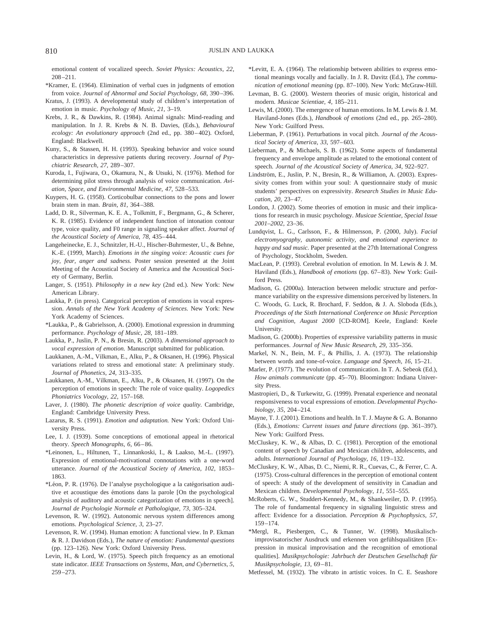emotional content of vocalized speech. *Soviet Physics: Acoustics, 22,* 208–211.

- \*Kramer, E. (1964). Elimination of verbal cues in judgments of emotion from voice. *Journal of Abnormal and Social Psychology, 68,* 390–396.
- Kratus, J. (1993). A developmental study of children's interpretation of emotion in music. *Psychology of Music, 21,* 3–19.
- Krebs, J. R., & Dawkins, R. (1984). Animal signals: Mind-reading and manipulation. In J. R. Krebs & N. B. Davies, (Eds.), *Behavioural ecology: An evolutionary approach* (2nd ed., pp. 380–402). Oxford, England: Blackwell.
- Kuny, S., & Stassen, H. H. (1993). Speaking behavior and voice sound characteristics in depressive patients during recovery. *Journal of Psychiatric Research, 27,* 289–307.
- Kuroda, I., Fujiwara, O., Okamura, N., & Utsuki, N. (1976). Method for determining pilot stress through analysis of voice communication. *Aviation, Space, and Environmental Medicine, 47,* 528–533.
- Kuypers, H. G. (1958). Corticobulbar connections to the pons and lower brain stem in man. *Brain, 81,* 364–388.
- Ladd, D. R., Silverman, K. E. A., Tolkmitt, F., Bergmann, G., & Scherer, K. R. (1985). Evidence of independent function of intonation contour type, voice quality, and F0 range in signaling speaker affect. *Journal of the Acoustical Society of America, 78,* 435–444.
- Langeheinecke, E. J., Schnitzler, H.-U., Hischer-Buhrmester, U., & Behne, K.-E. (1999, March). *Emotions in the singing voice: Acoustic cues for joy, fear, anger and sadness.* Poster session presented at the Joint Meeting of the Acoustical Society of America and the Acoustical Society of Germany, Berlin.
- Langer, S. (1951). *Philosophy in a new key* (2nd ed.). New York: New American Library.
- Laukka, P. (in press). Categorical perception of emotions in vocal expression. *Annals of the New York Academy of Sciences.* New York: New York Academy of Sciences.
- \*Laukka, P., & Gabrielsson, A. (2000). Emotional expression in drumming performance. *Psychology of Music, 28,* 181–189.
- Laukka, P., Juslin, P. N., & Bresin, R. (2003). *A dimensional approach to vocal expression of emotion.* Manuscript submitted for publication.
- Laukkanen, A.-M., Vilkman, E., Alku, P., & Oksanen, H. (1996). Physical variations related to stress and emotional state: A preliminary study. *Journal of Phonetics, 24,* 313–335.
- Laukkanen, A.-M., Vilkman, E., Alku, P., & Oksanen, H. (1997). On the perception of emotions in speech: The role of voice quality. *Logopedics Phoniatrics Vocology, 22,* 157–168.
- Laver, J. (1980). *The phonetic description of voice quality.* Cambridge, England: Cambridge University Press.
- Lazarus, R. S. (1991). *Emotion and adaptation.* New York: Oxford University Press.
- Lee, I. J. (1939). Some conceptions of emotional appeal in rhetorical theory. *Speech Monographs, 6,* 66–86.
- \*Leinonen, L., Hiltunen, T., Linnankoski, I., & Laakso, M.-L. (1997). Expression of emotional-motivational connotations with a one-word utterance. *Journal of the Acoustical Society of America, 102,* 1853– 1863.
- \*Léon, P. R. (1976). De l'analyse psychologique a la catégorisation auditive et acoustique des émotions dans la parole [On the psychological analysis of auditory and acoustic categorization of emotions in speech]. *Journal de Psychologie Normale et Pathologique, 73,* 305–324.
- Levenson, R. W. (1992). Autonomic nervous system differences among emotions. *Psychological Science, 3,* 23–27.
- Levenson, R. W. (1994). Human emotion: A functional view. In P. Ekman & R. J. Davidson (Eds.), *The nature of emotion: Fundamental questions* (pp. 123–126). New York: Oxford University Press.
- Levin, H., & Lord, W. (1975). Speech pitch frequency as an emotional state indicator. *IEEE Transactions on Systems, Man, and Cybernetics, 5,* 259–273.
- \*Levitt, E. A. (1964). The relationship between abilities to express emotional meanings vocally and facially. In J. R. Davitz (Ed.), *The communication of emotional meaning* (pp. 87–100). New York: McGraw-Hill.
- Levman, B. G. (2000). Western theories of music origin, historical and modern. *Musicae Scientiae, 4,* 185–211.
- Lewis, M. (2000). The emergence of human emotions. In M. Lewis & J. M. Haviland-Jones (Eds.), *Handbook of emotions* (2nd ed., pp. 265–280). New York: Guilford Press.
- Lieberman, P. (1961). Perturbations in vocal pitch. *Journal of the Acoustical Society of America, 33,* 597–603.
- Lieberman, P., & Michaels, S. B. (1962). Some aspects of fundamental frequency and envelope amplitude as related to the emotional content of speech. *Journal of the Acoustical Society of America, 34,* 922–927.
- Lindström, E., Juslin, P. N., Bresin, R., & Williamon, A. (2003). Expressivity comes from within your soul: A questionnaire study of music students' perspectives on expressivity. *Research Studies in Music Education, 20,* 23–47.
- London, J. (2002). Some theories of emotion in music and their implications for research in music psychology. *Musicae Scientiae, Special Issue 2001–2002,* 23–36.
- Lundqvist, L. G., Carlsson, F., & Hilmersson, P. (2000, July). *Facial electromyography, autonomic activity, and emotional experience to happy and sad music.* Paper presented at the 27th International Congress of Psychology, Stockholm, Sweden.
- MacLean, P. (1993). Cerebral evolution of emotion. In M. Lewis & J. M. Haviland (Eds.), *Handbook of emotions* (pp. 67–83). New York: Guilford Press.
- Madison, G. (2000a). Interaction between melodic structure and performance variability on the expressive dimensions perceived by listeners. In C. Woods, G. Luck, R. Brochard, F. Seddon, & J. A. Sloboda (Eds.), *Proceedings of the Sixth International Conference on Music Perception and Cognition, August 2000* [CD-ROM]. Keele, England: Keele University.
- Madison, G. (2000b). Properties of expressive variability patterns in music performances. *Journal of New Music Research, 29,* 335–356.
- Markel, N. N., Bein, M. F., & Phillis, J. A. (1973). The relationship between words and tone-of-voice. *Language and Speech, 16,* 15–21.
- Marler, P. (1977). The evolution of communication. In T. A. Sebeok (Ed.), *How animals communicate* (pp. 45–70). Bloomington: Indiana University Press.
- Mastropieri, D., & Turkewitz, G. (1999). Prenatal experience and neonatal responsiveness to vocal expressions of emotion. *Developmental Psychobiology, 35,* 204–214.
- Mayne, T. J. (2001). Emotions and health. In T. J. Mayne & G. A. Bonanno (Eds.), *Emotions: Current issues and future directions* (pp. 361–397). New York: Guilford Press.
- McCluskey, K. W., & Albas, D. C. (1981). Perception of the emotional content of speech by Canadian and Mexican children, adolescents, and adults. *International Journal of Psychology, 16,* 119–132.
- McCluskey, K. W., Albas, D. C., Niemi, R. R., Cuevas, C., & Ferrer, C. A. (1975). Cross-cultural differences in the perception of emotional content of speech: A study of the development of sensitivity in Canadian and Mexican children. *Developmental Psychology, 11,* 551–555.
- McRoberts, G. W., Studdert-Kennedy, M., & Shankweiler, D. P. (1995). The role of fundamental frequency in signaling linguistic stress and affect: Evidence for a dissociation. *Perception & Psychophysics, 57,* 159–174.
- \*Mergl, R., Piesbergen, C., & Tunner, W. (1998). Musikalischimprovisatorischer Ausdruck und erkennen von gefühlsqualitäten [Expression in musical improvisation and the recognition of emotional qualities]. *Musikpsychologie: Jahrbuch der Deutschen Gesellschaft für Musikpsychologie, 13,* 69–81.
- Metfessel, M. (1932). The vibrato in artistic voices. In C. E. Seashore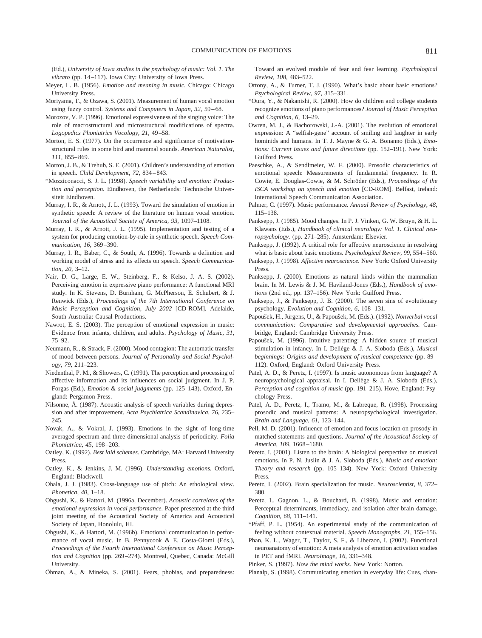(Ed.), *University of Iowa studies in the psychology of music: Vol. 1. The vibrato* (pp. 14–117). Iowa City: University of Iowa Press.

- Meyer, L. B. (1956). *Emotion and meaning in music.* Chicago: Chicago University Press.
- Moriyama, T., & Ozawa, S. (2001). Measurement of human vocal emotion using fuzzy control. *Systems and Computers in Japan, 32,* 59–68.
- Morozov, V. P. (1996). Emotional expressiveness of the singing voice: The role of macrostructural and microstructural modifications of spectra. *Logopedics Phoniatrics Vocology, 21,* 49–58.
- Morton, E. S. (1977). On the occurrence and significance of motivationstructural rules in some bird and mammal sounds. *American Naturalist, 111,* 855–869.
- Morton, J. B., & Trehub, S. E. (2001). Children's understanding of emotion in speech. *Child Development, 72,* 834–843.
- \*Mozziconacci, S. J. L. (1998). *Speech variability and emotion: Production and perception.* Eindhoven, the Netherlands: Technische Universiteit Eindhoven.
- Murray, I. R., & Arnott, J. L. (1993). Toward the simulation of emotion in synthetic speech: A review of the literature on human vocal emotion. *Journal of the Acoustical Society of America, 93,* 1097–1108.
- Murray, I. R., & Arnott, J. L. (1995). Implementation and testing of a system for producing emotion-by-rule in synthetic speech. *Speech Communication, 16,* 369–390.
- Murray, I. R., Baber, C., & South, A. (1996). Towards a definition and working model of stress and its effects on speech. *Speech Communication, 20,* 3–12.
- Nair, D. G., Large, E. W., Steinberg, F., & Kelso, J. A. S. (2002). Perceiving emotion in expressive piano performance: A functional MRI study. In K. Stevens, D. Burnham, G. McPherson, E. Schubert, & J. Renwick (Eds.), *Proceedings of the 7th International Conference on Music Perception and Cognition, July 2002* [CD-ROM]. Adelaide, South Australia: Causal Productions.
- Nawrot, E. S. (2003). The perception of emotional expression in music: Evidence from infants, children, and adults. *Psychology of Music, 31,* 75–92.
- Neumann, R., & Strack, F. (2000). Mood contagion: The automatic transfer of mood between persons. *Journal of Personality and Social Psychology, 79,* 211–223.
- Niedenthal, P. M., & Showers, C. (1991). The perception and processing of affective information and its influences on social judgment. In J. P. Forgas (Ed.), *Emotion & social judgments* (pp. 125–143). Oxford, England: Pergamon Press.
- Nilsonne, Å. (1987). Acoustic analysis of speech variables during depression and after improvement. *Acta Psychiatrica Scandinavica, 76,* 235– 245.
- Novak, A., & Vokral, J. (1993). Emotions in the sight of long-time averaged spectrum and three-dimensional analysis of periodicity. *Folia Phoniatrica, 45,* 198–203.
- Oatley, K. (1992). *Best laid schemes.* Cambridge, MA: Harvard University Press.
- Oatley, K., & Jenkins, J. M. (1996). *Understanding emotions.* Oxford, England: Blackwell.
- Ohala, J. J. (1983). Cross-language use of pitch: An ethological view. *Phonetica, 40,* 1–18.
- Ohgushi, K., & Hattori, M. (1996a, December). *Acoustic correlates of the emotional expression in vocal performance.* Paper presented at the third joint meeting of the Acoustical Society of America and Acoustical Society of Japan, Honolulu, HI.
- Ohgushi, K., & Hattori, M. (1996b). Emotional communication in performance of vocal music. In B. Pennycook & E. Costa-Giomi (Eds.), *Proceedings of the Fourth International Conference on Music Perception and Cognition* (pp. 269–274). Montreal, Quebec, Canada: McGill University.
- Öhman, A., & Mineka, S. (2001). Fears, phobias, and preparedness:

Toward an evolved module of fear and fear learning. *Psychological Review, 108,* 483–522.

- Ortony, A., & Turner, T. J. (1990). What's basic about basic emotions? *Psychological Review, 97,* 315–331.
- \*Oura, Y., & Nakanishi, R. (2000). How do children and college students recognize emotions of piano performances? *Journal of Music Perception and Cognition, 6,* 13–29.
- Owren, M. J., & Bachorowski, J.-A. (2001). The evolution of emotional expression: A "selfish-gene" account of smiling and laughter in early hominids and humans. In T. J. Mayne & G. A. Bonanno (Eds.), *Emotions: Current issues and future directions* (pp. 152–191). New York: Guilford Press.
- Paeschke, A., & Sendlmeier, W. F. (2000). Prosodic characteristics of emotional speech: Measurements of fundamental frequency. In R. Cowie, E. Douglas-Cowie, & M. Schröder (Eds.), Proceedings of the *ISCA workshop on speech and emotion* [CD-ROM]. Belfast, Ireland: International Speech Communication Association.
- Palmer, C. (1997). Music performance. *Annual Review of Psychology, 48,* 115–138.
- Panksepp, J. (1985). Mood changes. In P. J. Vinken, G. W. Bruyn, & H. L. Klawans (Eds.), *Handbook of clinical neurology: Vol. 1. Clinical neuropsychology.* (pp. 271–285). Amsterdam: Elsevier.
- Panksepp, J. (1992). A critical role for affective neuroscience in resolving what is basic about basic emotions. *Psychological Review, 99,* 554–560.
- Panksepp, J. (1998). *Affective neuroscience.* New York: Oxford University Press.
- Panksepp, J. (2000). Emotions as natural kinds within the mammalian brain. In M. Lewis & J. M. Haviland-Jones (Eds.), *Handbook of emotions* (2nd ed., pp. 137–156). New York: Guilford Press.
- Panksepp, J., & Panksepp, J. B. (2000). The seven sins of evolutionary psychology. *Evolution and Cognition, 6,* 108–131.
- Papoušek, H., Jürgens, U., & Papoušek, M. (Eds.). (1992). *Nonverbal vocal communication: Comparative and developmental approaches.* Cambridge, England: Cambridge University Press.
- Papoušek, M. (1996). Intuitive parenting: A hidden source of musical stimulation in infancy. In I. Deliége & J. A. Sloboda (Eds.), *Musical beginnings: Origins and development of musical competence* (pp. 89– 112). Oxford, England: Oxford University Press.
- Patel, A. D., & Peretz, I. (1997). Is music autonomous from language? A neuropsychological appraisal. In I. Deliége & J. A. Sloboda (Eds.), *Perception and cognition of music* (pp. 191–215). Hove, England: Psychology Press.
- Patel, A. D., Peretz, I., Tramo, M., & Labreque, R. (1998). Processing prosodic and musical patterns: A neuropsychological investigation. *Brain and Language, 61,* 123–144.
- Pell, M. D. (2001). Influence of emotion and focus location on prosody in matched statements and questions. *Journal of the Acoustical Society of America, 109,* 1668–1680.
- Peretz, I. (2001). Listen to the brain: A biological perspective on musical emotions. In P. N. Juslin & J. A. Sloboda (Eds.), *Music and emotion: Theory and research* (pp. 105–134). New York: Oxford University Press.
- Peretz, I. (2002). Brain specialization for music. *Neuroscientist, 8,* 372– 380.
- Peretz, I., Gagnon, L., & Bouchard, B. (1998). Music and emotion: Perceptual determinants, immediacy, and isolation after brain damage. *Cognition, 68,* 111–141.
- \*Pfaff, P. L. (1954). An experimental study of the communication of feeling without contextual material. *Speech Monographs, 21,* 155–156.
- Phan, K. L., Wager, T., Taylor, S. F., & Liberzon, I. (2002). Functional neuroanatomy of emotion: A meta analysis of emotion activation studies in PET and fMRI. *NeuroImage, 16,* 331–348.
- Pinker, S. (1997). *How the mind works.* New York: Norton.
- Planalp, S. (1998). Communicating emotion in everyday life: Cues, chan-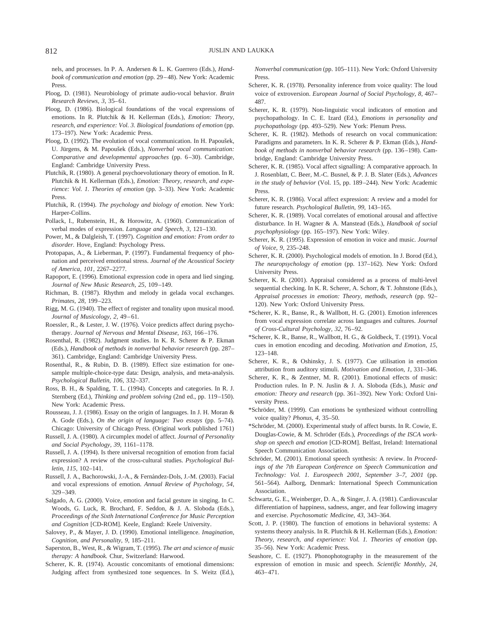nels, and processes. In P. A. Andersen & L. K. Guerrero (Eds.), *Handbook of communication and emotion* (pp. 29–48). New York: Academic Press.

- Ploog, D. (1981). Neurobiology of primate audio-vocal behavior. *Brain Research Reviews, 3,* 35–61.
- Ploog, D. (1986). Biological foundations of the vocal expressions of emotions. In R. Plutchik & H. Kellerman (Eds.), *Emotion: Theory, research, and experience: Vol. 3. Biological foundations of emotion* (pp. 173–197). New York: Academic Press.
- Ploog, D. (1992). The evolution of vocal communication. In H. Papoušek, U. Jürgens, & M. Papoušek (Eds.), *Nonverbal vocal communication: Comparative and developmental approaches* (pp. 6–30). Cambridge, England: Cambridge University Press.
- Plutchik, R. (1980). A general psychoevolutionary theory of emotion. In R. Plutchik & H. Kellerman (Eds.), *Emotion: Theory, research, and experience: Vol. 1. Theories of emotion* (pp. 3–33). New York: Academic Press.
- Plutchik, R. (1994). *The psychology and biology of emotion.* New York: Harper-Collins.
- Pollack, I., Rubenstein, H., & Horowitz, A. (1960). Communication of verbal modes of expression. *Language and Speech, 3,* 121–130.
- Power, M., & Dalgleish, T. (1997). *Cognition and emotion: From order to disorder.* Hove, England: Psychology Press.
- Protopapas, A., & Lieberman, P. (1997). Fundamental frequency of phonation and perceived emotional stress. *Journal of the Acoustical Society of America, 101,* 2267–2277.
- Rapoport, E. (1996). Emotional expression code in opera and lied singing. *Journal of New Music Research, 25,* 109–149.
- Richman, B. (1987). Rhythm and melody in gelada vocal exchanges. *Primates, 28,* 199–223.
- Rigg, M. G. (1940). The effect of register and tonality upon musical mood. *Journal of Musicology, 2,* 49–61.
- Roessler, R., & Lester, J. W. (1976). Voice predicts affect during psychotherapy. *Journal of Nervous and Mental Disease, 163,* 166–176.
- Rosenthal, R. (1982). Judgment studies. In K. R. Scherer & P. Ekman (Eds.), *Handbook of methods in nonverbal behavior research* (pp. 287– 361). Cambridge, England: Cambridge University Press.
- Rosenthal, R., & Rubin, D. B. (1989). Effect size estimation for onesample multiple-choice-type data: Design, analysis, and meta-analysis. *Psychological Bulletin, 106,* 332–337.
- Ross, B. H., & Spalding, T. L. (1994). Concepts and categories. In R. J. Sternberg (Ed.), *Thinking and problem solving* (2nd ed., pp. 119–150). New York: Academic Press.
- Rousseau, J. J. (1986). Essay on the origin of languages. In J. H. Moran & A. Gode (Eds.), *On the origin of language: Two essays* (pp. 5–74). Chicago: University of Chicago Press. (Original work published 1761)
- Russell, J. A. (1980). A circumplex model of affect. *Journal of Personality and Social Psychology, 39,* 1161–1178.
- Russell, J. A. (1994). Is there universal recognition of emotion from facial expression? A review of the cross-cultural studies. *Psychological Bulletin, 115,* 102–141.
- Russell, J. A., Bachorowski, J.-A., & Fernández-Dols, J.-M. (2003). Facial and vocal expressions of emotion. *Annual Review of Psychology, 54,* 329–349.
- Salgado, A. G. (2000). Voice, emotion and facial gesture in singing. In C. Woods, G. Luck, R. Brochard, F. Seddon, & J. A. Sloboda (Eds.), *Proceedings of the Sixth International Conference for Music Perception and Cognition* [CD-ROM]. Keele, England: Keele University.
- Salovey, P., & Mayer, J. D. (1990). Emotional intelligence. *Imagination, Cognition, and Personality, 9,* 185–211.
- Saperston, B., West, R., & Wigram, T. (1995). *The art and science of music therapy: A handbook.* Chur, Switzerland: Harwood.
- Scherer, K. R. (1974). Acoustic concomitants of emotional dimensions: Judging affect from synthesized tone sequences. In S. Weitz (Ed.),

*Nonverbal communication* (pp. 105–111). New York: Oxford University Press.

- Scherer, K. R. (1978). Personality inference from voice quality: The loud voice of extroversion. *European Journal of Social Psychology, 8,* 467– 487.
- Scherer, K. R. (1979). Non-linguistic vocal indicators of emotion and psychopathology. In C. E. Izard (Ed.), *Emotions in personality and psychopathology* (pp. 493–529). New York: Plenum Press.
- Scherer, K. R. (1982). Methods of research on vocal communication: Paradigms and parameters. In K. R. Scherer & P. Ekman (Eds.), *Handbook of methods in nonverbal behavior research* (pp. 136–198). Cambridge, England: Cambridge University Press.
- Scherer, K. R. (1985). Vocal affect signalling: A comparative approach. In J. Rosenblatt, C. Beer, M.-C. Busnel, & P. J. B. Slater (Eds.), *Advances in the study of behavior* (Vol. 15, pp. 189–244). New York: Academic Press.
- Scherer, K. R. (1986). Vocal affect expression: A review and a model for future research. *Psychological Bulletin, 99,* 143–165.
- Scherer, K. R. (1989). Vocal correlates of emotional arousal and affective disturbance. In H. Wagner & A. Manstead (Eds.), *Handbook of social psychophysiology* (pp. 165–197). New York: Wiley.
- Scherer, K. R. (1995). Expression of emotion in voice and music. *Journal of Voice, 9,* 235–248.
- Scherer, K. R. (2000). Psychological models of emotion. In J. Borod (Ed.), *The neuropsychology of emotion* (pp. 137–162). New York: Oxford University Press.
- Scherer, K. R. (2001). Appraisal considered as a process of multi-level sequential checking. In K. R. Scherer, A. Schorr, & T. Johnstone (Eds.), *Appraisal processes in emotion: Theory, methods, research* (pp. 92– 120). New York: Oxford University Press.
- \*Scherer, K. R., Banse, R., & Wallbott, H. G. (2001). Emotion inferences from vocal expression correlate across languages and cultures. *Journal of Cross-Cultural Psychology, 32,* 76–92.
- \*Scherer, K. R., Banse, R., Wallbott, H. G., & Goldbeck, T. (1991). Vocal cues in emotion encoding and decoding. *Motivation and Emotion, 15,* 123–148.
- Scherer, K. R., & Oshinsky, J. S. (1977). Cue utilisation in emotion attribution from auditory stimuli. *Motivation and Emotion, 1,* 331–346.
- Scherer, K. R., & Zentner, M. R. (2001). Emotional effects of music: Production rules. In P. N. Juslin & J. A. Sloboda (Eds.), *Music and emotion: Theory and research* (pp. 361–392). New York: Oxford University Press.
- \*Schröder, M. (1999). Can emotions be synthesized without controlling voice quality? *Phonus, 4,* 35–50.
- \*Schröder, M. (2000). Experimental study of affect bursts. In R. Cowie, E. Douglas-Cowie, & M. Schröder (Eds.), Proceedings of the ISCA work*shop on speech and emotion* [CD-ROM]. Belfast, Ireland: International Speech Communication Association.
- Schröder, M. (2001). Emotional speech synthesis: A review. In *Proceedings of the 7th European Conference on Speech Communication and Technology: Vol. 1. Eurospeech 2001, September 3–7, 2001* (pp. 561–564). Aalborg, Denmark: International Speech Communication Association.
- Schwartz, G. E., Weinberger, D. A., & Singer, J. A. (1981). Cardiovascular differentiation of happiness, sadness, anger, and fear following imagery and exercise. *Psychosomatic Medicine, 43,* 343–364.
- Scott, J. P. (1980). The function of emotions in behavioral systems: A systems theory analysis. In R. Plutchik & H. Kellerman (Eds.), *Emotion: Theory, research, and experience: Vol. 1. Theories of emotion* (pp. 35–56). New York: Academic Press.
- Seashore, C. E. (1927). Phonophotography in the measurement of the expression of emotion in music and speech. *Scientific Monthly, 24,* 463–471.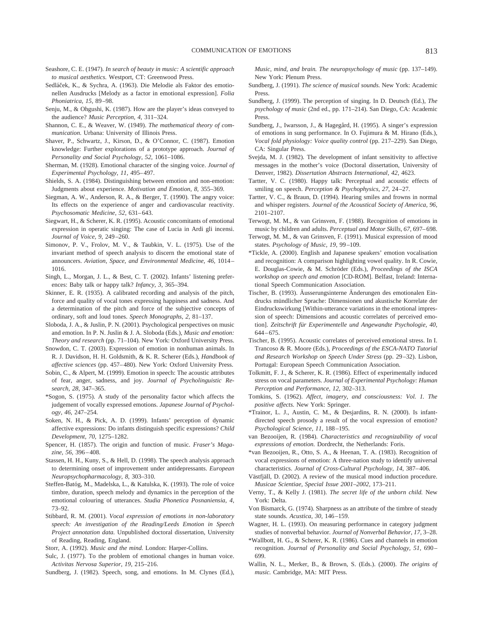- Seashore, C. E. (1947). *In search of beauty in music: A scientific approach to musical aesthetics.* Westport, CT: Greenwood Press.
- Sedláček, K., & Sychra, A. (1963). Die Melodie als Faktor des emotionellen Ausdrucks [Melody as a factor in emotional expression]. *Folia Phoniatrica, 15,* 89–98.
- Senju, M., & Ohgushi, K. (1987). How are the player's ideas conveyed to the audience? *Music Perception, 4,* 311–324.
- Shannon, C. E., & Weaver, W. (1949). *The mathematical theory of communication.* Urbana: University of Illinois Press.
- Shaver, P., Schwartz, J., Kirson, D., & O'Connor, C. (1987). Emotion knowledge: Further explorations of a prototype approach. *Journal of Personality and Social Psychology, 52,* 1061–1086.
- Sherman, M. (1928). Emotional character of the singing voice. *Journal of Experimental Psychology, 11,* 495–497.
- Shields, S. A. (1984). Distinguishing between emotion and non-emotion: Judgments about experience. *Motivation and Emotion, 8,* 355–369.
- Siegman, A. W., Anderson, R. A., & Berger, T. (1990). The angry voice: Its effects on the experience of anger and cardiovascular reactivity. *Psychosomatic Medicine, 52,* 631–643.
- Siegwart, H., & Scherer, K. R. (1995). Acoustic concomitants of emotional expression in operatic singing: The case of Lucia in Ardi gli incensi. *Journal of Voice, 9,* 249–260.
- Simonov, P. V., Frolov, M. V., & Taubkin, V. L. (1975). Use of the invariant method of speech analysis to discern the emotional state of announcers. *Aviation, Space, and Environmental Medicine, 46,* 1014– 1016.
- Singh, L., Morgan, J. L., & Best, C. T. (2002). Infants' listening preferences: Baby talk or happy talk? *Infancy, 3,* 365–394.
- Skinner, E. R. (1935). A calibrated recording and analysis of the pitch, force and quality of vocal tones expressing happiness and sadness. And a determination of the pitch and force of the subjective concepts of ordinary, soft and loud tones. *Speech Monographs, 2,* 81–137.
- Sloboda, J. A., & Juslin, P. N. (2001). Psychological perspectives on music and emotion. In P. N. Juslin & J. A. Sloboda (Eds.), *Music and emotion: Theory and research* (pp. 71–104). New York: Oxford University Press.
- Snowdon, C. T. (2003). Expression of emotion in nonhuman animals. In R. J. Davidson, H. H. Goldsmith, & K. R. Scherer (Eds.), *Handbook of affective sciences* (pp. 457–480). New York: Oxford University Press.
- Sobin, C., & Alpert, M. (1999). Emotion in speech: The acoustic attributes of fear, anger, sadness, and joy. *Journal of Psycholinguistic Research, 28,* 347–365.
- \*Sogon, S. (1975). A study of the personality factor which affects the judgement of vocally expressed emotions. *Japanese Journal of Psychology, 46,* 247–254.
- Soken, N. H., & Pick, A. D. (1999). Infants' perception of dynamic affective expressions: Do infants distinguish specific expressions? *Child Development, 70,* 1275–1282.
- Spencer, H. (1857). The origin and function of music. *Fraser's Magazine, 56,* 396–408.
- Stassen, H. H., Kuny, S., & Hell, D. (1998). The speech analysis approach to determining onset of improvement under antidepressants. *European Neuropsychopharmacology, 8,* 303–310.
- Steffen-Batóg, M., Madelska, L., & Katulska, K. (1993). The role of voice timbre, duration, speech melody and dynamics in the perception of the emotional colouring of utterances. *Studia Phonetica Posnaniensia, 4,* 73–92.
- Stibbard, R. M. (2001). *Vocal expression of emotions in non-laboratory speech: An investigation of the Reading/Leeds Emotion in Speech Project annotation data.* Unpublished doctoral dissertation, University of Reading, Reading, England.
- Storr, A. (1992). *Music and the mind.* London: Harper-Collins.
- Sulc, J. (1977). To the problem of emotional changes in human voice. *Activitas Nervosa Superior, 19,* 215–216.
- Sundberg, J. (1982). Speech, song, and emotions. In M. Clynes (Ed.),

*Music, mind, and brain. The neuropsychology of music* (pp. 137–149). New York: Plenum Press.

- Sundberg, J. (1991). *The science of musical sounds.* New York: Academic Press.
- Sundberg, J. (1999). The perception of singing. In D. Deutsch (Ed.), *The psychology of music* (2nd ed., pp. 171–214). San Diego, CA: Academic Press.
- Sundberg, J., Iwarsson, J., & Hagegård, H. (1995). A singer's expression of emotions in sung performance. In O. Fujimura & M. Hirano (Eds.), *Vocal fold physiology: Voice quality control* (pp. 217–229). San Diego, CA: Singular Press.
- Svejda, M. J. (1982). The development of infant sensitivity to affective messages in the mother's voice (Doctoral dissertation, University of Denver, 1982). *Dissertation Abstracts International, 42,* 4623.
- Tartter, V. C. (1980). Happy talk: Perceptual and acoustic effects of smiling on speech. *Perception & Psychophysics, 27,* 24–27.
- Tartter, V. C., & Braun, D. (1994). Hearing smiles and frowns in normal and whisper registers. *Journal of the Acoustical Society of America, 96,* 2101–2107.
- Terwogt, M. M., & van Grinsven, F. (1988). Recognition of emotions in music by children and adults. *Perceptual and Motor Skills, 67,* 697–698.
- Terwogt, M. M., & van Grinsven, F. (1991). Musical expression of mood states. *Psychology of Music, 19,* 99–109.
- \*Tickle, A. (2000). English and Japanese speakers' emotion vocalisation and recognition: A comparison highlighting vowel quality. In R. Cowie, E. Douglas-Cowie, & M. Schröder (Eds.), *Proceedings of the ISCA workshop on speech and emotion* [CD-ROM]. Belfast, Ireland: International Speech Communication Association.
- Tischer, B. (1993). Äusserungsinterne Änderungen des emotionalen Eindrucks mündlicher Sprache: Dimensionen und akustische Korrelate der Eindruckswirkung [Within-utterance variations in the emotional impression of speech: Dimensions and acoustic correlates of perceived emotion]. *Zeitschrift fu¨r Experimentelle und Angewandte Psychologie, 40,* 644–675.
- Tischer, B. (1995). Acoustic correlates of perceived emotional stress. In I. Trancoso & R. Moore (Eds.), *Proceedings of the ESCA-NATO Tutorial and Research Workshop on Speech Under Stress* (pp. 29–32). Lisbon, Portugal: European Speech Communication Association.
- Tolkmitt, F. J., & Scherer, K. R. (1986). Effect of experimentally induced stress on vocal parameters. *Journal of Experimental Psychology: Human Perception and Performance, 12,* 302–313.
- Tomkins, S. (1962). *Affect, imagery, and consciousness: Vol. 1. The positive affects.* New York: Springer.
- \*Trainor, L. J., Austin, C. M., & Desjardins, R. N. (2000). Is infantdirected speech prosody a result of the vocal expression of emotion? *Psychological Science, 11,* 188–195.
- van Bezooijen, R. (1984). *Characteristics and recognizability of vocal expressions of emotion.* Dordrecht, the Netherlands: Foris.
- \*van Bezooijen, R., Otto, S. A., & Heenan, T. A. (1983). Recognition of vocal expressions of emotion: A three-nation study to identify universal characteristics. *Journal of Cross-Cultural Psychology, 14,* 387–406.
- Västfjäll, D. (2002). A review of the musical mood induction procedure. *Musicae Scientiae, Special Issue 2001–2002,* 173–211.
- Verny, T., & Kelly J. (1981). *The secret life of the unborn child.* New York: Delta.
- Von Bismarck, G. (1974). Sharpness as an attribute of the timbre of steady state sounds. *Acustica, 30,* 146–159.
- Wagner, H. L. (1993). On measuring performance in category judgment studies of nonverbal behavior. *Journal of Nonverbal Behavior, 17,* 3–28.
- \*Wallbott, H. G., & Scherer, K. R. (1986). Cues and channels in emotion recognition. *Journal of Personality and Social Psychology, 51,* 690– 699.
- Wallin, N. L., Merker, B., & Brown, S. (Eds.). (2000). *The origins of music.* Cambridge, MA: MIT Press.